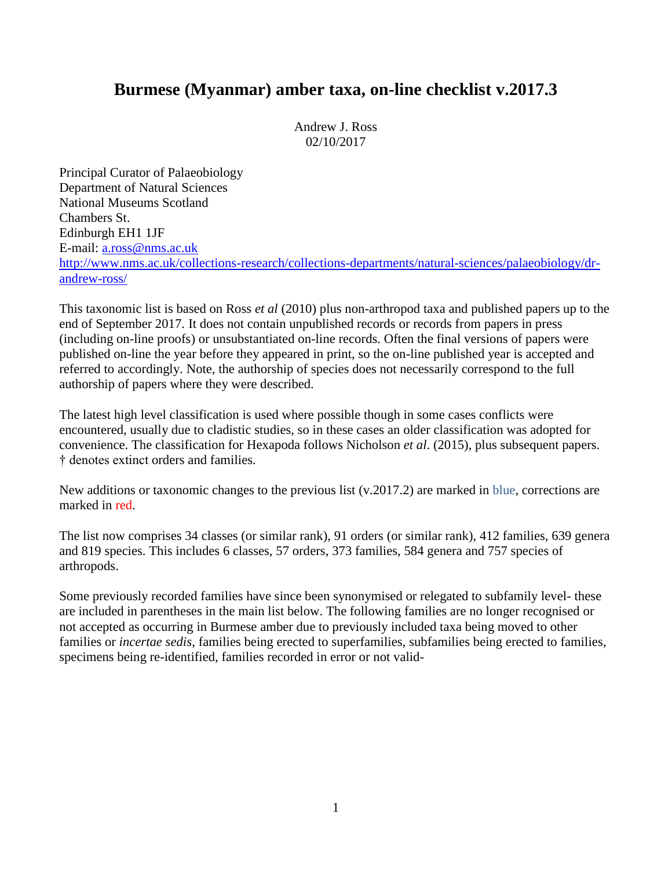# **Burmese (Myanmar) amber taxa, on-line checklist v.2017.3**

Andrew J. Ross 02/10/2017

Principal Curator of Palaeobiology Department of Natural Sciences National Museums Scotland Chambers St. Edinburgh EH1 1JF E-mail: [a.ross@nms.ac.uk](mailto:a.ross@nms.ac.uk) [http://www.nms.ac.uk/collections-research/collections-departments/natural-sciences/palaeobiology/dr](http://www.nms.ac.uk/collections-research/collections-departments/natural-sciences/palaeobiology/dr-andrew-ross/)[andrew-ross/](http://www.nms.ac.uk/collections-research/collections-departments/natural-sciences/palaeobiology/dr-andrew-ross/)

This taxonomic list is based on Ross *et al* (2010) plus non-arthropod taxa and published papers up to the end of September 2017. It does not contain unpublished records or records from papers in press (including on-line proofs) or unsubstantiated on-line records. Often the final versions of papers were published on-line the year before they appeared in print, so the on-line published year is accepted and referred to accordingly. Note, the authorship of species does not necessarily correspond to the full authorship of papers where they were described.

The latest high level classification is used where possible though in some cases conflicts were encountered, usually due to cladistic studies, so in these cases an older classification was adopted for convenience. The classification for Hexapoda follows Nicholson *et al*. (2015), plus subsequent papers. † denotes extinct orders and families.

New additions or taxonomic changes to the previous list (v.2017.2) are marked in blue, corrections are marked in red.

The list now comprises 34 classes (or similar rank), 91 orders (or similar rank), 412 families, 639 genera and 819 species. This includes 6 classes, 57 orders, 373 families, 584 genera and 757 species of arthropods.

Some previously recorded families have since been synonymised or relegated to subfamily level- these are included in parentheses in the main list below. The following families are no longer recognised or not accepted as occurring in Burmese amber due to previously included taxa being moved to other families or *incertae sedis*, families being erected to superfamilies, subfamilies being erected to families, specimens being re-identified, families recorded in error or not valid-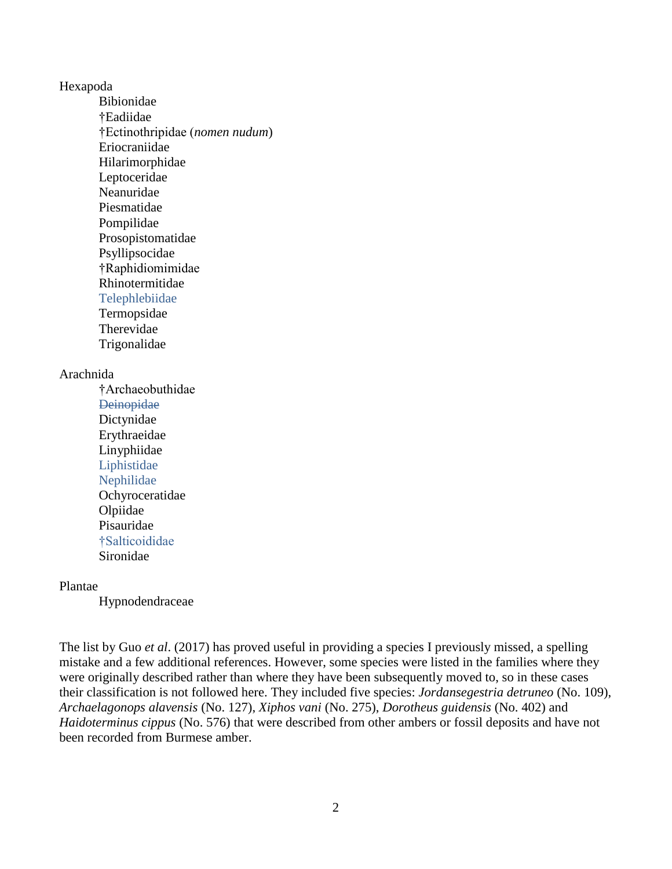#### Hexapoda

Bibionidae †Eadiidae †Ectinothripidae (*nomen nudum*) Eriocraniidae Hilarimorphidae Leptoceridae Neanuridae Piesmatidae Pompilidae Prosopistomatidae Psyllipsocidae †Raphidiomimidae Rhinotermitidae Telephlebiidae Termopsidae Therevidae Trigonalidae

#### Arachnida

†Archaeobuthidae **Deinopidae** Dictynidae Erythraeidae Linyphiidae Liphistidae Nephilidae Ochyroceratidae Olpiidae Pisauridae †Salticoididae Sironidae

# Plantae

Hypnodendraceae

The list by Guo *et al*. (2017) has proved useful in providing a species I previously missed, a spelling mistake and a few additional references. However, some species were listed in the families where they were originally described rather than where they have been subsequently moved to, so in these cases their classification is not followed here. They included five species: *Jordansegestria detruneo* (No. 109), *Archaelagonops alavensis* (No. 127), *Xiphos vani* (No. 275), *Dorotheus guidensis* (No. 402) and *Haidoterminus cippus* (No. 576) that were described from other ambers or fossil deposits and have not been recorded from Burmese amber.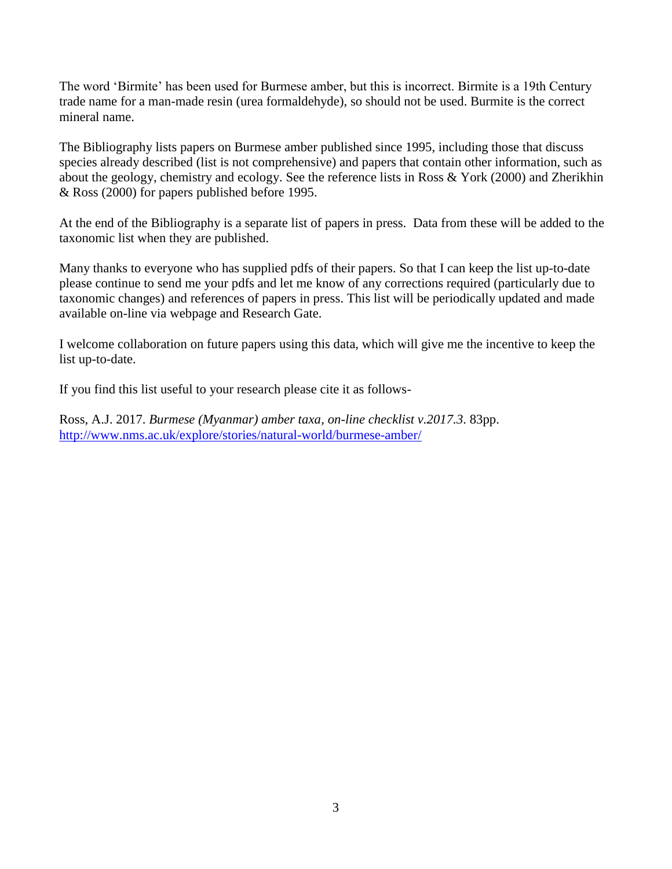The word 'Birmite' has been used for Burmese amber, but this is incorrect. Birmite is a 19th Century trade name for a man-made resin (urea formaldehyde), so should not be used. Burmite is the correct mineral name.

The Bibliography lists papers on Burmese amber published since 1995, including those that discuss species already described (list is not comprehensive) and papers that contain other information, such as about the geology, chemistry and ecology. See the reference lists in Ross & York (2000) and Zherikhin & Ross (2000) for papers published before 1995.

At the end of the Bibliography is a separate list of papers in press. Data from these will be added to the taxonomic list when they are published.

Many thanks to everyone who has supplied pdfs of their papers. So that I can keep the list up-to-date please continue to send me your pdfs and let me know of any corrections required (particularly due to taxonomic changes) and references of papers in press. This list will be periodically updated and made available on-line via webpage and Research Gate.

I welcome collaboration on future papers using this data, which will give me the incentive to keep the list up-to-date.

If you find this list useful to your research please cite it as follows-

Ross, A.J. 2017. *Burmese (Myanmar) amber taxa, on-line checklist v.2017.3*. 83pp. <http://www.nms.ac.uk/explore/stories/natural-world/burmese-amber/>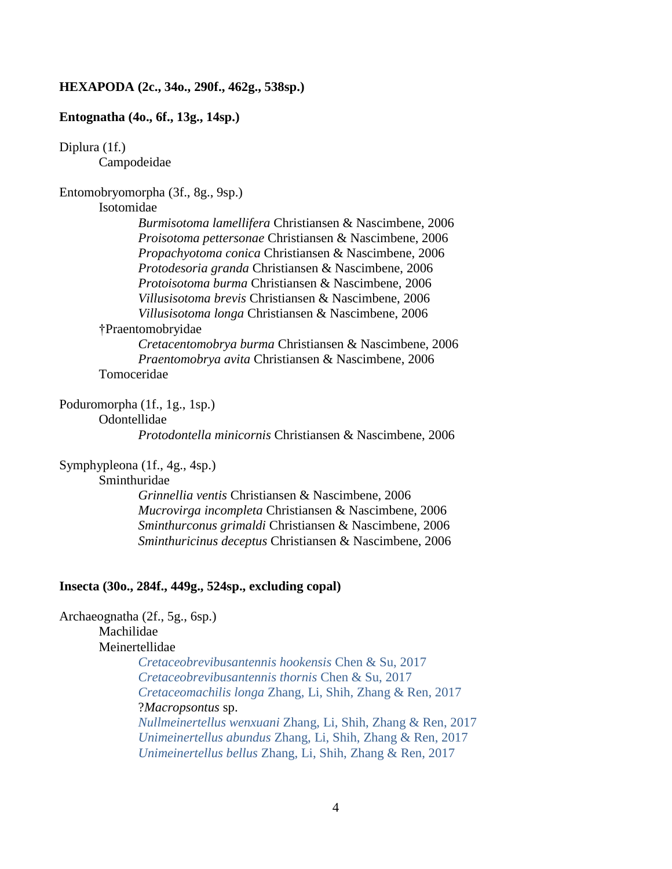#### **HEXAPODA (2c., 34o., 290f., 462g., 538sp.)**

### **Entognatha (4o., 6f., 13g., 14sp.)**

# Diplura (1f.)

Campodeidae

# Entomobryomorpha (3f., 8g., 9sp.)

### Isotomidae

*Burmisotoma lamellifera* Christiansen & Nascimbene, 2006 *Proisotoma pettersonae* Christiansen & Nascimbene, 2006 *Propachyotoma conica* Christiansen & Nascimbene, 2006 *Protodesoria granda* Christiansen & Nascimbene, 2006 *Protoisotoma burma* Christiansen & Nascimbene, 2006 *Villusisotoma brevis* Christiansen & Nascimbene, 2006 *Villusisotoma longa* Christiansen & Nascimbene, 2006

# †Praentomobryidae

*Cretacentomobrya burma* Christiansen & Nascimbene, 2006 *Praentomobrya avita* Christiansen & Nascimbene, 2006 Tomoceridae

# Poduromorpha (1f., 1g., 1sp.)

Odontellidae

*Protodontella minicornis* Christiansen & Nascimbene, 2006

# Symphypleona (1f., 4g., 4sp.)

#### Sminthuridae

*Grinnellia ventis* Christiansen & Nascimbene, 2006 *Mucrovirga incompleta* Christiansen & Nascimbene, 2006 *Sminthurconus grimaldi* Christiansen & Nascimbene, 2006 *Sminthuricinus deceptus* Christiansen & Nascimbene, 2006

# **Insecta (30o., 284f., 449g., 524sp., excluding copal)**

# Archaeognatha (2f., 5g., 6sp.) Machilidae Meinertellidae *Cretaceobrevibusantennis hookensis* Chen & Su, 2017 *Cretaceobrevibusantennis thornis* Chen & Su, 2017

*Cretaceomachilis longa* Zhang, Li, Shih, Zhang & Ren, 2017 ?*Macropsontus* sp. *Nullmeinertellus wenxuani* Zhang, Li, Shih, Zhang & Ren, 2017 *Unimeinertellus abundus* Zhang, Li, Shih, Zhang & Ren, 2017 *Unimeinertellus bellus* Zhang, Li, Shih, Zhang & Ren, 2017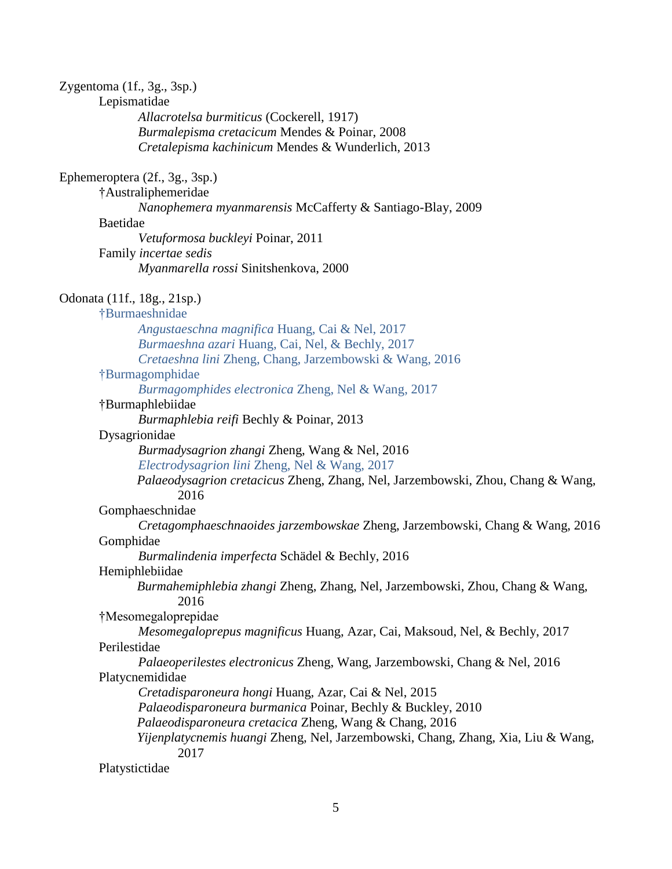| Zygentoma (1f., 3g., 3sp.)                                                               |  |
|------------------------------------------------------------------------------------------|--|
| Lepismatidae                                                                             |  |
| Allacrotelsa burmiticus (Cockerell, 1917)                                                |  |
| Burmalepisma cretacicum Mendes & Poinar, 2008                                            |  |
| Cretalepisma kachinicum Mendes & Wunderlich, 2013                                        |  |
| Ephemeroptera (2f., 3g., 3sp.)                                                           |  |
| †Australiphemeridae                                                                      |  |
| Nanophemera myanmarensis McCafferty & Santiago-Blay, 2009                                |  |
| Baetidae                                                                                 |  |
| Vetuformosa buckleyi Poinar, 2011                                                        |  |
| Family incertae sedis                                                                    |  |
| Myanmarella rossi Sinitshenkova, 2000                                                    |  |
| Odonata (11f., 18g., 21sp.)                                                              |  |
| †Burmaeshnidae                                                                           |  |
| Angustaeschna magnifica Huang, Cai & Nel, 2017                                           |  |
| Burmaeshna azari Huang, Cai, Nel, & Bechly, 2017                                         |  |
| Cretaeshna lini Zheng, Chang, Jarzembowski & Wang, 2016                                  |  |
| †Burmagomphidae                                                                          |  |
| Burmagomphides electronica Zheng, Nel & Wang, 2017                                       |  |
| †Burmaphlebiidae                                                                         |  |
| Burmaphlebia reifi Bechly & Poinar, 2013                                                 |  |
| Dysagrionidae                                                                            |  |
| Burmadysagrion zhangi Zheng, Wang & Nel, 2016                                            |  |
| Electrodysagrion lini Zheng, Nel & Wang, 2017                                            |  |
| Palaeodysagrion cretacicus Zheng, Zhang, Nel, Jarzembowski, Zhou, Chang & Wang,<br>2016  |  |
| Gomphaeschnidae                                                                          |  |
| Cretagomphaeschnaoides jarzembowskae Zheng, Jarzembowski, Chang & Wang, 2016             |  |
| Gomphidae                                                                                |  |
| Burmalindenia imperfecta Schädel & Bechly, 2016                                          |  |
| Hemiphlebiidae                                                                           |  |
| Burmahemiphlebia zhangi Zheng, Zhang, Nel, Jarzembowski, Zhou, Chang & Wang,<br>2016     |  |
| †Mesomegaloprepidae                                                                      |  |
| Mesomegaloprepus magnificus Huang, Azar, Cai, Maksoud, Nel, & Bechly, 2017               |  |
| Perilestidae                                                                             |  |
| Palaeoperilestes electronicus Zheng, Wang, Jarzembowski, Chang & Nel, 2016               |  |
| Platycnemididae                                                                          |  |
| Cretadisparoneura hongi Huang, Azar, Cai & Nel, 2015                                     |  |
| Palaeodisparoneura burmanica Poinar, Bechly & Buckley, 2010                              |  |
| Palaeodisparoneura cretacica Zheng, Wang & Chang, 2016                                   |  |
| Yijenplatycnemis huangi Zheng, Nel, Jarzembowski, Chang, Zhang, Xia, Liu & Wang,<br>2017 |  |
| Platystictidae                                                                           |  |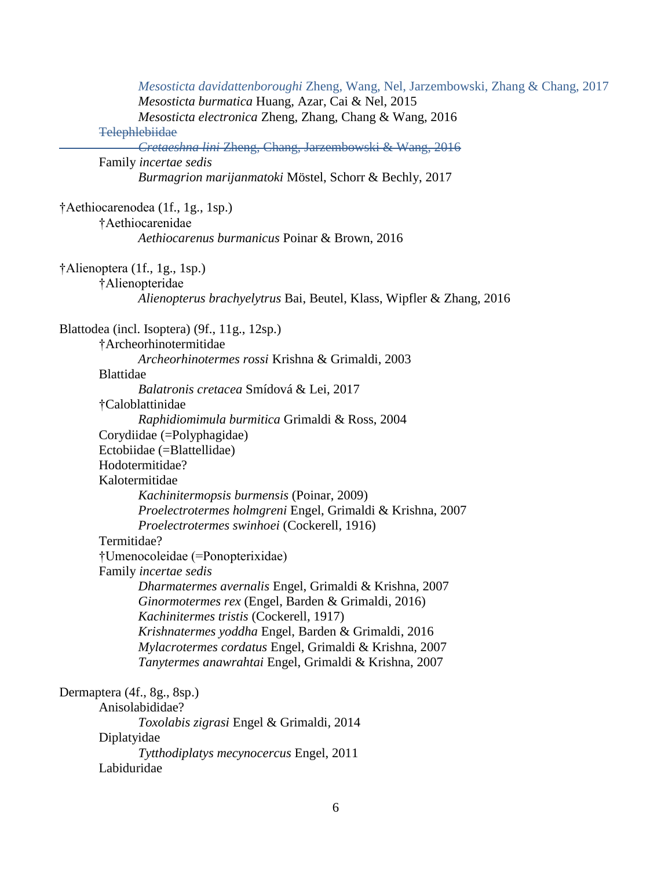| Mesosticta davidattenboroughi Zheng, Wang, Nel, Jarzembowski, Zhang & Chang, 2017<br>Mesosticta burmatica Huang, Azar, Cai & Nel, 2015 |  |
|----------------------------------------------------------------------------------------------------------------------------------------|--|
| Mesosticta electronica Zheng, Zhang, Chang & Wang, 2016                                                                                |  |
| Telephlebiidae                                                                                                                         |  |
| Cretaeshna lini Zheng, Chang, Jarzembowski & Wang, 2016<br>Family incertae sedis                                                       |  |
| Burmagrion marijanmatoki Möstel, Schorr & Bechly, 2017                                                                                 |  |
| †Aethiocarenodea (1f., 1g., 1sp.)                                                                                                      |  |
| †Aethiocarenidae<br>Aethiocarenus burmanicus Poinar & Brown, 2016                                                                      |  |
| †Alienoptera (1f., 1g., 1sp.)                                                                                                          |  |
| †Alienopteridae                                                                                                                        |  |
| Alienopterus brachyelytrus Bai, Beutel, Klass, Wipfler & Zhang, 2016                                                                   |  |
| Blattodea (incl. Isoptera) (9f., 11g., 12sp.)                                                                                          |  |
| †Archeorhinotermitidae                                                                                                                 |  |
| Archeorhinotermes rossi Krishna & Grimaldi, 2003                                                                                       |  |
| <b>Blattidae</b>                                                                                                                       |  |
| Balatronis cretacea Smídová & Lei, 2017                                                                                                |  |
| †Caloblattinidae                                                                                                                       |  |
| Raphidiomimula burmitica Grimaldi & Ross, 2004                                                                                         |  |
| Corydiidae (=Polyphagidae)                                                                                                             |  |
| Ectobiidae (=Blattellidae)                                                                                                             |  |
| Hodotermitidae?                                                                                                                        |  |
| Kalotermitidae                                                                                                                         |  |
| Kachinitermopsis burmensis (Poinar, 2009)                                                                                              |  |
| Proelectrotermes holmgreni Engel, Grimaldi & Krishna, 2007                                                                             |  |
| Proelectrotermes swinhoei (Cockerell, 1916)                                                                                            |  |
| Termitidae?                                                                                                                            |  |
| †Umenocoleidae (=Ponopterixidae)                                                                                                       |  |
| Family incertae sedis                                                                                                                  |  |
| Dharmatermes avernalis Engel, Grimaldi & Krishna, 2007                                                                                 |  |
| Ginormotermes rex (Engel, Barden & Grimaldi, 2016)                                                                                     |  |
| Kachinitermes tristis (Cockerell, 1917)                                                                                                |  |
| Krishnatermes yoddha Engel, Barden & Grimaldi, 2016                                                                                    |  |
| Mylacrotermes cordatus Engel, Grimaldi & Krishna, 2007<br>Tanytermes anawrahtai Engel, Grimaldi & Krishna, 2007                        |  |
|                                                                                                                                        |  |
| Dermaptera (4f., 8g., 8sp.)                                                                                                            |  |
| Anisolabididae?                                                                                                                        |  |
| Toxolabis zigrasi Engel & Grimaldi, 2014                                                                                               |  |
| Diplatyidae                                                                                                                            |  |
| Tytthodiplatys mecynocercus Engel, 2011                                                                                                |  |
| Labiduridae                                                                                                                            |  |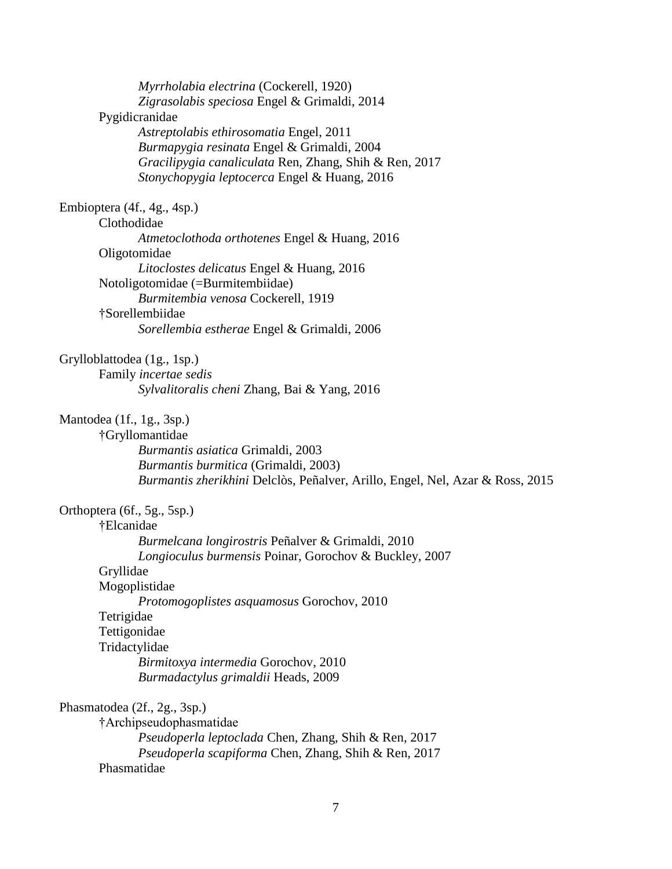| Myrrholabia electrina (Cockerell, 1920)                                       |  |
|-------------------------------------------------------------------------------|--|
| Zigrasolabis speciosa Engel & Grimaldi, 2014                                  |  |
| Pygidicranidae                                                                |  |
| Astreptolabis ethirosomatia Engel, 2011                                       |  |
| Burmapygia resinata Engel & Grimaldi, 2004                                    |  |
| Gracilipygia canaliculata Ren, Zhang, Shih & Ren, 2017                        |  |
| Stonychopygia leptocerca Engel & Huang, 2016                                  |  |
| Embioptera (4f., 4g., 4sp.)                                                   |  |
| Clothodidae                                                                   |  |
| Atmetoclothoda orthotenes Engel & Huang, 2016                                 |  |
| Oligotomidae                                                                  |  |
| Litoclostes delicatus Engel & Huang, 2016                                     |  |
| Notoligotomidae (=Burmitembiidae)                                             |  |
| Burmitembia venosa Cockerell, 1919                                            |  |
| †Sorellembiidae                                                               |  |
| Sorellembia estherae Engel & Grimaldi, 2006                                   |  |
| Grylloblattodea (1g., 1sp.)                                                   |  |
| Family incertae sedis                                                         |  |
| Sylvalitoralis cheni Zhang, Bai & Yang, 2016                                  |  |
| Mantodea (1f., 1g., 3sp.)                                                     |  |
| †Gryllomantidae                                                               |  |
| Burmantis asiatica Grimaldi, 2003                                             |  |
| Burmantis burmitica (Grimaldi, 2003)                                          |  |
| Burmantis zherikhini Delclòs, Peñalver, Arillo, Engel, Nel, Azar & Ross, 2015 |  |
| Orthoptera (6f., 5g., 5sp.)                                                   |  |
| †Elcanidae                                                                    |  |
| Burmelcana longirostris Peñalver & Grimaldi, 2010                             |  |
| Longioculus burmensis Poinar, Gorochov & Buckley, 2007                        |  |
| Gryllidae                                                                     |  |
| Mogoplistidae                                                                 |  |
| Protomogoplistes asquamosus Gorochov, 2010                                    |  |
| Tetrigidae                                                                    |  |
| Tettigonidae                                                                  |  |
| Tridactylidae                                                                 |  |
| Birmitoxya intermedia Gorochov, 2010                                          |  |
| Burmadactylus grimaldii Heads, 2009                                           |  |
| Phasmatodea (2f., 2g., 3sp.)                                                  |  |
| †Archipseudophasmatidae                                                       |  |
| <i>Pseudoperla leptoclada</i> Chen, Zhang, Shih & Ren, 2017                   |  |
| Pseudoperla scapiforma Chen, Zhang, Shih & Ren, 2017                          |  |
| Phasmatidae                                                                   |  |
|                                                                               |  |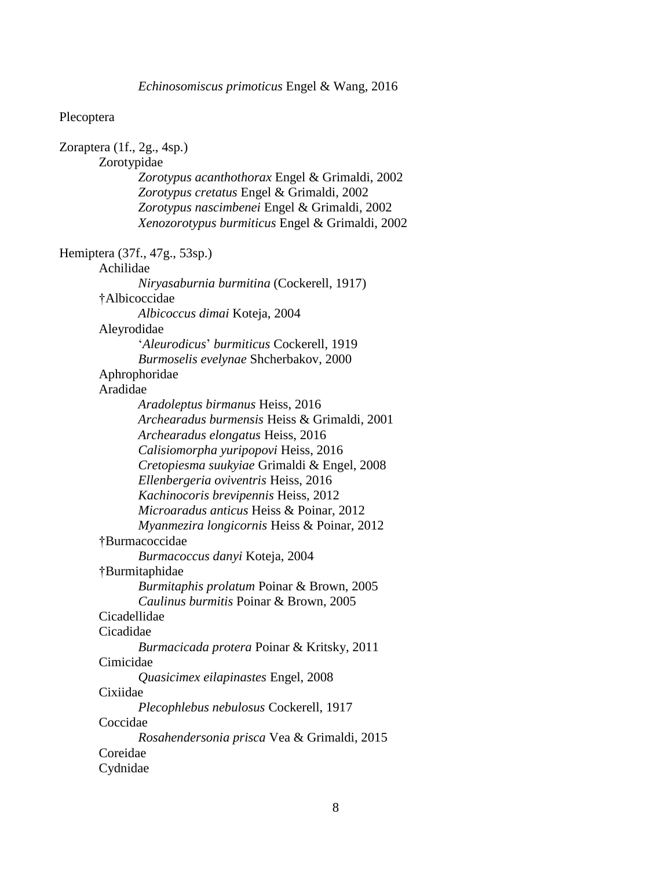#### Plecoptera

Zoraptera (1f., 2g., 4sp.) Zorotypidae *Zorotypus acanthothorax* Engel & Grimaldi, 2002 *Zorotypus cretatus* Engel & Grimaldi, 2002 *Zorotypus nascimbenei* Engel & Grimaldi, 2002 *Xenozorotypus burmiticus* Engel & Grimaldi, 2002 Hemiptera (37f., 47g., 53sp.) Achilidae *Niryasaburnia burmitina* (Cockerell, 1917) †Albicoccidae *Albicoccus dimai* Koteja, 2004 Aleyrodidae '*Aleurodicus*' *burmiticus* Cockerell, 1919 *Burmoselis evelynae* Shcherbakov, 2000 Aphrophoridae Aradidae *Aradoleptus birmanus* Heiss, 2016 *Archearadus burmensis* Heiss & Grimaldi, 2001 *Archearadus elongatus* Heiss, 2016 *Calisiomorpha yuripopovi* Heiss, 2016 *Cretopiesma suukyiae* Grimaldi & Engel, 2008 *Ellenbergeria oviventris* Heiss, 2016 *Kachinocoris brevipennis* Heiss, 2012 *Microaradus anticus* Heiss & Poinar, 2012 *Myanmezira longicornis* Heiss & Poinar, 2012 †Burmacoccidae *Burmacoccus danyi* Koteja, 2004 †Burmitaphidae *Burmitaphis prolatum* Poinar & Brown, 2005 *Caulinus burmitis* Poinar & Brown, 2005 Cicadellidae Cicadidae *Burmacicada protera* Poinar & Kritsky, 2011 Cimicidae *Quasicimex eilapinastes* Engel, 2008 Cixiidae *Plecophlebus nebulosus* Cockerell, 1917 Coccidae *Rosahendersonia prisca* Vea & Grimaldi, 2015 Coreidae Cydnidae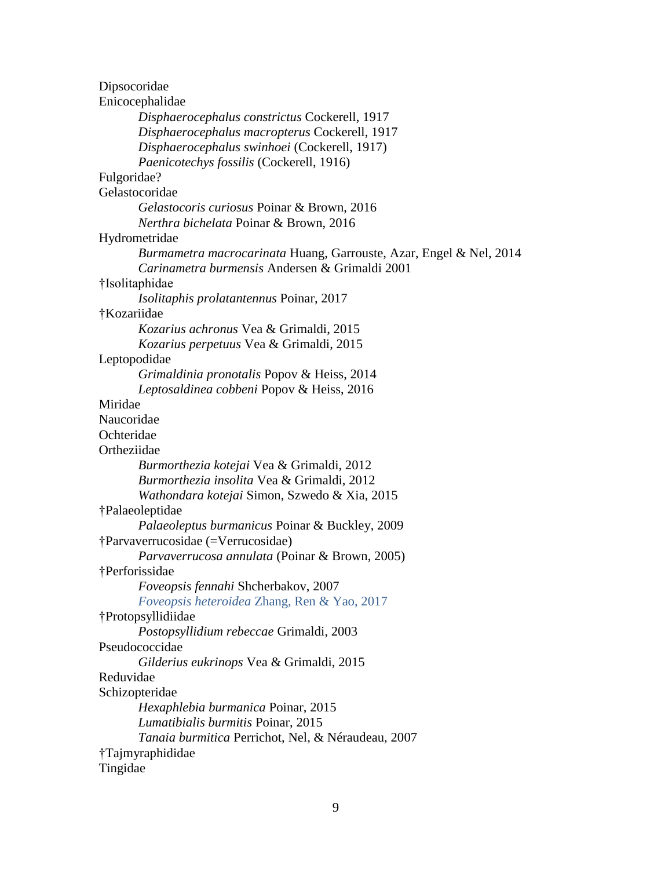| Dipsocoridae                                                       |  |
|--------------------------------------------------------------------|--|
| Enicocephalidae                                                    |  |
| Disphaerocephalus constrictus Cockerell, 1917                      |  |
| Disphaerocephalus macropterus Cockerell, 1917                      |  |
| Disphaerocephalus swinhoei (Cockerell, 1917)                       |  |
| Paenicotechys fossilis (Cockerell, 1916)                           |  |
| Fulgoridae?                                                        |  |
| Gelastocoridae                                                     |  |
| Gelastocoris curiosus Poinar & Brown, 2016                         |  |
| Nerthra bichelata Poinar & Brown, 2016                             |  |
| Hydrometridae                                                      |  |
| Burmametra macrocarinata Huang, Garrouste, Azar, Engel & Nel, 2014 |  |
| Carinametra burmensis Andersen & Grimaldi 2001                     |  |
| †Isolitaphidae                                                     |  |
| <i>Isolitaphis prolatantennus Poinar, 2017</i>                     |  |
| †Kozariidae                                                        |  |
| Kozarius achronus Vea & Grimaldi, 2015                             |  |
| Kozarius perpetuus Vea & Grimaldi, 2015                            |  |
| Leptopodidae                                                       |  |
| Grimaldinia pronotalis Popov & Heiss, 2014                         |  |
| Leptosaldinea cobbeni Popov & Heiss, 2016                          |  |
| Miridae                                                            |  |
| Naucoridae                                                         |  |
| Ochteridae                                                         |  |
| Ortheziidae                                                        |  |
| Burmorthezia kotejai Vea & Grimaldi, 2012                          |  |
| Burmorthezia insolita Vea & Grimaldi, 2012                         |  |
| Wathondara kotejai Simon, Szwedo & Xia, 2015                       |  |
| †Palaeoleptidae                                                    |  |
| Palaeoleptus burmanicus Poinar & Buckley, 2009                     |  |
| †Parvaverrucosidae (=Verrucosidae)                                 |  |
| Parvaverrucosa annulata (Poinar & Brown, 2005)                     |  |
| †Perforissidae                                                     |  |
| Foveopsis fennahi Shcherbakov, 2007                                |  |
| Foveopsis heteroidea Zhang, Ren & Yao, 2017                        |  |
| †Protopsyllidiidae                                                 |  |
| Postopsyllidium rebeccae Grimaldi, 2003                            |  |
| Pseudococcidae                                                     |  |
| Gilderius eukrinops Vea & Grimaldi, 2015                           |  |
| Reduvidae                                                          |  |
| Schizopteridae                                                     |  |
| Hexaphlebia burmanica Poinar, 2015                                 |  |
| Lumatibialis burmitis Poinar, 2015                                 |  |
| Tanaia burmitica Perrichot, Nel, & Néraudeau, 2007                 |  |
| †Tajmyraphididae                                                   |  |
| Tingidae                                                           |  |
|                                                                    |  |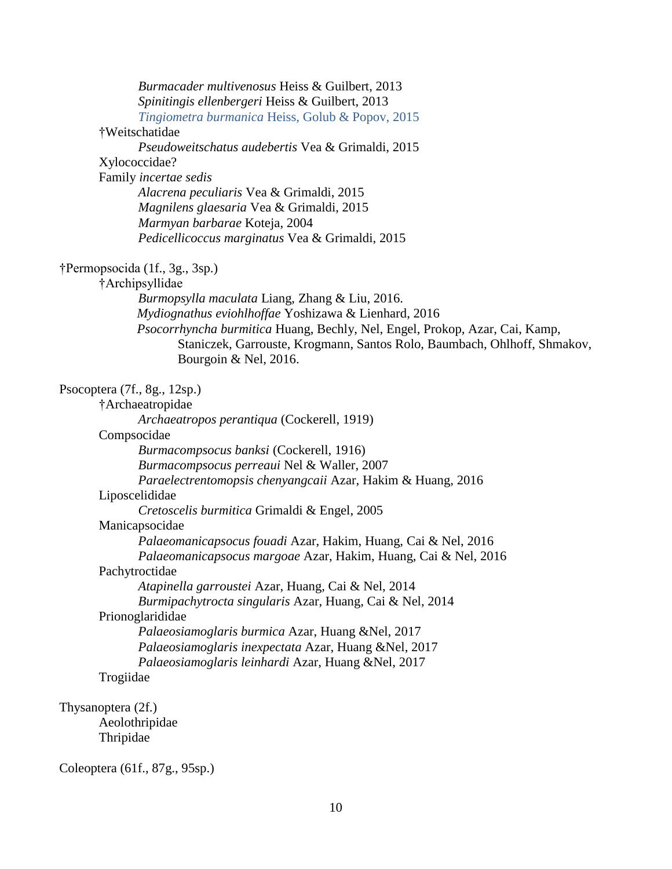| Burmacader multivenosus Heiss & Guilbert, 2013                              |
|-----------------------------------------------------------------------------|
| Spinitingis ellenbergeri Heiss & Guilbert, 2013                             |
| Tingiometra burmanica Heiss, Golub & Popov, 2015                            |
| †Weitschatidae                                                              |
| Pseudoweitschatus audebertis Vea & Grimaldi, 2015                           |
| Xylococcidae?                                                               |
| Family incertae sedis                                                       |
| Alacrena peculiaris Vea & Grimaldi, 2015                                    |
| Magnilens glaesaria Vea & Grimaldi, 2015                                    |
| Marmyan barbarae Koteja, 2004                                               |
| Pedicellicoccus marginatus Vea & Grimaldi, 2015                             |
| †Permopsocida (1f., 3g., 3sp.)                                              |
| †Archipsyllidae                                                             |
| Burmopsylla maculata Liang, Zhang & Liu, 2016.                              |
| Mydiognathus eviohlhoffae Yoshizawa & Lienhard, 2016                        |
| Psocorrhyncha burmitica Huang, Bechly, Nel, Engel, Prokop, Azar, Cai, Kamp, |
| Staniczek, Garrouste, Krogmann, Santos Rolo, Baumbach, Ohlhoff, Shmakov,    |
| Bourgoin & Nel, 2016.                                                       |
| Psocoptera $(7f., 8g., 12sp.)$                                              |
| †Archaeatropidae                                                            |
| Archaeatropos perantiqua (Cockerell, 1919)                                  |
| Compsocidae                                                                 |
| Burmacompsocus banksi (Cockerell, 1916)                                     |
| Burmacompsocus perreaui Nel & Waller, 2007                                  |
| Paraelectrentomopsis chenyangcaii Azar, Hakim & Huang, 2016                 |
| Liposcelididae                                                              |
| Cretoscelis burmitica Grimaldi & Engel, 2005                                |
| Manicapsocidae                                                              |
| Palaeomanicapsocus fouadi Azar, Hakim, Huang, Cai & Nel, 2016               |
| Palaeomanicapsocus margoae Azar, Hakim, Huang, Cai & Nel, 2016              |
| Pachytroctidae                                                              |
| Atapinella garroustei Azar, Huang, Cai & Nel, 2014                          |
| Burmipachytrocta singularis Azar, Huang, Cai & Nel, 2014                    |
| Prionoglarididae                                                            |
| Palaeosiamoglaris burmica Azar, Huang & Nel, 2017                           |
| Palaeosiamoglaris inexpectata Azar, Huang &Nel, 2017                        |
| Palaeosiamoglaris leinhardi Azar, Huang &Nel, 2017                          |
| Trogiidae                                                                   |
| Thysanoptera (2f.)                                                          |
| Aeolothripidae                                                              |
| Thripidae                                                                   |
|                                                                             |

Coleoptera (61f., 87g., 95sp.)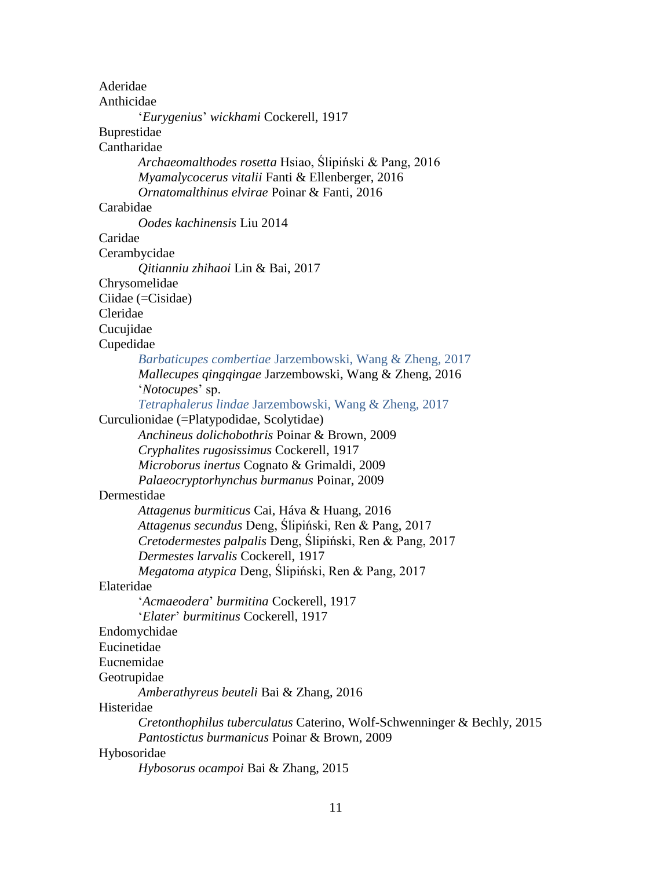Aderidae Anthicidae '*Eurygenius*' *wickhami* Cockerell, 1917 Buprestidae Cantharidae *Archaeomalthodes rosetta* Hsiao, Ślipiński & Pang, 2016 *Myamalycocerus vitalii* Fanti & Ellenberger, 2016 *Ornatomalthinus elvirae* Poinar & Fanti, 2016 Carabidae *Oodes kachinensis* Liu 2014 Caridae Cerambycidae *Qitianniu zhihaoi* Lin & Bai, 2017 Chrysomelidae Ciidae (=Cisidae) Cleridae Cucujidae Cupedidae *Barbaticupes combertiae* Jarzembowski, Wang & Zheng, 2017 *Mallecupes qingqingae* Jarzembowski, Wang & Zheng, 2016 '*Notocupe*s' sp. *Tetraphalerus lindae* Jarzembowski, Wang & Zheng, 2017 Curculionidae (=Platypodidae, Scolytidae) *Anchineus dolichobothris* Poinar & Brown, 2009 *Cryphalites rugosissimus* Cockerell, 1917 *Microborus inertus* Cognato & Grimaldi, 2009 *Palaeocryptorhynchus burmanus* Poinar, 2009 Dermestidae *Attagenus burmiticus* Cai, Háva & Huang, 2016 *Attagenus secundus* Deng, Ślipiński, Ren & Pang, 2017 *Cretodermestes palpalis* Deng, Ślipiński, Ren & Pang, 2017 *Dermestes larvalis* Cockerell, 1917 *Megatoma atypica* Deng, Ślipiński, Ren & Pang, 2017 Elateridae '*Acmaeodera*' *burmitina* Cockerell, 1917 '*Elater*' *burmitinus* Cockerell, 1917 Endomychidae Eucinetidae Eucnemidae Geotrupidae *Amberathyreus beuteli* Bai & Zhang, 2016 Histeridae *Cretonthophilus tuberculatus* Caterino, Wolf-Schwenninger & Bechly, 2015 *Pantostictus burmanicus* Poinar & Brown, 2009 Hybosoridae *Hybosorus ocampoi* Bai & Zhang, 2015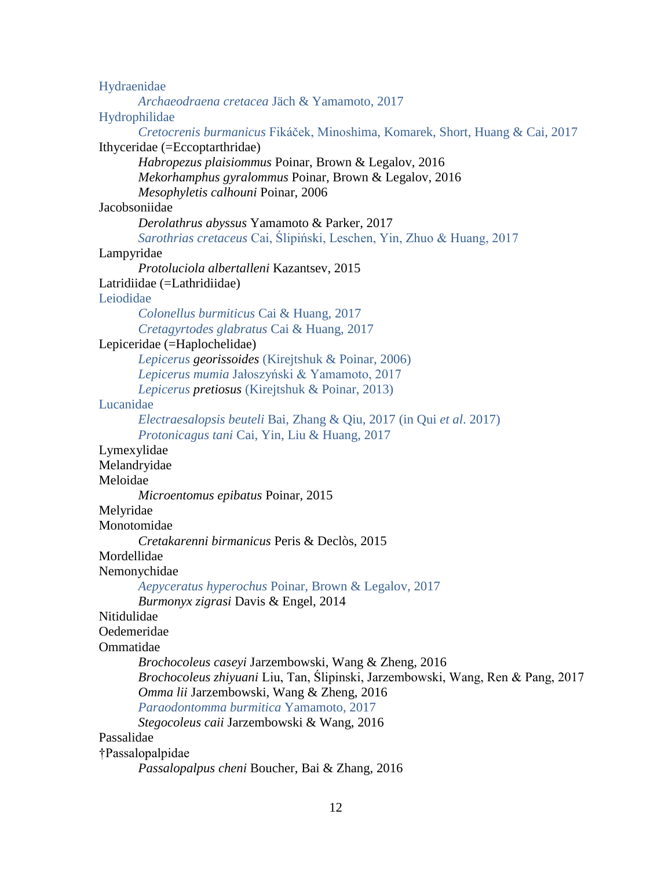| Hydraenidae                                                                     |
|---------------------------------------------------------------------------------|
| Archaeodraena cretacea Jäch & Yamamoto, 2017                                    |
| Hydrophilidae                                                                   |
| Cretocrenis burmanicus Fikáček, Minoshima, Komarek, Short, Huang & Cai, 2017    |
| Ithyceridae (=Eccoptarthridae)                                                  |
| Habropezus plaisiommus Poinar, Brown & Legalov, 2016                            |
| Mekorhamphus gyralommus Poinar, Brown & Legalov, 2016                           |
| Mesophyletis calhouni Poinar, 2006                                              |
| Jacobsoniidae                                                                   |
| Derolathrus abyssus Yamamoto & Parker, 2017                                     |
| Sarothrias cretaceus Cai, Ślipiński, Leschen, Yin, Zhuo & Huang, 2017           |
| Lampyridae                                                                      |
| Protoluciola albertalleni Kazantsev, 2015                                       |
| Latridiidae (=Lathridiidae)                                                     |
| Leiodidae                                                                       |
| Colonellus burmiticus Cai & Huang, 2017                                         |
| Cretagyrtodes glabratus Cai & Huang, 2017                                       |
| Lepiceridae (=Haplochelidae)                                                    |
| Lepicerus georissoides (Kirejtshuk & Poinar, 2006)                              |
| Lepicerus mumia Jałoszyński & Yamamoto, 2017                                    |
| Lepicerus pretiosus (Kirejtshuk & Poinar, 2013)                                 |
| Lucanidae                                                                       |
| Electraesalopsis beuteli Bai, Zhang & Qiu, 2017 (in Qui et al. 2017)            |
| Protonicagus tani Cai, Yin, Liu & Huang, 2017                                   |
| Lymexylidae                                                                     |
| Melandryidae                                                                    |
| Meloidae                                                                        |
| Microentomus epibatus Poinar, 2015                                              |
| Melyridae                                                                       |
| Monotomidae                                                                     |
| Cretakarenni birmanicus Peris & Declòs, 2015                                    |
| Mordellidae                                                                     |
| Nemonychidae                                                                    |
| Aepyceratus hyperochus Poinar, Brown & Legalov, 2017                            |
| Burmonyx zigrasi Davis & Engel, 2014                                            |
| Nitidulidae                                                                     |
| Oedemeridae                                                                     |
| Ommatidae                                                                       |
| Brochocoleus caseyi Jarzembowski, Wang & Zheng, 2016                            |
| Brochocoleus zhiyuani Liu, Tan, Ślipinski, Jarzembowski, Wang, Ren & Pang, 2017 |
| Omma lii Jarzembowski, Wang & Zheng, 2016                                       |
| Paraodontomma burmitica Yamamoto, 2017                                          |
| Stegocoleus caii Jarzembowski & Wang, 2016                                      |
| Passalidae                                                                      |
| †Passalopalpidae                                                                |

*Passalopalpus cheni* Boucher, Bai & Zhang, 2016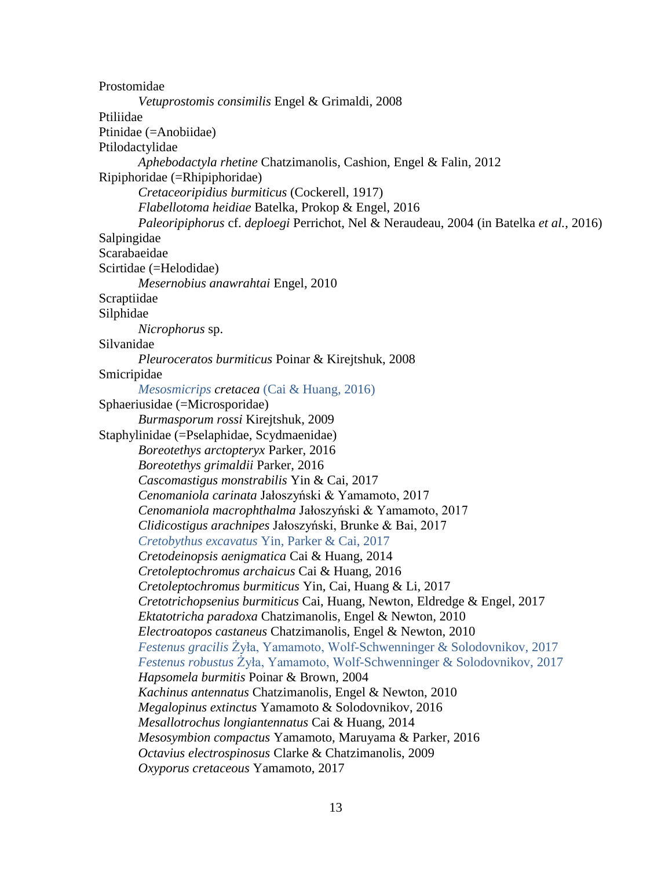Prostomidae *Vetuprostomis consimilis* Engel & Grimaldi, 2008 Ptiliidae Ptinidae (=Anobiidae) Ptilodactylidae *Aphebodactyla rhetine* Chatzimanolis, Cashion, Engel & Falin, 2012 Ripiphoridae (=Rhipiphoridae) *Cretaceoripidius burmiticus* (Cockerell, 1917) *Flabellotoma heidiae* Batelka, Prokop & Engel, 2016 *Paleoripiphorus* cf. *deploegi* Perrichot, Nel & Neraudeau, 2004 (in Batelka *et al.*, 2016) Salpingidae Scarabaeidae Scirtidae (=Helodidae) *Mesernobius anawrahtai* Engel, 2010 Scraptiidae Silphidae *Nicrophorus* sp. Silvanidae *Pleuroceratos burmiticus* Poinar & Kirejtshuk, 2008 Smicripidae *Mesosmicrips cretacea* (Cai & Huang, 2016) Sphaeriusidae (=Microsporidae) *Burmasporum rossi* Kirejtshuk, 2009 Staphylinidae (=Pselaphidae, Scydmaenidae) *Boreotethys arctopteryx* Parker, 2016 *Boreotethys grimaldii* Parker, 2016 *Cascomastigus monstrabilis* Yin & Cai, 2017 *Cenomaniola carinata* Jałoszyński & Yamamoto, 2017 *Cenomaniola macrophthalma* Jałoszyński & Yamamoto, 2017 *Clidicostigus arachnipes* Jałoszyński, Brunke & Bai, 2017 *Cretobythus excavatus* Yin, Parker & Cai, 2017 *Cretodeinopsis aenigmatica* Cai & Huang, 2014 *Cretoleptochromus archaicus* Cai & Huang, 2016 *Cretoleptochromus burmiticus* Yin, Cai, Huang & Li, 2017 *Cretotrichopsenius burmiticus* Cai, Huang, Newton, Eldredge & Engel, 2017 *Ektatotricha paradoxa* Chatzimanolis, Engel & Newton, 2010 *Electroatopos castaneus* Chatzimanolis, Engel & Newton, 2010 *Festenus gracilis* Żyła, Yamamoto, Wolf-Schwenninger & Solodovnikov, 2017 *Festenus robustus* Żyła, Yamamoto, Wolf-Schwenninger & Solodovnikov, 2017 *Hapsomela burmitis* Poinar & Brown, 2004 *Kachinus antennatus* Chatzimanolis, Engel & Newton, 2010 *Megalopinus extinctus* Yamamoto & Solodovnikov, 2016 *Mesallotrochus longiantennatus* Cai & Huang, 2014 *Mesosymbion compactus* Yamamoto, Maruyama & Parker, 2016 *Octavius electrospinosus* Clarke & Chatzimanolis, 2009 *Oxyporus cretaceous* Yamamoto, 2017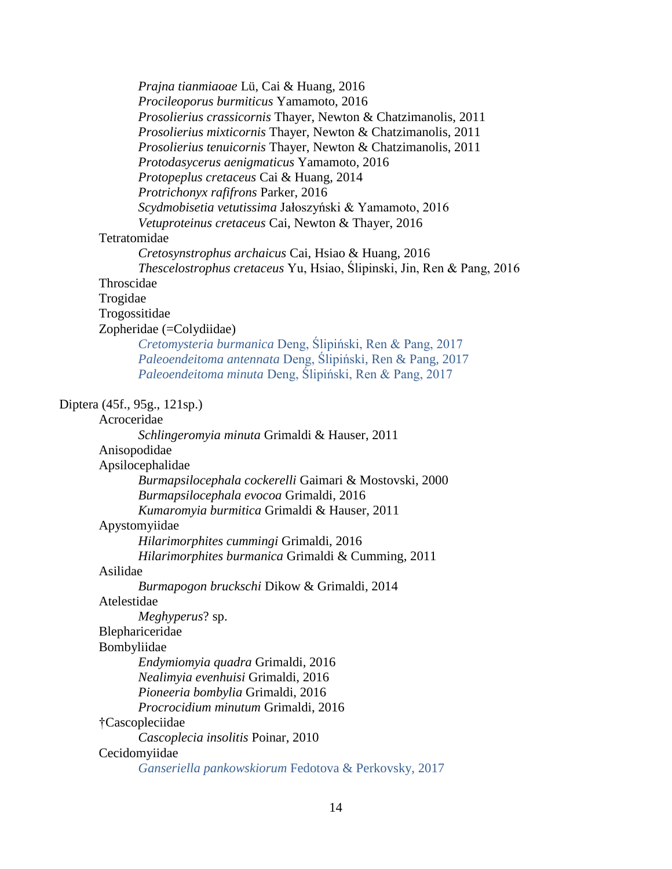*Prajna tianmiaoae* Lü, Cai & Huang, 2016 *Procileoporus burmiticus* Yamamoto, 2016 *Prosolierius crassicornis* Thayer, Newton & Chatzimanolis, 2011 *Prosolierius mixticornis* Thayer, Newton & Chatzimanolis, 2011 *Prosolierius tenuicornis* Thayer, Newton & Chatzimanolis, 2011 *Protodasycerus aenigmaticus* Yamamoto, 2016 *Protopeplus cretaceus* Cai & Huang, 2014 *Protrichonyx rafifrons* Parker, 2016 *Scydmobisetia vetutissima* Jałoszyński & Yamamoto, 2016 *Vetuproteinus cretaceus* Cai, Newton & Thayer, 2016 Tetratomidae *Cretosynstrophus archaicus* Cai, Hsiao & Huang, 2016 *Thescelostrophus cretaceus* Yu, Hsiao, Ślipinski, Jin, Ren & Pang, 2016 Throscidae Trogidae Trogossitidae Zopheridae (=Colydiidae) *Cretomysteria burmanica* Deng, Ślipiński, Ren & Pang, 2017 *Paleoendeitoma antennata* Deng, Ślipiński, Ren & Pang, 2017 *Paleoendeitoma minuta* Deng, Ślipiński, Ren & Pang, 2017 Diptera (45f., 95g., 121sp.) Acroceridae *Schlingeromyia minuta* Grimaldi & Hauser, 2011 Anisopodidae Apsilocephalidae *Burmapsilocephala cockerelli* Gaimari & Mostovski, 2000 *Burmapsilocephala evocoa* Grimaldi, 2016 *Kumaromyia burmitica* Grimaldi & Hauser, 2011 Apystomyiidae *Hilarimorphites cummingi* Grimaldi, 2016 *Hilarimorphites burmanica* Grimaldi & Cumming, 2011 Asilidae *Burmapogon bruckschi* Dikow & Grimaldi, 2014 Atelestidae *Meghyperus*? sp. Blephariceridae Bombyliidae *Endymiomyia quadra* Grimaldi, 2016 *Nealimyia evenhuisi* Grimaldi, 2016 *Pioneeria bombylia* Grimaldi, 2016 *Procrocidium minutum* Grimaldi, 2016 †Cascopleciidae *Cascoplecia insolitis* Poinar, 2010 Cecidomyiidae *Ganseriella pankowskiorum* Fedotova & Perkovsky, 2017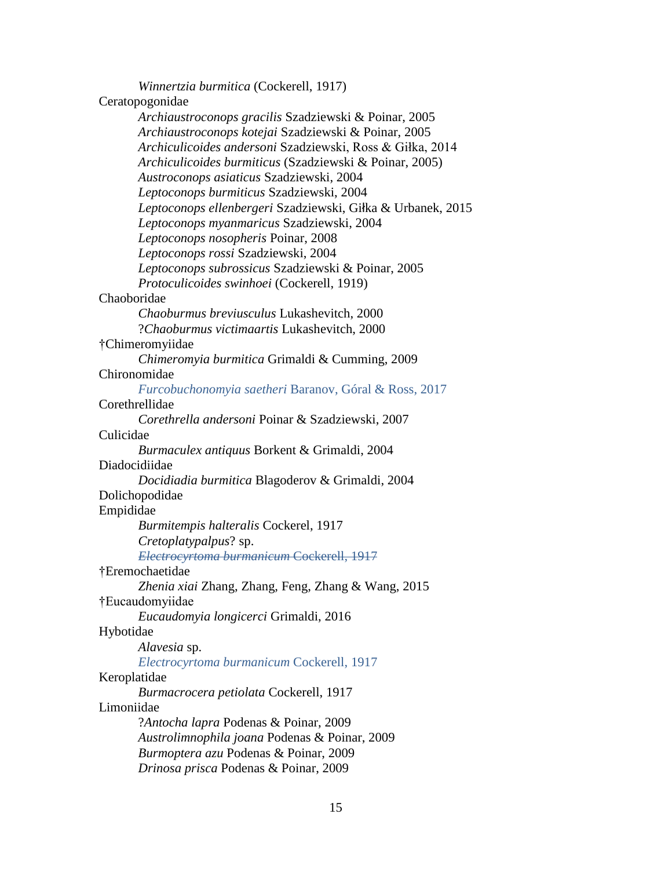*Winnertzia burmitica* (Cockerell, 1917) Ceratopogonidae *Archiaustroconops gracilis* Szadziewski & Poinar, 2005 *Archiaustroconops kotejai* Szadziewski & Poinar, 2005 *Archiculicoides andersoni* Szadziewski, Ross & Giłka, 2014 *Archiculicoides burmiticus* (Szadziewski & Poinar, 2005) *Austroconops asiaticus* Szadziewski, 2004 *Leptoconops burmiticus* Szadziewski, 2004 *Leptoconops ellenbergeri* Szadziewski, Giłka & Urbanek, 2015 *Leptoconops myanmaricus* Szadziewski, 2004 *Leptoconops nosopheris* Poinar, 2008 *Leptoconops rossi* Szadziewski, 2004 *Leptoconops subrossicus* Szadziewski & Poinar, 2005 *Protoculicoides swinhoei* (Cockerell, 1919) Chaoboridae *Chaoburmus breviusculus* Lukashevitch, 2000 ?*Chaoburmus victimaartis* Lukashevitch, 2000 †Chimeromyiidae *Chimeromyia burmitica* Grimaldi & Cumming, 2009 Chironomidae *Furcobuchonomyia saetheri* Baranov, Góral & Ross, 2017 Corethrellidae *Corethrella andersoni* Poinar & Szadziewski, 2007 Culicidae *Burmaculex antiquus* Borkent & Grimaldi, 2004 Diadocidiidae *Docidiadia burmitica* Blagoderov & Grimaldi, 2004 Dolichopodidae Empididae *Burmitempis halteralis* Cockerel, 1917 *Cretoplatypalpus*? sp. *Electrocyrtoma burmanicum* Cockerell, 1917 †Eremochaetidae *Zhenia xiai* Zhang, Zhang, Feng, Zhang & Wang, 2015 †Eucaudomyiidae *Eucaudomyia longicerci* Grimaldi, 2016 Hybotidae *Alavesia* sp. *Electrocyrtoma burmanicum* Cockerell, 1917 Keroplatidae *Burmacrocera petiolata* Cockerell, 1917 Limoniidae ?*Antocha lapra* Podenas & Poinar, 2009 *Austrolimnophila joana* Podenas & Poinar, 2009 *Burmoptera azu* Podenas & Poinar, 2009 *Drinosa prisca* Podenas & Poinar, 2009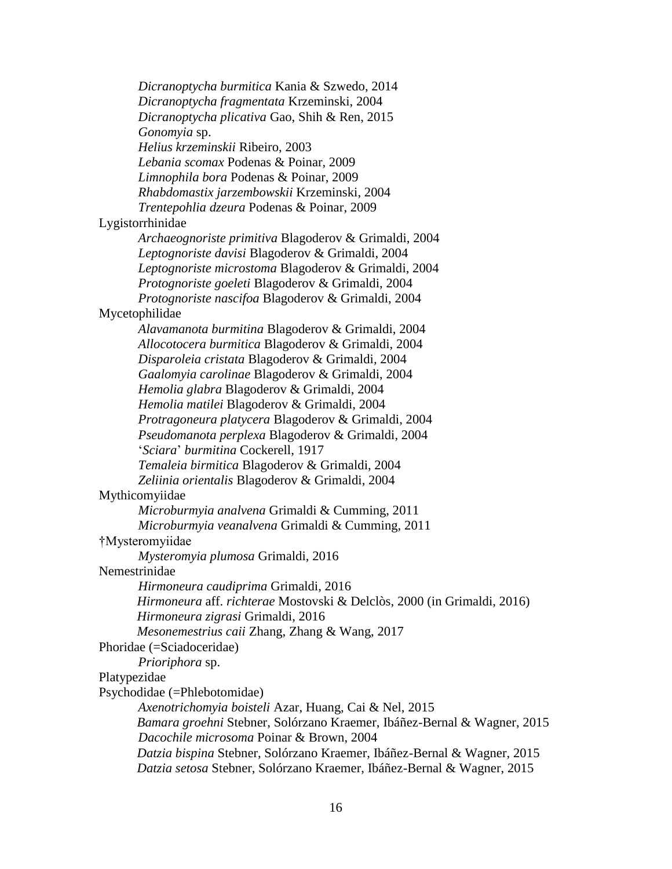*Dicranoptycha burmitica* Kania & Szwedo, 2014 *Dicranoptycha fragmentata* Krzeminski, 2004 *Dicranoptycha plicativa* Gao, Shih & Ren, 2015 *Gonomyia* sp. *Helius krzeminskii* Ribeiro, 2003 *Lebania scomax* Podenas & Poinar, 2009 *Limnophila bora* Podenas & Poinar, 2009 *Rhabdomastix jarzembowskii* Krzeminski, 2004 *Trentepohlia dzeura* Podenas & Poinar, 2009 Lygistorrhinidae *Archaeognoriste primitiva* Blagoderov & Grimaldi, 2004 *Leptognoriste davisi* Blagoderov & Grimaldi, 2004 *Leptognoriste microstoma* Blagoderov & Grimaldi, 2004 *Protognoriste goeleti* Blagoderov & Grimaldi, 2004 *Protognoriste nascifoa* Blagoderov & Grimaldi, 2004 Mycetophilidae *Alavamanota burmitina* Blagoderov & Grimaldi, 2004 *Allocotocera burmitica* Blagoderov & Grimaldi, 2004 *Disparoleia cristata* Blagoderov & Grimaldi, 2004 *Gaalomyia carolinae* Blagoderov & Grimaldi, 2004 *Hemolia glabra* Blagoderov & Grimaldi, 2004 *Hemolia matilei* Blagoderov & Grimaldi, 2004 *Protragoneura platycera* Blagoderov & Grimaldi, 2004 *Pseudomanota perplexa* Blagoderov & Grimaldi, 2004 '*Sciara*' *burmitina* Cockerell, 1917 *Temaleia birmitica* Blagoderov & Grimaldi, 2004 *Zeliinia orientalis* Blagoderov & Grimaldi, 2004 Mythicomyiidae *Microburmyia analvena* Grimaldi & Cumming, 2011 *Microburmyia veanalvena* Grimaldi & Cumming, 2011 †Mysteromyiidae *Mysteromyia plumosa* Grimaldi, 2016 Nemestrinidae *Hirmoneura caudiprima* Grimaldi, 2016 *Hirmoneura* aff. *richterae* Mostovski & Delclòs, 2000 (in Grimaldi, 2016) *Hirmoneura zigrasi* Grimaldi, 2016 *Mesonemestrius caii* Zhang, Zhang & Wang, 2017 Phoridae (=Sciadoceridae) *Prioriphora* sp. Platypezidae Psychodidae (=Phlebotomidae) *Axenotrichomyia boisteli* Azar, Huang, Cai & Nel, 2015 *Bamara groehni* Stebner, Solórzano Kraemer, Ibáñez-Bernal & Wagner, 2015 *Dacochile microsoma* Poinar & Brown, 2004 *Datzia bispina* Stebner, Solórzano Kraemer, Ibáñez-Bernal & Wagner, 2015 *Datzia setosa* Stebner, Solórzano Kraemer, Ibáñez-Bernal & Wagner, 2015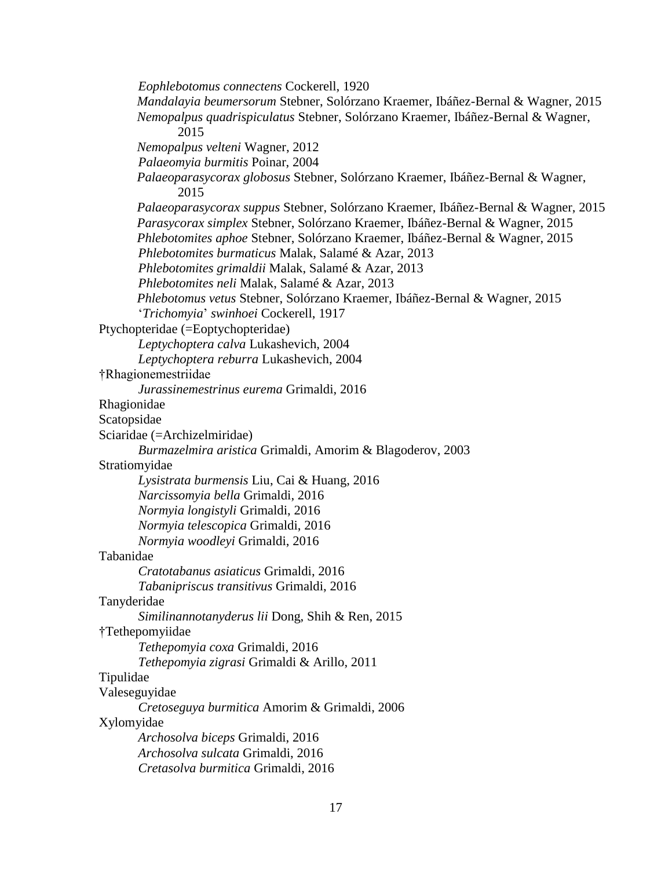*Eophlebotomus connectens* Cockerell, 1920 *Mandalayia beumersorum* Stebner, Solórzano Kraemer, Ibáñez-Bernal & Wagner, 2015 *Nemopalpus quadrispiculatus* Stebner, Solórzano Kraemer, Ibáñez-Bernal & Wagner, 2015 *Nemopalpus velteni* Wagner, 2012 *Palaeomyia burmitis* Poinar, 2004 *Palaeoparasycorax globosus* Stebner, Solórzano Kraemer, Ibáñez-Bernal & Wagner, 2015 *Palaeoparasycorax suppus* Stebner, Solórzano Kraemer, Ibáñez-Bernal & Wagner, 2015 *Parasycorax simplex* Stebner, Solórzano Kraemer, Ibáñez-Bernal & Wagner, 2015 *Phlebotomites aphoe* Stebner, Solórzano Kraemer, Ibáñez-Bernal & Wagner, 2015 *Phlebotomites burmaticus* Malak, Salamé & Azar, 2013 *Phlebotomites grimaldii* Malak, Salamé & Azar, 2013 *Phlebotomites neli* Malak, Salamé & Azar, 2013 *Phlebotomus vetus* Stebner, Solórzano Kraemer, Ibáñez-Bernal & Wagner, 2015 '*Trichomyia*' *swinhoei* Cockerell, 1917 Ptychopteridae (=Eoptychopteridae) *Leptychoptera calva* Lukashevich, 2004 *Leptychoptera reburra* Lukashevich, 2004 †Rhagionemestriidae *Jurassinemestrinus eurema* Grimaldi, 2016 Rhagionidae Scatopsidae Sciaridae (=Archizelmiridae) *Burmazelmira aristica* Grimaldi, Amorim & Blagoderov, 2003 Stratiomyidae *Lysistrata burmensis* Liu, Cai & Huang, 2016 *Narcissomyia bella* Grimaldi, 2016 *Normyia longistyli* Grimaldi, 2016 *Normyia telescopica* Grimaldi, 2016 *Normyia woodleyi* Grimaldi, 2016 Tabanidae *Cratotabanus asiaticus* Grimaldi, 2016 *Tabanipriscus transitivus* Grimaldi, 2016 Tanyderidae *Similinannotanyderus lii* Dong, Shih & Ren, 2015 †Tethepomyiidae *Tethepomyia coxa* Grimaldi, 2016 *Tethepomyia zigrasi* Grimaldi & Arillo, 2011 Tipulidae Valeseguyidae *Cretoseguya burmitica* Amorim & Grimaldi, 2006 Xylomyidae *Archosolva biceps* Grimaldi, 2016 *Archosolva sulcata* Grimaldi, 2016 *Cretasolva burmitica* Grimaldi, 2016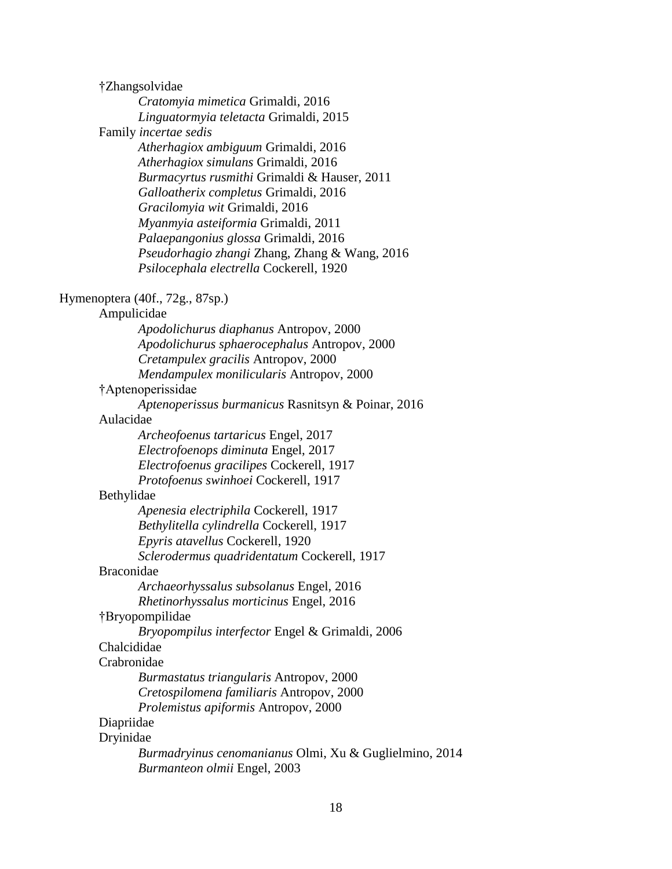†Zhangsolvidae *Cratomyia mimetica* Grimaldi, 2016 *Linguatormyia teletacta* Grimaldi, 2015 Family *incertae sedis Atherhagiox ambiguum* Grimaldi, 2016 *Atherhagiox simulans* Grimaldi, 2016 *Burmacyrtus rusmithi* Grimaldi & Hauser, 2011 *Galloatherix completus* Grimaldi, 2016 *Gracilomyia wit* Grimaldi, 2016 *Myanmyia asteiformia* Grimaldi, 2011 *Palaepangonius glossa* Grimaldi, 2016 *Pseudorhagio zhangi* Zhang, Zhang & Wang, 2016 *Psilocephala electrella* Cockerell, 1920 Hymenoptera (40f., 72g., 87sp.) Ampulicidae *Apodolichurus diaphanus* Antropov, 2000 *Apodolichurus sphaerocephalus* Antropov, 2000 *Cretampulex gracilis* Antropov, 2000 *Mendampulex monilicularis* Antropov, 2000 †Aptenoperissidae *Aptenoperissus burmanicus* Rasnitsyn & Poinar, 2016 Aulacidae *Archeofoenus tartaricus* Engel, 2017 *Electrofoenops diminuta* Engel, 2017 *Electrofoenus gracilipes* Cockerell, 1917 *Protofoenus swinhoei* Cockerell, 1917 Bethylidae *Apenesia electriphila* Cockerell, 1917 *Bethylitella cylindrella* Cockerell, 1917 *Epyris atavellus* Cockerell, 1920 *Sclerodermus quadridentatum* Cockerell, 1917 Braconidae *Archaeorhyssalus subsolanus* Engel, 2016 *Rhetinorhyssalus morticinus* Engel, 2016 †Bryopompilidae *Bryopompilus interfector* Engel & Grimaldi, 2006 Chalcididae Crabronidae *Burmastatus triangularis* Antropov, 2000 *Cretospilomena familiaris* Antropov, 2000 *Prolemistus apiformis* Antropov, 2000 Diapriidae Dryinidae *Burmadryinus cenomanianus* Olmi, Xu & Guglielmino, 2014 *Burmanteon olmii* Engel, 2003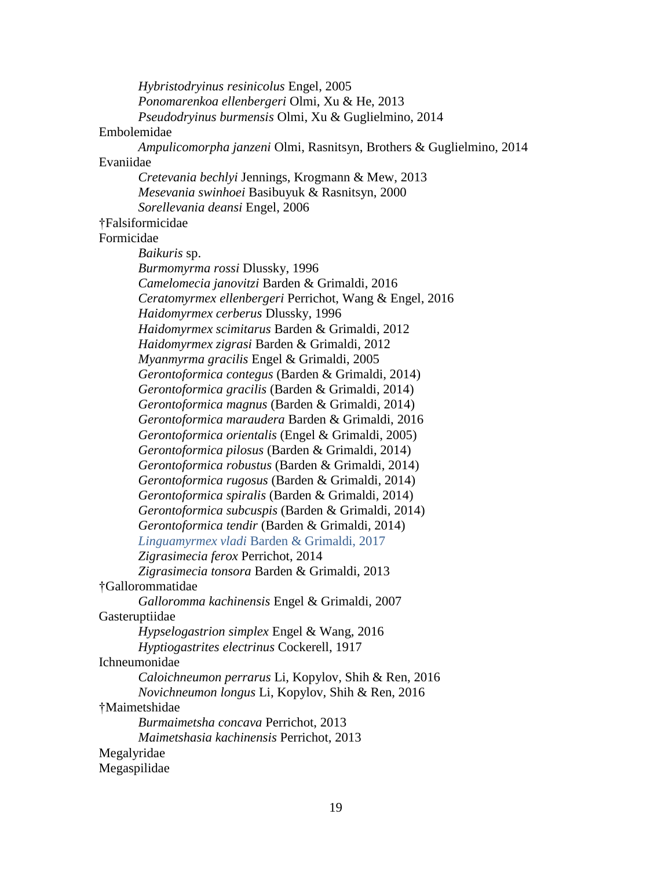*Hybristodryinus resinicolus* Engel, 2005 *Ponomarenkoa ellenbergeri* Olmi, Xu & He, 2013 *Pseudodryinus burmensis* Olmi, Xu & Guglielmino, 2014 Embolemidae *Ampulicomorpha janzeni* Olmi, Rasnitsyn, Brothers & Guglielmino, 2014 Evaniidae *Cretevania bechlyi* Jennings, Krogmann & Mew, 2013 *Mesevania swinhoei* Basibuyuk & Rasnitsyn, 2000 *Sorellevania deansi* Engel, 2006 †Falsiformicidae Formicidae *Baikuris* sp. *Burmomyrma rossi* Dlussky, 1996 *Camelomecia janovitzi* Barden & Grimaldi, 2016 *Ceratomyrmex ellenbergeri* Perrichot, Wang & Engel, 2016 *Haidomyrmex cerberus* Dlussky, 1996 *Haidomyrmex scimitarus* Barden & Grimaldi, 2012 *Haidomyrmex zigrasi* Barden & Grimaldi, 2012 *Myanmyrma gracilis* Engel & Grimaldi, 2005 *Gerontoformica contegus* (Barden & Grimaldi, 2014) *Gerontoformica gracilis* (Barden & Grimaldi, 2014) *Gerontoformica magnus* (Barden & Grimaldi, 2014) *Gerontoformica maraudera* Barden & Grimaldi, 2016 *Gerontoformica orientalis* (Engel & Grimaldi, 2005) *Gerontoformica pilosus* (Barden & Grimaldi, 2014) *Gerontoformica robustus* (Barden & Grimaldi, 2014) *Gerontoformica rugosus* (Barden & Grimaldi, 2014) *Gerontoformica spiralis* (Barden & Grimaldi, 2014) *Gerontoformica subcuspis* (Barden & Grimaldi, 2014) *Gerontoformica tendir* (Barden & Grimaldi, 2014) *Linguamyrmex vladi* Barden & Grimaldi, 2017 *Zigrasimecia ferox* Perrichot, 2014 *Zigrasimecia tonsora* Barden & Grimaldi, 2013 †Gallorommatidae *Galloromma kachinensis* Engel & Grimaldi, 2007 Gasteruptiidae *Hypselogastrion simplex* Engel & Wang, 2016 *Hyptiogastrites electrinus* Cockerell, 1917 Ichneumonidae *Caloichneumon perrarus* Li, Kopylov, Shih & Ren, 2016 *Novichneumon longus* Li, Kopylov, Shih & Ren, 2016 †Maimetshidae *Burmaimetsha concava* Perrichot, 2013 *Maimetshasia kachinensis* Perrichot, 2013 Megalyridae Megaspilidae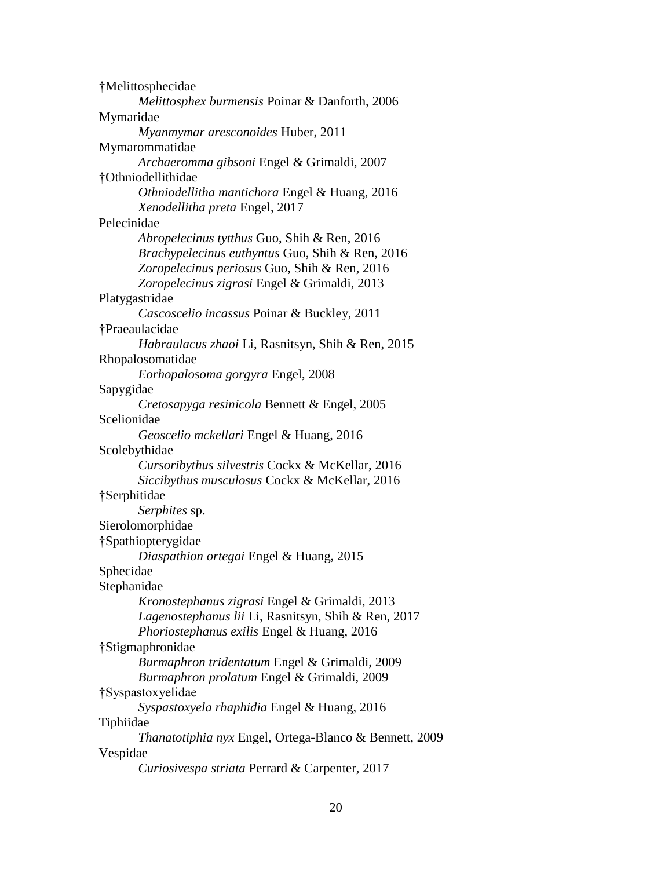†Melittosphecidae *Melittosphex burmensis* Poinar & Danforth, 2006 Mymaridae *Myanmymar aresconoides* Huber, 2011 Mymarommatidae *Archaeromma gibsoni* Engel & Grimaldi, 2007 †Othniodellithidae *Othniodellitha mantichora* Engel & Huang, 2016 *Xenodellitha preta* Engel, 2017 Pelecinidae *Abropelecinus tytthus* Guo, Shih & Ren, 2016 *Brachypelecinus euthyntus* Guo, Shih & Ren, 2016 *Zoropelecinus periosus* Guo, Shih & Ren, 2016 *Zoropelecinus zigrasi* Engel & Grimaldi, 2013 Platygastridae *Cascoscelio incassus* Poinar & Buckley, 2011 †Praeaulacidae *Habraulacus zhaoi* Li, Rasnitsyn, Shih & Ren, 2015 Rhopalosomatidae *Eorhopalosoma gorgyra* Engel, 2008 Sapygidae *Cretosapyga resinicola* Bennett & Engel, 2005 Scelionidae *Geoscelio mckellari* Engel & Huang, 2016 Scolebythidae *Cursoribythus silvestris* Cockx & McKellar, 2016 *Siccibythus musculosus* Cockx & McKellar, 2016 †Serphitidae *Serphites* sp. Sierolomorphidae †Spathiopterygidae *Diaspathion ortegai* Engel & Huang, 2015 Sphecidae Stephanidae *Kronostephanus zigrasi* Engel & Grimaldi, 2013 *Lagenostephanus lii* Li, Rasnitsyn, Shih & Ren, 2017 *Phoriostephanus exilis* Engel & Huang, 2016 †Stigmaphronidae *Burmaphron tridentatum* Engel & Grimaldi, 2009 *Burmaphron prolatum* Engel & Grimaldi, 2009 †Syspastoxyelidae *Syspastoxyela rhaphidia* Engel & Huang, 2016 Tiphiidae *Thanatotiphia nyx* Engel, Ortega-Blanco & Bennett, 2009 Vespidae *Curiosivespa striata* Perrard & Carpenter, 2017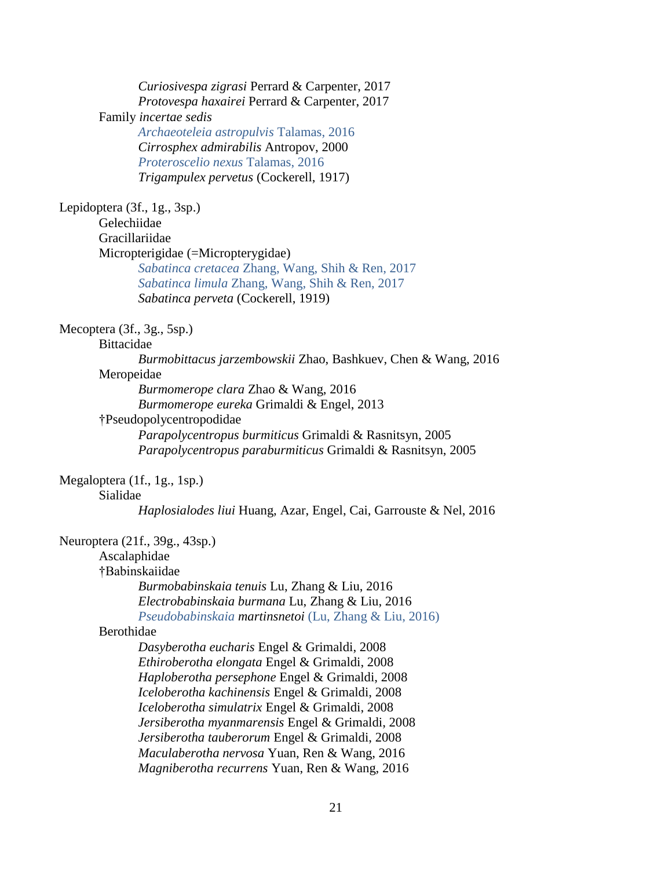21 *Curiosivespa zigrasi* Perrard & Carpenter, 2017 *Protovespa haxairei* Perrard & Carpenter, 2017 Family *incertae sedis Archaeoteleia astropulvis* Talamas, 2016 *Cirrosphex admirabilis* Antropov, 2000 *Proteroscelio nexus* Talamas, 2016 *Trigampulex pervetus* (Cockerell, 1917) Lepidoptera (3f., 1g., 3sp.) Gelechiidae Gracillariidae Micropterigidae (=Micropterygidae) *Sabatinca cretacea* Zhang, Wang, Shih & Ren, 2017 *Sabatinca limula* Zhang, Wang, Shih & Ren, 2017 *Sabatinca perveta* (Cockerell, 1919) Mecoptera (3f., 3g., 5sp.) Bittacidae *Burmobittacus jarzembowskii* Zhao, Bashkuev, Chen & Wang, 2016 Meropeidae *Burmomerope clara* Zhao & Wang, 2016 *Burmomerope eureka* Grimaldi & Engel, 2013 †Pseudopolycentropodidae *Parapolycentropus burmiticus* Grimaldi & Rasnitsyn, 2005 *Parapolycentropus paraburmiticus* Grimaldi & Rasnitsyn, 2005 Megaloptera (1f., 1g., 1sp.) Sialidae *Haplosialodes liui* Huang, Azar, Engel, Cai, Garrouste & Nel, 2016 Neuroptera (21f., 39g., 43sp.) Ascalaphidae †Babinskaiidae *Burmobabinskaia tenuis* Lu, Zhang & Liu, 2016 *Electrobabinskaia burmana* Lu, Zhang & Liu, 2016 *Pseudobabinskaia martinsnetoi* (Lu, Zhang & Liu, 2016) Berothidae *Dasyberotha eucharis* Engel & Grimaldi, 2008 *Ethiroberotha elongata* Engel & Grimaldi, 2008 *Haploberotha persephone* Engel & Grimaldi, 2008 *Iceloberotha kachinensis* Engel & Grimaldi, 2008 *Iceloberotha simulatrix* Engel & Grimaldi, 2008 *Jersiberotha myanmarensis* Engel & Grimaldi, 2008 *Jersiberotha tauberorum* Engel & Grimaldi, 2008 *Maculaberotha nervosa* Yuan, Ren & Wang, 2016 *Magniberotha recurrens* Yuan, Ren & Wang, 2016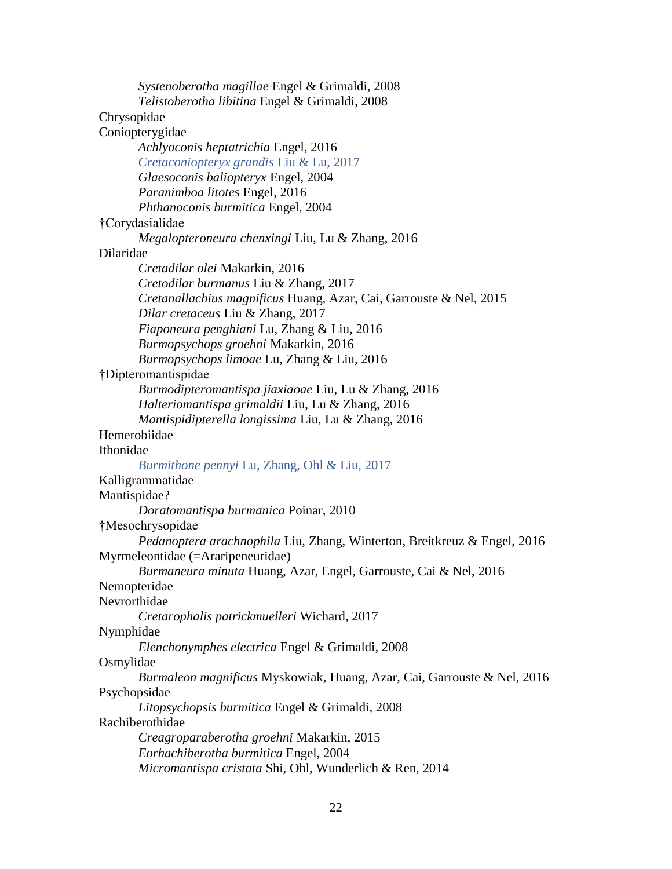| Systenoberotha magillae Engel & Grimaldi, 2008                           |
|--------------------------------------------------------------------------|
| Telistoberotha libitina Engel & Grimaldi, 2008                           |
| Chrysopidae                                                              |
| Coniopterygidae                                                          |
| Achlyoconis heptatrichia Engel, 2016                                     |
| Cretaconiopteryx grandis Liu & Lu, 2017                                  |
| Glaesoconis baliopteryx Engel, 2004                                      |
| Paranimboa litotes Engel, 2016                                           |
| Phthanoconis burmitica Engel, 2004                                       |
| †Corydasialidae                                                          |
| Megalopteroneura chenxingi Liu, Lu & Zhang, 2016                         |
| Dilaridae                                                                |
| Cretadilar olei Makarkin, 2016                                           |
| Cretodilar burmanus Liu & Zhang, 2017                                    |
| Cretanallachius magnificus Huang, Azar, Cai, Garrouste & Nel, 2015       |
| Dilar cretaceus Liu & Zhang, 2017                                        |
| Fiaponeura penghiani Lu, Zhang & Liu, 2016                               |
| Burmopsychops groehni Makarkin, 2016                                     |
| Burmopsychops limoae Lu, Zhang & Liu, 2016                               |
| †Dipteromantispidae                                                      |
| Burmodipteromantispa jiaxiaoae Liu, Lu & Zhang, 2016                     |
|                                                                          |
| Halteriomantispa grimaldii Liu, Lu & Zhang, 2016                         |
| Mantispidipterella longissima Liu, Lu & Zhang, 2016<br>Hemerobiidae      |
| Ithonidae                                                                |
|                                                                          |
| Burmithone pennyi Lu, Zhang, Ohl & Liu, 2017                             |
| Kalligrammatidae                                                         |
| Mantispidae?                                                             |
| Doratomantispa burmanica Poinar, 2010                                    |
| †Mesochrysopidae                                                         |
| Pedanoptera arachnophila Liu, Zhang, Winterton, Breitkreuz & Engel, 2016 |
| Myrmeleontidae (=Araripeneuridae)                                        |
| Burmaneura minuta Huang, Azar, Engel, Garrouste, Cai & Nel, 2016         |
| Nemopteridae                                                             |
| Nevrorthidae                                                             |
| Cretarophalis patrickmuelleri Wichard, 2017                              |
| Nymphidae                                                                |
| Elenchonymphes electrica Engel & Grimaldi, 2008                          |
| Osmylidae                                                                |
| Burmaleon magnificus Myskowiak, Huang, Azar, Cai, Garrouste & Nel, 2016  |
| Psychopsidae                                                             |
| Litopsychopsis burmitica Engel & Grimaldi, 2008                          |
| Rachiberothidae                                                          |
| Creagroparaberotha groehni Makarkin, 2015                                |
| Eorhachiberotha burmitica Engel, 2004                                    |
| Micromantispa cristata Shi, Ohl, Wunderlich & Ren, 2014                  |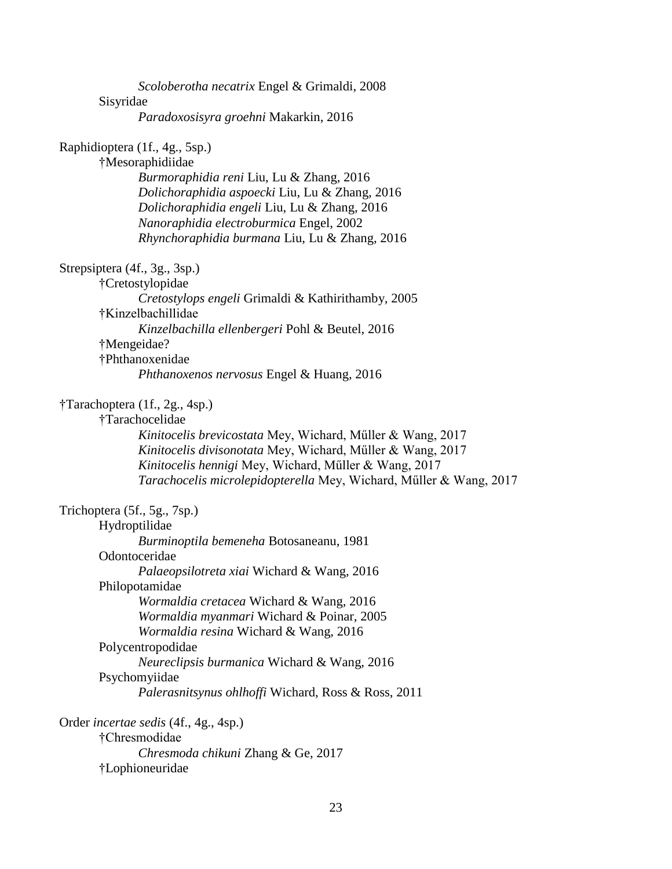| Scoloberotha necatrix Engel & Grimaldi, 2008                       |
|--------------------------------------------------------------------|
| Sisyridae                                                          |
| Paradoxosisyra groehni Makarkin, 2016                              |
| Raphidioptera (1f., 4g., 5sp.)                                     |
| †Mesoraphidiidae                                                   |
| Burmoraphidia reni Liu, Lu & Zhang, 2016                           |
| Dolichoraphidia aspoecki Liu, Lu & Zhang, 2016                     |
| Dolichoraphidia engeli Liu, Lu & Zhang, 2016                       |
| Nanoraphidia electroburmica Engel, 2002                            |
| Rhynchoraphidia burmana Liu, Lu & Zhang, 2016                      |
| Strepsiptera (4f., 3g., 3sp.)                                      |
| †Cretostylopidae                                                   |
| Cretostylops engeli Grimaldi & Kathirithamby, 2005                 |
| †Kinzelbachillidae                                                 |
| Kinzelbachilla ellenbergeri Pohl & Beutel, 2016                    |
| †Mengeidae?                                                        |
| †Phthanoxenidae                                                    |
| Phthanoxenos nervosus Engel & Huang, 2016                          |
| †Tarachoptera (1f., 2g., 4sp.)                                     |
| †Tarachocelidae                                                    |
| Kinitocelis brevicostata Mey, Wichard, Müller & Wang, 2017         |
| Kinitocelis divisonotata Mey, Wichard, Müller & Wang, 2017         |
| Kinitocelis hennigi Mey, Wichard, Müller & Wang, 2017              |
| Tarachocelis microlepidopterella Mey, Wichard, Müller & Wang, 2017 |
| Trichoptera (5f., 5g., 7sp.)                                       |
| Hydroptilidae                                                      |
| Burminoptila bemeneha Botosaneanu, 1981                            |
| Odontoceridae                                                      |
| Palaeopsilotreta xiai Wichard & Wang, 2016                         |
| Philopotamidae                                                     |
| Wormaldia cretacea Wichard & Wang, 2016                            |
| Wormaldia myanmari Wichard & Poinar, 2005                          |
| Wormaldia resina Wichard & Wang, 2016                              |
| Polycentropodidae                                                  |
| Neureclipsis burmanica Wichard & Wang, 2016                        |
| Psychomyiidae                                                      |
| Palerasnitsynus ohlhoffi Wichard, Ross & Ross, 2011                |
| Order <i>incertae sedis</i> (4f., 4g., 4sp.)                       |
| †Chresmodidae                                                      |
| Chresmoda chikuni Zhang & Ge, 2017                                 |
| †Lophioneuridae                                                    |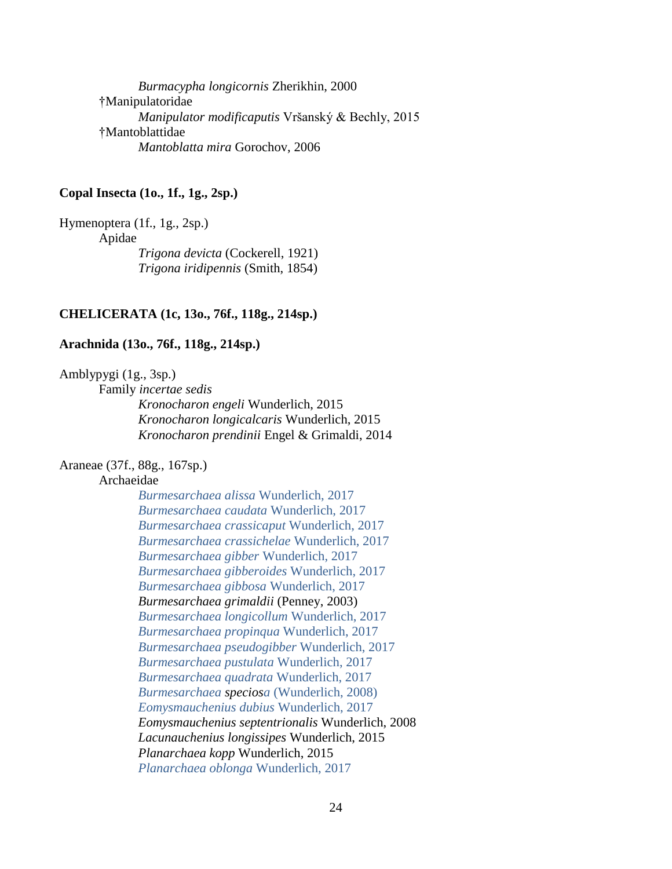*Burmacypha longicornis* Zherikhin, 2000 †Manipulatoridae *Manipulator modificaputis* Vršanský & Bechly, 2015 †Mantoblattidae *Mantoblatta mira* Gorochov, 2006

# **Copal Insecta (1o., 1f., 1g., 2sp.)**

Hymenoptera (1f., 1g., 2sp.) Apidae *Trigona devicta* (Cockerell, 1921) *Trigona iridipennis* (Smith, 1854)

# **CHELICERATA (1c, 13o., 76f., 118g., 214sp.)**

### **Arachnida (13o., 76f., 118g., 214sp.)**

Amblypygi (1g., 3sp.)

Family *incertae sedis*

*Kronocharon engeli* Wunderlich, 2015 *Kronocharon longicalcaris* Wunderlich, 2015 *Kronocharon prendinii* Engel & Grimaldi, 2014

# Araneae (37f., 88g., 167sp.)

# Archaeidae

*Burmesarchaea alissa* Wunderlich, 2017 *Burmesarchaea caudata* Wunderlich, 2017 *Burmesarchaea crassicaput* Wunderlich, 2017 *Burmesarchaea crassichelae* Wunderlich, 2017 *Burmesarchaea gibber* Wunderlich, 2017 *Burmesarchaea gibberoides* Wunderlich, 2017 *Burmesarchaea gibbosa* Wunderlich, 2017 *Burmesarchaea grimaldii* (Penney, 2003) *Burmesarchaea longicollum* Wunderlich, 2017 *Burmesarchaea propinqua* Wunderlich, 2017 *Burmesarchaea pseudogibber* Wunderlich, 2017 *Burmesarchaea pustulata* Wunderlich, 2017 *Burmesarchaea quadrata* Wunderlich, 2017 *Burmesarchaea speciosa* (Wunderlich, 2008) *Eomysmauchenius dubius* Wunderlich, 2017 *Eomysmauchenius septentrionalis* Wunderlich, 2008 *Lacunauchenius longissipes* Wunderlich, 2015 *Planarchaea kopp* Wunderlich, 2015 *Planarchaea oblonga* Wunderlich, 2017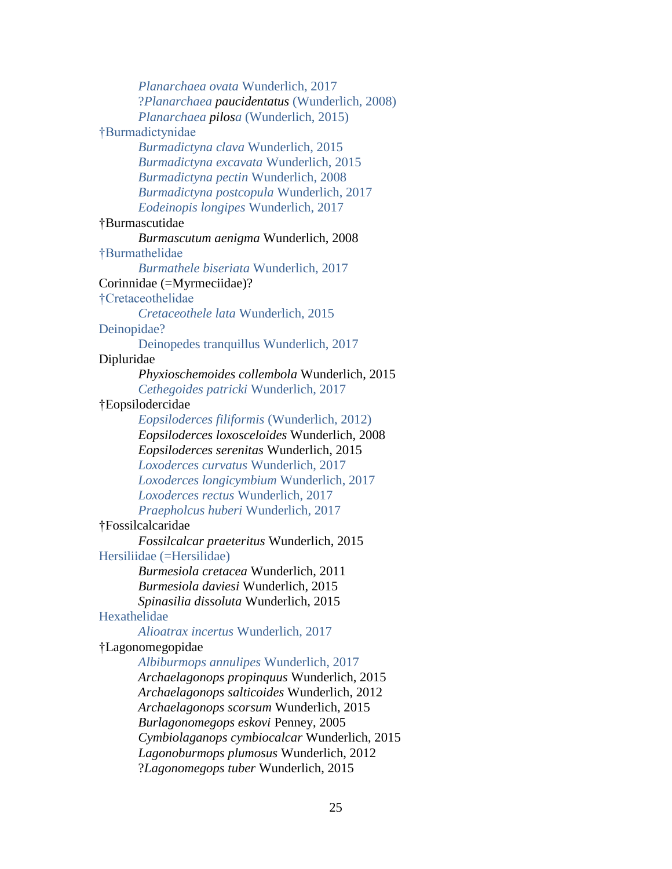*Planarchaea ovata* Wunderlich, 2017 ?*Planarchaea paucidentatus* (Wunderlich, 2008) *Planarchaea pilosa* (Wunderlich, 2015) †Burmadictynidae *Burmadictyna clava* Wunderlich, 2015 *Burmadictyna excavata* Wunderlich, 2015 *Burmadictyna pectin* Wunderlich, 2008 *Burmadictyna postcopula* Wunderlich, 2017 *Eodeinopis longipes* Wunderlich, 2017 †Burmascutidae *Burmascutum aenigma* Wunderlich, 2008 †Burmathelidae *Burmathele biseriata* Wunderlich, 2017 Corinnidae (=Myrmeciidae)? †Cretaceothelidae *Cretaceothele lata* Wunderlich, 2015 Deinopidae? Deinopedes tranquillus Wunderlich, 2017 Dipluridae *Phyxioschemoides collembola* Wunderlich, 2015 *Cethegoides patricki* Wunderlich, 2017 †Eopsilodercidae *Eopsiloderces filiformis* (Wunderlich, 2012) *Eopsiloderces loxosceloides* Wunderlich, 2008 *Eopsiloderces serenitas* Wunderlich, 2015 *Loxoderces curvatus* Wunderlich, 2017 *Loxoderces longicymbium* Wunderlich, 2017 *Loxoderces rectus* Wunderlich, 2017 *Praepholcus huberi* Wunderlich, 2017 †Fossilcalcaridae *Fossilcalcar praeteritus* Wunderlich, 2015 Hersiliidae (=Hersilidae) *Burmesiola cretacea* Wunderlich, 2011 *Burmesiola daviesi* Wunderlich, 2015 *Spinasilia dissoluta* Wunderlich, 2015 Hexathelidae *Alioatrax incertus* Wunderlich, 2017 †Lagonomegopidae *Albiburmops annulipes* Wunderlich, 2017 *Archaelagonops propinquus* Wunderlich, 2015 *Archaelagonops salticoides* Wunderlich, 2012 *Archaelagonops scorsum* Wunderlich, 2015 *Burlagonomegops eskovi* Penney, 2005 *Cymbiolaganops cymbiocalcar* Wunderlich, 2015 *Lagonoburmops plumosus* Wunderlich, 2012 ?*Lagonomegops tuber* Wunderlich, 2015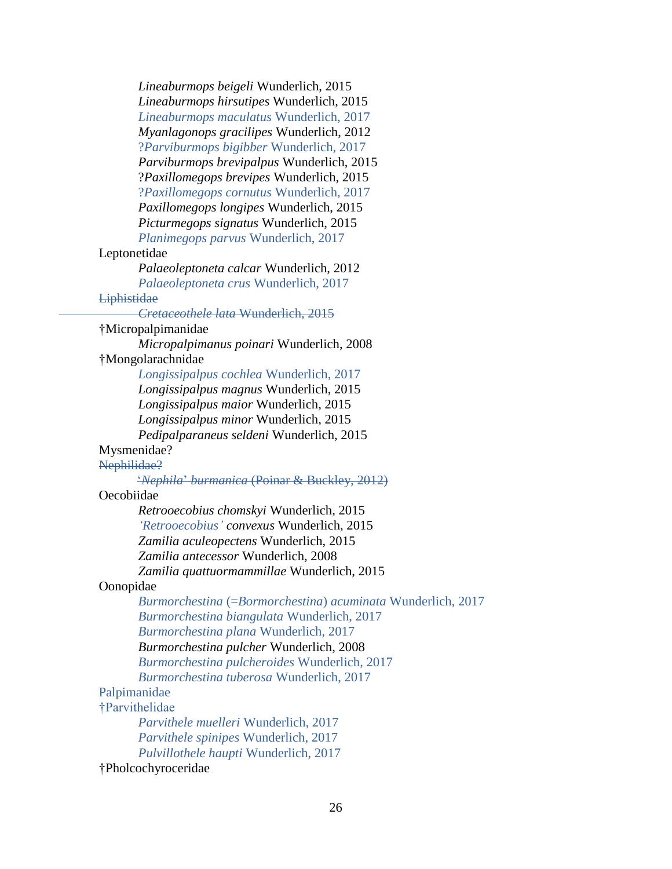*Lineaburmops beigeli* Wunderlich, 2015 *Lineaburmops hirsutipes* Wunderlich, 2015 *Lineaburmops maculatus* Wunderlich, 2017 *Myanlagonops gracilipes* Wunderlich, 2012 ?*Parviburmops bigibber* Wunderlich, 2017 *Parviburmops brevipalpus* Wunderlich, 2015 ?*Paxillomegops brevipes* Wunderlich, 2015 ?*Paxillomegops cornutus* Wunderlich, 2017 *Paxillomegops longipes* Wunderlich, 2015 *Picturmegops signatus* Wunderlich, 2015 *Planimegops parvus* Wunderlich, 2017 Leptonetidae *Palaeoleptoneta calcar* Wunderlich, 2012 *Palaeoleptoneta crus* Wunderlich, 2017 **Liphistidae** *Cretaceothele lata* Wunderlich, 2015 †Micropalpimanidae *Micropalpimanus poinari* Wunderlich, 2008 †Mongolarachnidae *Longissipalpus cochlea* Wunderlich, 2017 *Longissipalpus magnus* Wunderlich, 2015 *Longissipalpus maior* Wunderlich, 2015 *Longissipalpus minor* Wunderlich, 2015 *Pedipalparaneus seldeni* Wunderlich, 2015 Mysmenidae? Nephilidae? '*Nephila*' *burmanica* (Poinar & Buckley, 2012) Oecobiidae *Retrooecobius chomskyi* Wunderlich, 2015 *'Retrooecobius' convexus* Wunderlich, 2015 *Zamilia aculeopectens* Wunderlich, 2015 *Zamilia antecessor* Wunderlich, 2008 *Zamilia quattuormammillae* Wunderlich, 2015 Oonopidae *Burmorchestina* (=*Bormorchestina*) *acuminata* Wunderlich, 2017 *Burmorchestina biangulata* Wunderlich, 2017 *Burmorchestina plana* Wunderlich, 2017 *Burmorchestina pulcher* Wunderlich, 2008 *Burmorchestina pulcheroides* Wunderlich, 2017 *Burmorchestina tuberosa* Wunderlich, 2017 Palpimanidae †Parvithelidae *Parvithele muelleri* Wunderlich, 2017 *Parvithele spinipes* Wunderlich, 2017 *Pulvillothele haupti* Wunderlich, 2017 †Pholcochyroceridae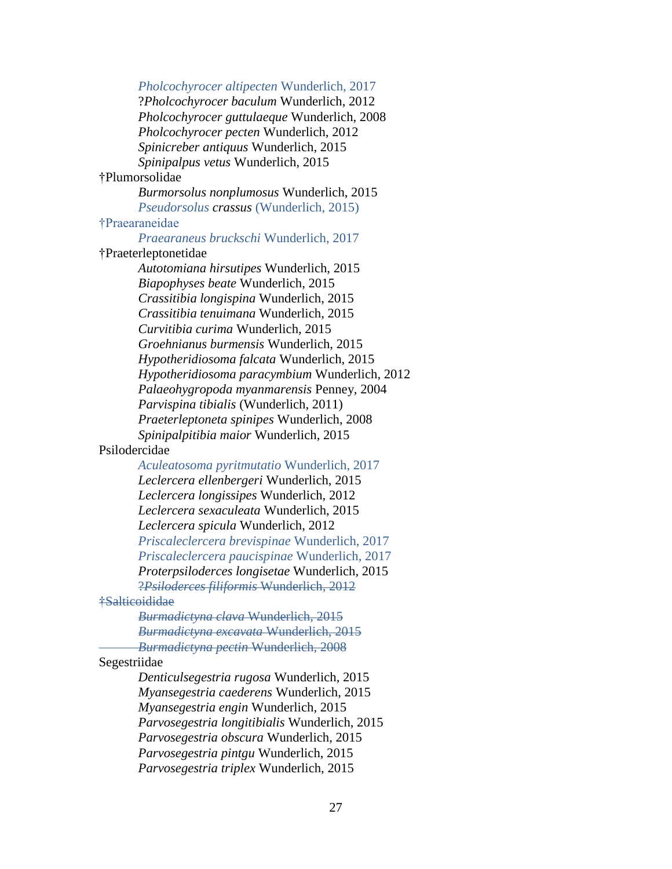*Pholcochyrocer altipecten* Wunderlich, 2017

?*Pholcochyrocer baculum* Wunderlich, 2012 *Pholcochyrocer guttulaeque* Wunderlich, 2008 *Pholcochyrocer pecten* Wunderlich, 2012 *Spinicreber antiquus* Wunderlich, 2015 *Spinipalpus vetus* Wunderlich, 2015

# †Plumorsolidae

*Burmorsolus nonplumosus* Wunderlich, 2015 *Pseudorsolus crassus* (Wunderlich, 2015)

# †Praearaneidae

*Praearaneus bruckschi* Wunderlich, 2017

# †Praeterleptonetidae

*Autotomiana hirsutipes* Wunderlich, 2015 *Biapophyses beate* Wunderlich, 2015 *Crassitibia longispina* Wunderlich, 2015 *Crassitibia tenuimana* Wunderlich, 2015 *Curvitibia curima* Wunderlich, 2015 *Groehnianus burmensis* Wunderlich, 2015 *Hypotheridiosoma falcata* Wunderlich, 2015 *Hypotheridiosoma paracymbium* Wunderlich, 2012 *Palaeohygropoda myanmarensis* Penney, 2004 *Parvispina tibialis* (Wunderlich, 2011) *Praeterleptoneta spinipes* Wunderlich, 2008 *Spinipalpitibia maior* Wunderlich, 2015

### Psilodercidae

*Aculeatosoma pyritmutatio* Wunderlich, 2017

*Leclercera ellenbergeri* Wunderlich, 2015 *Leclercera longissipes* Wunderlich, 2012 *Leclercera sexaculeata* Wunderlich, 2015 *Leclercera spicula* Wunderlich, 2012 *Priscaleclercera brevispinae* Wunderlich, 2017 *Priscaleclercera paucispinae* Wunderlich, 2017 *Proterpsiloderces longisetae* Wunderlich, 2015 ?*Psiloderces filiformis* Wunderlich, 2012

# †Salticoididae

*Burmadictyna clava* Wunderlich, 2015 *Burmadictyna excavata* Wunderlich, 2015 *Burmadictyna pectin* Wunderlich, 2008

#### Segestriidae

*Denticulsegestria rugosa* Wunderlich, 2015 *Myansegestria caederens* Wunderlich, 2015 *Myansegestria engin* Wunderlich, 2015 *Parvosegestria longitibialis* Wunderlich, 2015 *Parvosegestria obscura* Wunderlich, 2015 *Parvosegestria pintgu* Wunderlich, 2015 *Parvosegestria triplex* Wunderlich, 2015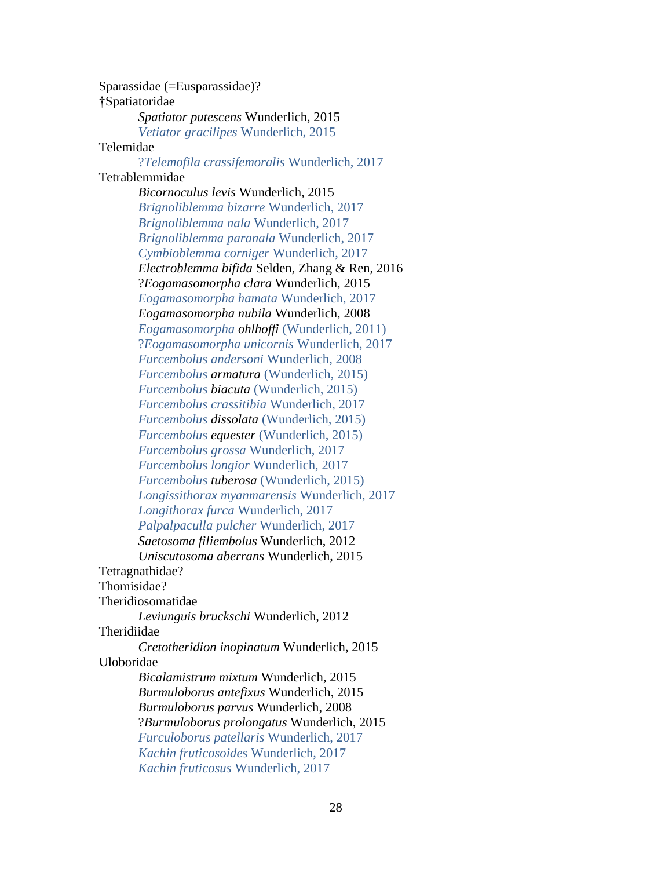Sparassidae (=Eusparassidae)? †Spatiatoridae *Spatiator putescens* Wunderlich, 2015 *Vetiator gracilipes* Wunderlich, 2015 Telemidae ?*Telemofila crassifemoralis* Wunderlich, 2017 Tetrablemmidae *Bicornoculus levis* Wunderlich, 2015 *Brignoliblemma bizarre* Wunderlich, 2017 *Brignoliblemma nala* Wunderlich, 2017 *Brignoliblemma paranala* Wunderlich, 2017 *Cymbioblemma corniger* Wunderlich, 2017 *Electroblemma bifida* Selden, Zhang & Ren, 2016 ?*Eogamasomorpha clara* Wunderlich, 2015 *Eogamasomorpha hamata* Wunderlich, 2017 *Eogamasomorpha nubila* Wunderlich, 2008 *Eogamasomorpha ohlhoffi* (Wunderlich, 2011) ?*Eogamasomorpha unicornis* Wunderlich, 2017 *Furcembolus andersoni* Wunderlich, 2008 *Furcembolus armatura* (Wunderlich, 2015) *Furcembolus biacuta* (Wunderlich, 2015) *Furcembolus crassitibia* Wunderlich, 2017 *Furcembolus dissolata* (Wunderlich, 2015) *Furcembolus equester* (Wunderlich, 2015) *Furcembolus grossa* Wunderlich, 2017 *Furcembolus longior* Wunderlich, 2017 *Furcembolus tuberosa* (Wunderlich, 2015) *Longissithorax myanmarensis* Wunderlich, 2017 *Longithorax furca* Wunderlich, 2017 *Palpalpaculla pulcher* Wunderlich, 2017 *Saetosoma filiembolus* Wunderlich, 2012 *Uniscutosoma aberrans* Wunderlich, 2015 Tetragnathidae? Thomisidae? Theridiosomatidae *Leviunguis bruckschi* Wunderlich, 2012 **Theridiidae** *Cretotheridion inopinatum* Wunderlich, 2015 Uloboridae *Bicalamistrum mixtum* Wunderlich, 2015 *Burmuloborus antefixus* Wunderlich, 2015 *Burmuloborus parvus* Wunderlich, 2008 ?*Burmuloborus prolongatus* Wunderlich, 2015 *Furculoborus patellaris* Wunderlich, 2017 *Kachin fruticosoides* Wunderlich, 2017 *Kachin fruticosus* Wunderlich, 2017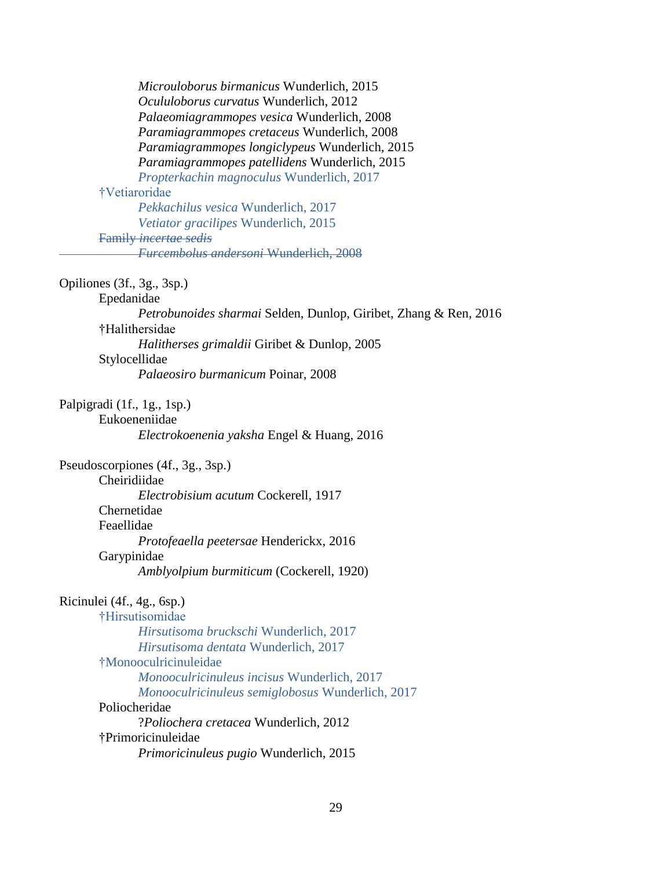| Microuloborus birmanicus Wunderlich, 2015                        |
|------------------------------------------------------------------|
| Ocululoborus curvatus Wunderlich, 2012                           |
| Palaeomiagrammopes vesica Wunderlich, 2008                       |
| Paramiagrammopes cretaceus Wunderlich, 2008                      |
| Paramiagrammopes longiclypeus Wunderlich, 2015                   |
| Paramiagrammopes patellidens Wunderlich, 2015                    |
| Propterkachin magnoculus Wunderlich, 2017                        |
| †Vetiaroridae                                                    |
| Pekkachilus vesica Wunderlich, 2017                              |
| Vetiator gracilipes Wunderlich, 2015                             |
| <b>Family incertae sedis</b>                                     |
| <b>Furcembolus andersoni Wunderlich, 2008</b>                    |
| Opiliones (3f., 3g., 3sp.)                                       |
| Epedanidae                                                       |
| Petrobunoides sharmai Selden, Dunlop, Giribet, Zhang & Ren, 2016 |
| †Halithersidae                                                   |
| Halitherses grimaldii Giribet & Dunlop, 2005                     |
| Stylocellidae                                                    |
| Palaeosiro burmanicum Poinar, 2008                               |
| Palpigradi (1f., 1g., 1sp.)                                      |
| Eukoeneniidae                                                    |
| Electrokoenenia yaksha Engel & Huang, 2016                       |
| Pseudoscorpiones (4f., 3g., 3sp.)                                |
| Cheiridiidae                                                     |
| Electrobisium acutum Cockerell, 1917                             |
| Chernetidae                                                      |
| Feaellidae                                                       |
| Protofeaella peetersae Henderickx, 2016                          |
| Garypinidae                                                      |
| Amblyolpium burmiticum (Cockerell, 1920)                         |
| Ricinulei (4f., 4g., 6sp.)                                       |
| †Hirsutisomidae                                                  |
| Hirsutisoma bruckschi Wunderlich, 2017                           |
| Hirsutisoma dentata Wunderlich, 2017                             |
| †Monooculricinuleidae                                            |
| Monooculricinuleus incisus Wunderlich, 2017                      |
| Monooculricinuleus semiglobosus Wunderlich, 2017                 |
| Poliocheridae                                                    |
| ?Poliochera cretacea Wunderlich, 2012                            |
| †Primoricinuleidae                                               |
| Primoricinuleus pugio Wunderlich, 2015                           |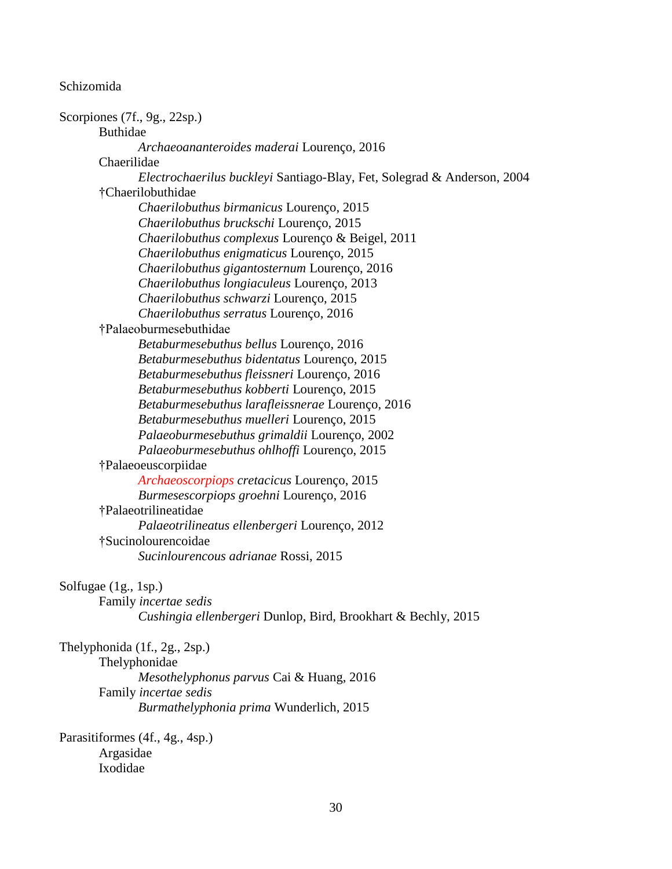#### Schizomida

Scorpiones (7f., 9g., 22sp.) Buthidae *Archaeoananteroides maderai* Lourenço, 2016 Chaerilidae *Electrochaerilus buckleyi* Santiago-Blay, Fet, Solegrad & Anderson, 2004 †Chaerilobuthidae *Chaerilobuthus birmanicus* Lourenço, 2015 *Chaerilobuthus bruckschi* Lourenço, 2015 *Chaerilobuthus complexus* Lourenço & Beigel, 2011 *Chaerilobuthus enigmaticus* Lourenço, 2015 *Chaerilobuthus gigantosternum* Lourenço, 2016 *Chaerilobuthus longiaculeus* Lourenço, 2013 *Chaerilobuthus schwarzi* Lourenço, 2015 *Chaerilobuthus serratus* Lourenço, 2016 †Palaeoburmesebuthidae *Betaburmesebuthus bellus* Lourenço, 2016 *Betaburmesebuthus bidentatus* Lourenço, 2015 *Betaburmesebuthus fleissneri* Lourenço, 2016 *Betaburmesebuthus kobberti* Lourenço, 2015 *Betaburmesebuthus larafleissnerae* Lourenço, 2016 *Betaburmesebuthus muelleri* Lourenço, 2015 *Palaeoburmesebuthus grimaldii* Lourenço, 2002 *Palaeoburmesebuthus ohlhoffi* Lourenço, 2015 †Palaeoeuscorpiidae *Archaeoscorpiops cretacicus* Lourenço, 2015 *Burmesescorpiops groehni* Lourenço, 2016 †Palaeotrilineatidae *Palaeotrilineatus ellenbergeri* Lourenço, 2012 †Sucinolourencoidae *Sucinlourencous adrianae* Rossi, 2015 Solfugae (1g., 1sp.) Family *incertae sedis Cushingia ellenbergeri* Dunlop, Bird, Brookhart & Bechly, 2015 Thelyphonida (1f., 2g., 2sp.) Thelyphonidae *Mesothelyphonus parvus* Cai & Huang, 2016 Family *incertae sedis Burmathelyphonia prima* Wunderlich, 2015

Parasitiformes (4f., 4g., 4sp.) Argasidae Ixodidae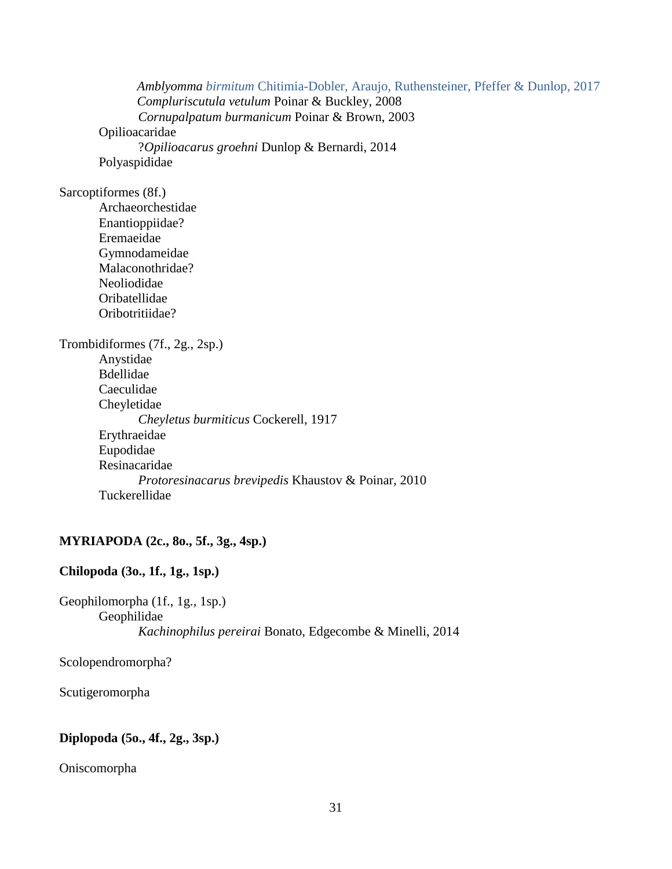*Amblyomma birmitum* Chitimia-Dobler, Araujo, Ruthensteiner, Pfeffer & Dunlop, 2017 *Compluriscutula vetulum* Poinar & Buckley, 2008 *Cornupalpatum burmanicum* Poinar & Brown, 2003 Opilioacaridae ?*Opilioacarus groehni* Dunlop & Bernardi, 2014 Polyaspididae

Sarcoptiformes (8f.)

Archaeorchestidae Enantioppiidae? Eremaeidae Gymnodameidae Malaconothridae? Neoliodidae Oribatellidae Oribotritiidae?

Trombidiformes (7f., 2g., 2sp.) Anystidae Bdellidae Caeculidae Cheyletidae *Cheyletus burmiticus* Cockerell, 1917 Erythraeidae Eupodidae Resinacaridae *Protoresinacarus brevipedis* Khaustov & Poinar, 2010 Tuckerellidae

# **MYRIAPODA (2c., 8o., 5f., 3g., 4sp.)**

# **Chilopoda (3o., 1f., 1g., 1sp.)**

Geophilomorpha (1f., 1g., 1sp.) Geophilidae *Kachinophilus pereirai* Bonato, Edgecombe & Minelli, 2014

Scolopendromorpha?

Scutigeromorpha

# **Diplopoda (5o., 4f., 2g., 3sp.)**

Oniscomorpha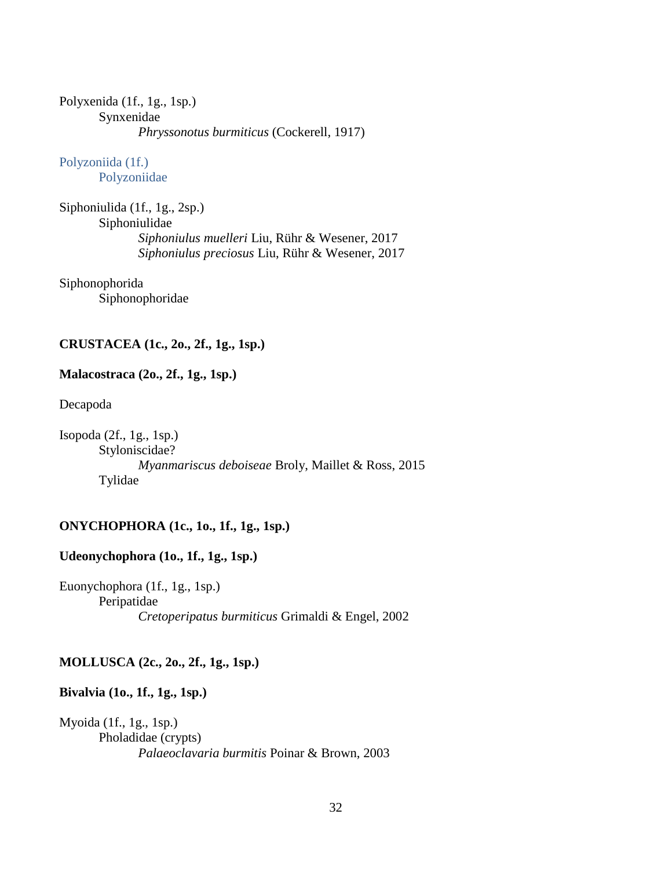Polyxenida (1f., 1g., 1sp.) Synxenidae *Phryssonotus burmiticus* (Cockerell, 1917)

Polyzoniida (1f.) Polyzoniidae

Siphoniulida (1f., 1g., 2sp.) Siphoniulidae *Siphoniulus muelleri* Liu, Rühr & Wesener, 2017 *Siphoniulus preciosus* Liu, Rühr & Wesener, 2017

Siphonophorida Siphonophoridae

# **CRUSTACEA (1c., 2o., 2f., 1g., 1sp.)**

# **Malacostraca (2o., 2f., 1g., 1sp.)**

Decapoda

Isopoda (2f., 1g., 1sp.) Styloniscidae? *Myanmariscus deboiseae* Broly, Maillet & Ross, 2015 Tylidae

# **ONYCHOPHORA (1c., 1o., 1f., 1g., 1sp.)**

# **Udeonychophora (1o., 1f., 1g., 1sp.)**

Euonychophora (1f., 1g., 1sp.) Peripatidae *Cretoperipatus burmiticus* Grimaldi & Engel, 2002

# **MOLLUSCA (2c., 2o., 2f., 1g., 1sp.)**

# **Bivalvia (1o., 1f., 1g., 1sp.)**

Myoida (1f., 1g., 1sp.) Pholadidae (crypts) *Palaeoclavaria burmitis* Poinar & Brown, 2003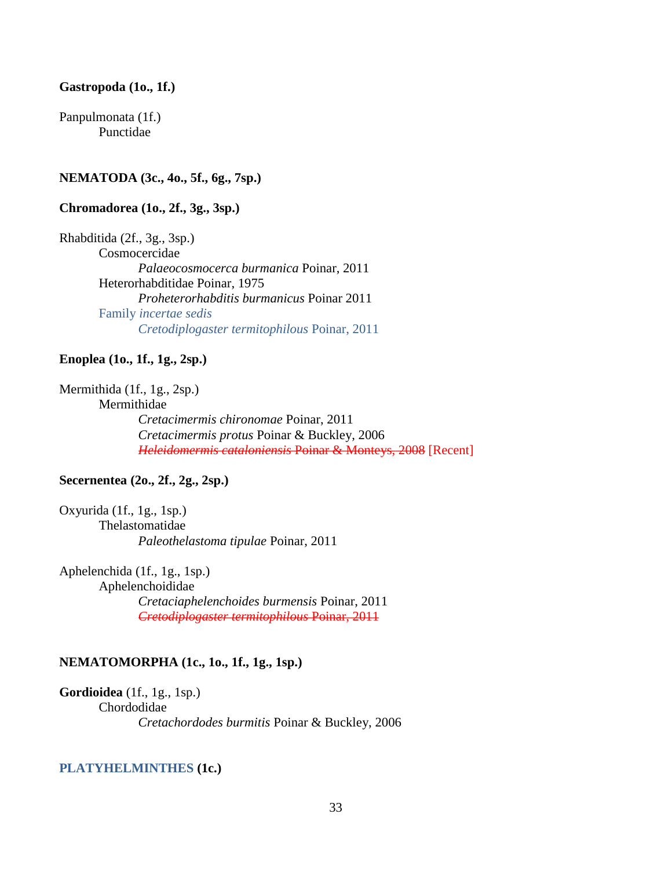#### **Gastropoda (1o., 1f.)**

Panpulmonata (1f.) Punctidae

# **NEMATODA (3c., 4o., 5f., 6g., 7sp.)**

# **Chromadorea (1o., 2f., 3g., 3sp.)**

Rhabditida (2f., 3g., 3sp.) Cosmocercidae *Palaeocosmocerca burmanica* Poinar, 2011 Heterorhabditidae Poinar, 1975 *Proheterorhabditis burmanicus* Poinar 2011 Family *incertae sedis Cretodiplogaster termitophilous* Poinar, 2011

#### **Enoplea (1o., 1f., 1g., 2sp.)**

Mermithida (1f., 1g., 2sp.)

Mermithidae

*Cretacimermis chironomae* Poinar, 2011 *Cretacimermis protus* Poinar & Buckley, 2006 *Heleidomermis cataloniensis* Poinar & Monteys, 2008 [Recent]

#### **Secernentea (2o., 2f., 2g., 2sp.)**

Oxyurida (1f., 1g., 1sp.) Thelastomatidae *Paleothelastoma tipulae* Poinar, 2011

Aphelenchida (1f., 1g., 1sp.) Aphelenchoididae *Cretaciaphelenchoides burmensis* Poinar, 2011 *Cretodiplogaster termitophilous* Poinar, 2011

#### **NEMATOMORPHA (1c., 1o., 1f., 1g., 1sp.)**

**Gordioidea** (1f., 1g., 1sp.) Chordodidae *Cretachordodes burmitis* Poinar & Buckley, 2006

### **PLATYHELMINTHES (1c.)**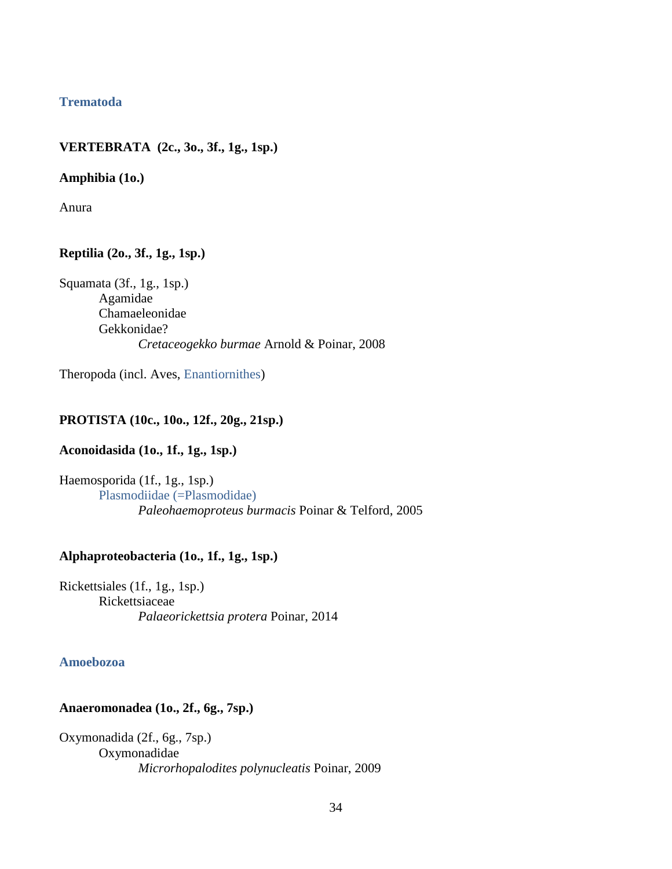# **Trematoda**

# **VERTEBRATA (2c., 3o., 3f., 1g., 1sp.)**

### **Amphibia (1o.)**

Anura

# **Reptilia (2o., 3f., 1g., 1sp.)**

Squamata (3f., 1g., 1sp.) Agamidae Chamaeleonidae Gekkonidae? *Cretaceogekko burmae* Arnold & Poinar, 2008

Theropoda (incl. Aves, Enantiornithes)

# **PROTISTA (10c., 10o., 12f., 20g., 21sp.)**

# **Aconoidasida (1o., 1f., 1g., 1sp.)**

Haemosporida (1f., 1g., 1sp.) Plasmodiidae (=Plasmodidae) *Paleohaemoproteus burmacis* Poinar & Telford, 2005

# **Alphaproteobacteria (1o., 1f., 1g., 1sp.)**

Rickettsiales (1f., 1g., 1sp.) Rickettsiaceae *Palaeorickettsia protera* Poinar, 2014

### **Amoebozoa**

### **Anaeromonadea (1o., 2f., 6g., 7sp.)**

Oxymonadida (2f., 6g., 7sp.) Oxymonadidae *Microrhopalodites polynucleatis* Poinar, 2009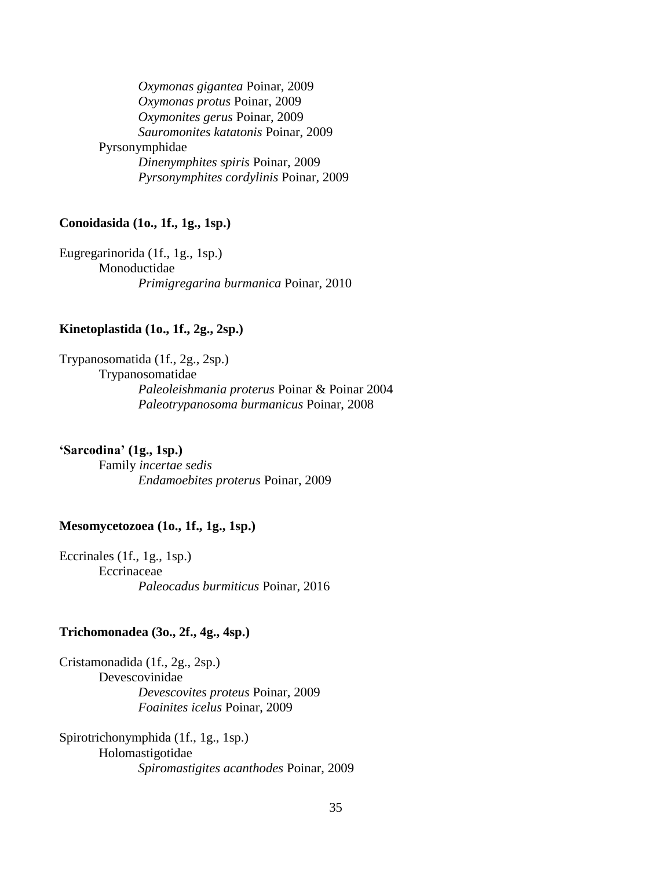*Oxymonas gigantea* Poinar, 2009 *Oxymonas protus* Poinar, 2009 *Oxymonites gerus* Poinar, 2009 *Sauromonites katatonis* Poinar, 2009 Pyrsonymphidae *Dinenymphites spiris* Poinar, 2009 *Pyrsonymphites cordylinis* Poinar, 2009

# **Conoidasida (1o., 1f., 1g., 1sp.)**

Eugregarinorida (1f., 1g., 1sp.) Monoductidae *Primigregarina burmanica* Poinar, 2010

# **Kinetoplastida (1o., 1f., 2g., 2sp.)**

Trypanosomatida (1f., 2g., 2sp.) Trypanosomatidae *Paleoleishmania proterus* Poinar & Poinar 2004 *Paleotrypanosoma burmanicus* Poinar, 2008

### **'Sarcodina' (1g., 1sp.)**

Family *incertae sedis Endamoebites proterus* Poinar, 2009

#### **Mesomycetozoea (1o., 1f., 1g., 1sp.)**

Eccrinales (1f., 1g., 1sp.) Eccrinaceae *Paleocadus burmiticus* Poinar, 2016

#### **Trichomonadea (3o., 2f., 4g., 4sp.)**

Cristamonadida (1f., 2g., 2sp.) Devescovinidae *Devescovites proteus* Poinar, 2009 *Foainites icelus* Poinar, 2009

Spirotrichonymphida (1f., 1g., 1sp.) Holomastigotidae *Spiromastigites acanthodes* Poinar, 2009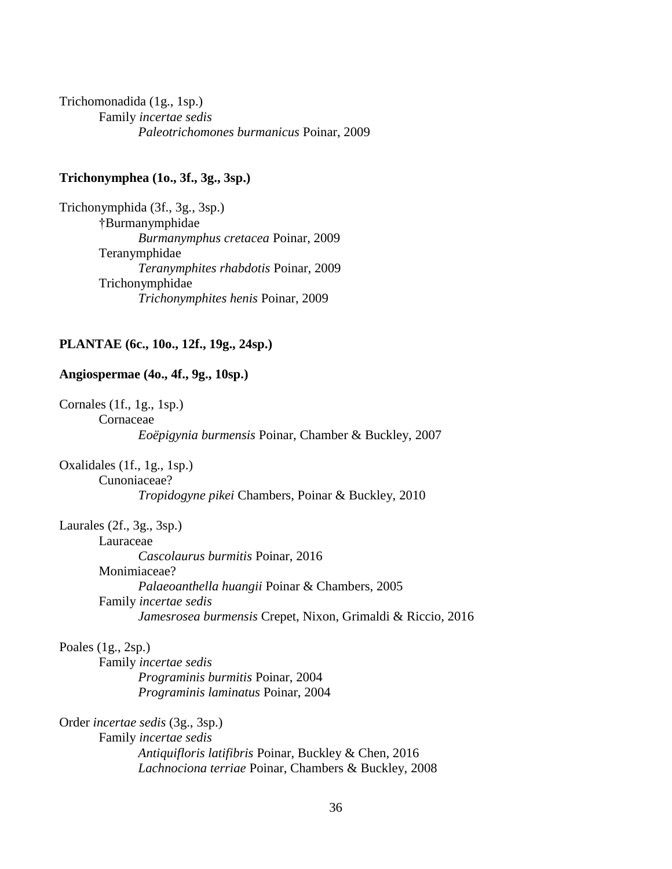Trichomonadida (1g., 1sp.) Family *incertae sedis Paleotrichomones burmanicus* Poinar, 2009

# **Trichonymphea (1o., 3f., 3g., 3sp.)**

Trichonymphida (3f., 3g., 3sp.) †Burmanymphidae *Burmanymphus cretacea* Poinar, 2009 Teranymphidae *Teranymphites rhabdotis* Poinar, 2009 Trichonymphidae *Trichonymphites henis* Poinar, 2009

### **PLANTAE (6c., 10o., 12f., 19g., 24sp.)**

### **Angiospermae (4o., 4f., 9g., 10sp.)**

Cornales (1f., 1g., 1sp.) Cornaceae *Eoëpigynia burmensis* Poinar, Chamber & Buckley, 2007

Oxalidales (1f., 1g., 1sp.) Cunoniaceae? *Tropidogyne pikei* Chambers, Poinar & Buckley, 2010

Laurales (2f., 3g., 3sp.)

Lauraceae

*Cascolaurus burmitis* Poinar, 2016 Monimiaceae? *Palaeoanthella huangii* Poinar & Chambers, 2005 Family *incertae sedis Jamesrosea burmensis* Crepet, Nixon, Grimaldi & Riccio, 2016

### Poales (1g., 2sp.)

Family *incertae sedis Programinis burmitis* Poinar, 2004 *Programinis laminatus* Poinar, 2004

Order *incertae sedis* (3g., 3sp.)

Family *incertae sedis Antiquifloris latifibris* Poinar, Buckley & Chen, 2016 *Lachnociona terriae* Poinar, Chambers & Buckley, 2008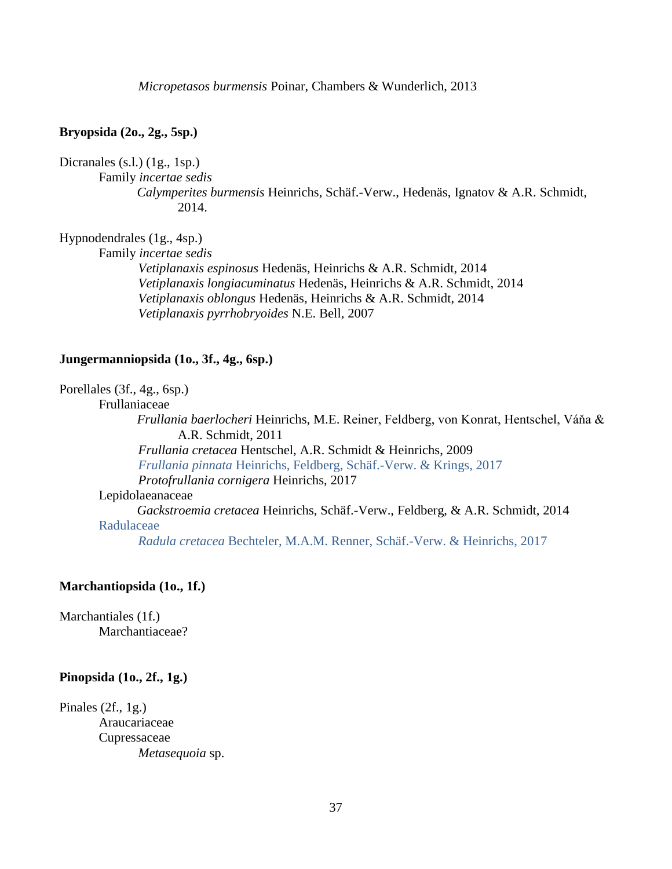*Micropetasos burmensis* Poinar, Chambers & Wunderlich, 2013

## **Bryopsida (2o., 2g., 5sp.)**

# Dicranales (s.l.) (1g., 1sp.)

Family *incertae sedis*

*Calymperites burmensis* Heinrichs, Schäf.-Verw., Hedenäs, Ignatov & A.R. Schmidt, 2014.

# Hypnodendrales (1g., 4sp.)

Family *incertae sedis*

*Vetiplanaxis espinosus* Hedenäs, Heinrichs & A.R. Schmidt, 2014 *Vetiplanaxis longiacuminatus* Hedenäs, Heinrichs & A.R. Schmidt, 2014 *Vetiplanaxis oblongus* Hedenäs, Heinrichs & A.R. Schmidt, 2014 *Vetiplanaxis pyrrhobryoides* N.E. Bell, 2007

#### **Jungermanniopsida (1o., 3f., 4g., 6sp.)**

Porellales (3f., 4g., 6sp.)

Frullaniaceae

*Frullania baerlocheri* Heinrichs, M.E. Reiner, Feldberg, von Konrat, Hentschel, Váňa & A.R. Schmidt, 2011 *Frullania cretacea* Hentschel, A.R. Schmidt & Heinrichs, 2009

*Frullania pinnata* Heinrichs, Feldberg, Schäf.-Verw. & Krings, 2017 *Protofrullania cornigera* Heinrichs, 2017

## Lepidolaeanaceae

*Gackstroemia cretacea* Heinrichs, Schäf.-Verw., Feldberg, & A.R. Schmidt, 2014 Radulaceae

*Radula cretacea* Bechteler, M.A.M. Renner, Schäf.-Verw. & Heinrichs, 2017

# **Marchantiopsida (1o., 1f.)**

Marchantiales (1f.) Marchantiaceae?

#### **Pinopsida (1o., 2f., 1g.)**

Pinales  $(2f, 1g)$ Araucariaceae Cupressaceae *Metasequoia* sp.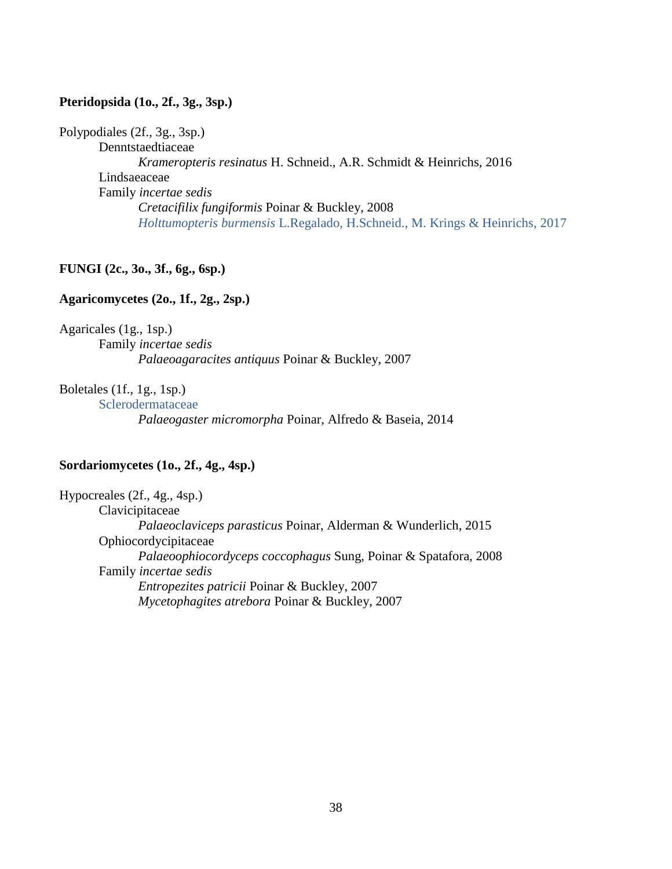# **Pteridopsida (1o., 2f., 3g., 3sp.)**

Polypodiales (2f., 3g., 3sp.)

Denntstaedtiaceae *Krameropteris resinatus* H. Schneid., A.R. Schmidt & Heinrichs, 2016 Lindsaeaceae Family *incertae sedis Cretacifilix fungiformis* Poinar & Buckley, 2008 *Holttumopteris burmensis* L.Regalado, H.Schneid., M. Krings & Heinrichs, 2017

# **FUNGI (2c., 3o., 3f., 6g., 6sp.)**

## **Agaricomycetes (2o., 1f., 2g., 2sp.)**

Agaricales (1g., 1sp.)

Family *incertae sedis Palaeoagaracites antiquus* Poinar & Buckley, 2007

# Boletales (1f., 1g., 1sp.)

Sclerodermataceae *Palaeogaster micromorpha* Poinar, Alfredo & Baseia, 2014

## **Sordariomycetes (1o., 2f., 4g., 4sp.)**

Hypocreales (2f., 4g., 4sp.) Clavicipitaceae *Palaeoclaviceps parasticus* Poinar, Alderman & Wunderlich, 2015 Ophiocordycipitaceae *Palaeoophiocordyceps coccophagus* Sung, Poinar & Spatafora, 2008 Family *incertae sedis Entropezites patricii* Poinar & Buckley, 2007 *Mycetophagites atrebora* Poinar & Buckley, 2007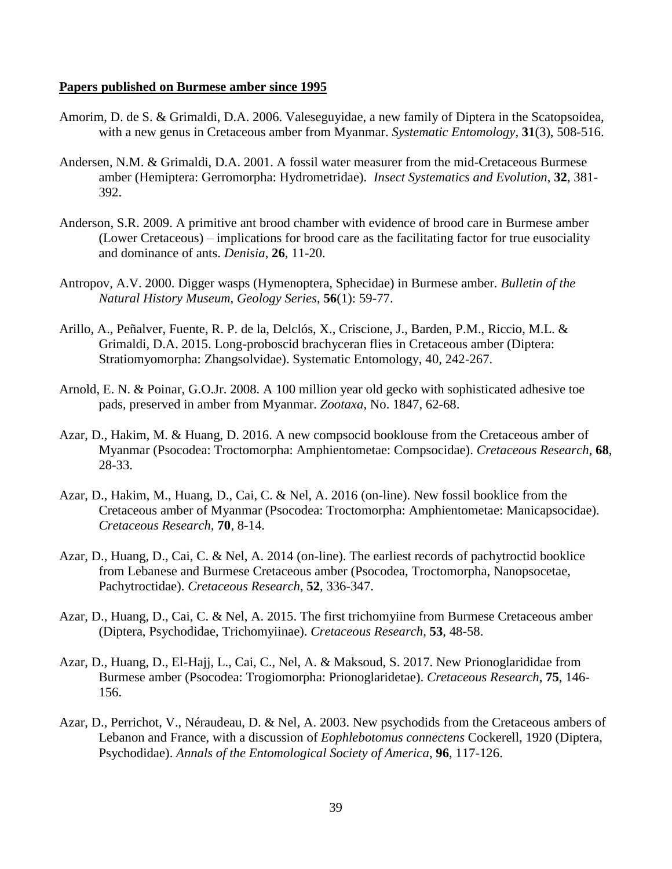#### **Papers published on Burmese amber since 1995**

- Amorim, D. de S. & Grimaldi, D.A. 2006. Valeseguyidae, a new family of Diptera in the Scatopsoidea, with a new genus in Cretaceous amber from Myanmar. *Systematic Entomology*, **31**(3), 508-516.
- Andersen, N.M. & Grimaldi, D.A. 2001. A fossil water measurer from the mid-Cretaceous Burmese amber (Hemiptera: Gerromorpha: Hydrometridae). *Insect Systematics and Evolution*, **32**, 381- 392.
- Anderson, S.R. 2009. A primitive ant brood chamber with evidence of brood care in Burmese amber (Lower Cretaceous) – implications for brood care as the facilitating factor for true eusociality and dominance of ants. *Denisia*, **26**, 11-20.
- Antropov, A.V. 2000. Digger wasps (Hymenoptera, Sphecidae) in Burmese amber. *Bulletin of the Natural History Museum, Geology Series*, **56**(1): 59-77.
- Arillo, A., Peñalver, Fuente, R. P. de la, Delclós, X., Criscione, J., Barden, P.M., Riccio, M.L. & Grimaldi, D.A. 2015. Long-proboscid brachyceran flies in Cretaceous amber (Diptera: Stratiomyomorpha: Zhangsolvidae). Systematic Entomology, 40, 242-267.
- Arnold, E. N. & Poinar, G.O.Jr. 2008. A 100 million year old gecko with sophisticated adhesive toe pads, preserved in amber from Myanmar. *Zootaxa*, No. 1847, 62-68.
- Azar, D., Hakim, M. & Huang, D. 2016. A new compsocid booklouse from the Cretaceous amber of Myanmar (Psocodea: Troctomorpha: Amphientometae: Compsocidae). *Cretaceous Research*, **68**, 28-33.
- Azar, D., Hakim, M., Huang, D., Cai, C. & Nel, A. 2016 (on-line). New fossil booklice from the Cretaceous amber of Myanmar (Psocodea: Troctomorpha: Amphientometae: Manicapsocidae). *Cretaceous Research*, **70**, 8-14.
- Azar, D., Huang, D., Cai, C. & Nel, A. 2014 (on-line). The earliest records of pachytroctid booklice from Lebanese and Burmese Cretaceous amber (Psocodea, Troctomorpha, Nanopsocetae, Pachytroctidae). *Cretaceous Research*, **52**, 336-347.
- Azar, D., Huang, D., Cai, C. & Nel, A. 2015. The first trichomyiine from Burmese Cretaceous amber (Diptera, Psychodidae, Trichomyiinae). *Cretaceous Research*, **53**, 48-58.
- Azar, D., Huang, D., El-Hajj, L., Cai, C., Nel, A. & Maksoud, S. 2017. New Prionoglarididae from Burmese amber (Psocodea: Trogiomorpha: Prionoglaridetae). *Cretaceous Research*, **75**, 146- 156.
- Azar, D., Perrichot, V., Néraudeau, D. & Nel, A. 2003. New psychodids from the Cretaceous ambers of Lebanon and France, with a discussion of *Eophlebotomus connectens* Cockerell, 1920 (Diptera, Psychodidae). *Annals of the Entomological Society of America*, **96**, 117-126.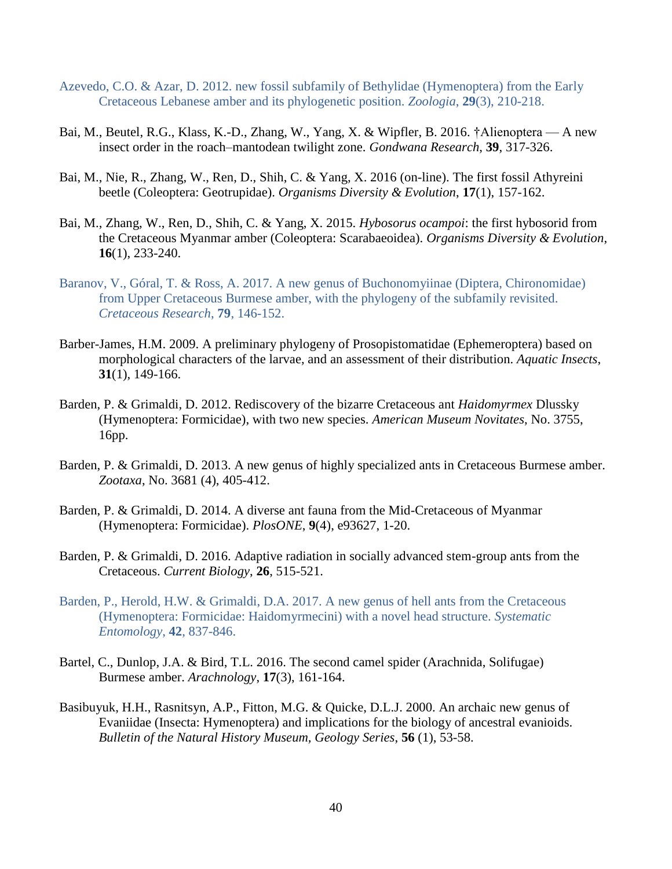- Azevedo, C.O. & Azar, D. 2012. new fossil subfamily of Bethylidae (Hymenoptera) from the Early Cretaceous Lebanese amber and its phylogenetic position. *Zoologia*, **29**(3), 210-218.
- Bai, M., Beutel, R.G., Klass, K.-D., Zhang, W., Yang, X. & Wipfler, B. 2016. †Alienoptera A new insect order in the roach–mantodean twilight zone. *Gondwana Research*, **39**, 317-326.
- Bai, M., Nie, R., Zhang, W., Ren, D., Shih, C. & Yang, X. 2016 (on-line). The first fossil Athyreini beetle (Coleoptera: Geotrupidae). *Organisms Diversity & Evolution*, **17**(1), 157-162.
- Bai, M., Zhang, W., Ren, D., Shih, C. & Yang, X. 2015. *Hybosorus ocampoi*: the first hybosorid from the Cretaceous Myanmar amber (Coleoptera: Scarabaeoidea). *Organisms Diversity & Evolution*, **16**(1), 233-240.
- Baranov, V., Góral, T. & Ross, A. 2017. A new genus of Buchonomyiinae (Diptera, Chironomidae) from Upper Cretaceous Burmese amber, with the phylogeny of the subfamily revisited. *Cretaceous Research*, **79**, 146-152.
- Barber-James, H.M. 2009. A preliminary phylogeny of Prosopistomatidae (Ephemeroptera) based on morphological characters of the larvae, and an assessment of their distribution. *Aquatic Insects*, **31**(1), 149-166.
- Barden, P. & Grimaldi, D. 2012. Rediscovery of the bizarre Cretaceous ant *Haidomyrmex* Dlussky (Hymenoptera: Formicidae), with two new species. *American Museum Novitates*, No. 3755, 16pp.
- Barden, P. & Grimaldi, D. 2013. A new genus of highly specialized ants in Cretaceous Burmese amber. *Zootaxa*, No. 3681 (4), 405-412.
- Barden, P. & Grimaldi, D. 2014. A diverse ant fauna from the Mid-Cretaceous of Myanmar (Hymenoptera: Formicidae). *PlosONE*, **9**(4), e93627, 1-20.
- Barden, P. & Grimaldi, D. 2016. Adaptive radiation in socially advanced stem-group ants from the Cretaceous. *Current Biology*, **26**, 515-521.
- Barden, P., Herold, H.W. & Grimaldi, D.A. 2017. A new genus of hell ants from the Cretaceous (Hymenoptera: Formicidae: Haidomyrmecini) with a novel head structure. *Systematic Entomology*, **42**, 837-846.
- Bartel, C., Dunlop, J.A. & Bird, T.L. 2016. The second camel spider (Arachnida, Solifugae) Burmese amber. *Arachnology*, **17**(3), 161-164.
- Basibuyuk, H.H., Rasnitsyn, A.P., Fitton, M.G. & Quicke, D.L.J. 2000. An archaic new genus of Evaniidae (Insecta: Hymenoptera) and implications for the biology of ancestral evanioids. *Bulletin of the Natural History Museum, Geology Series*, **56** (1), 53-58.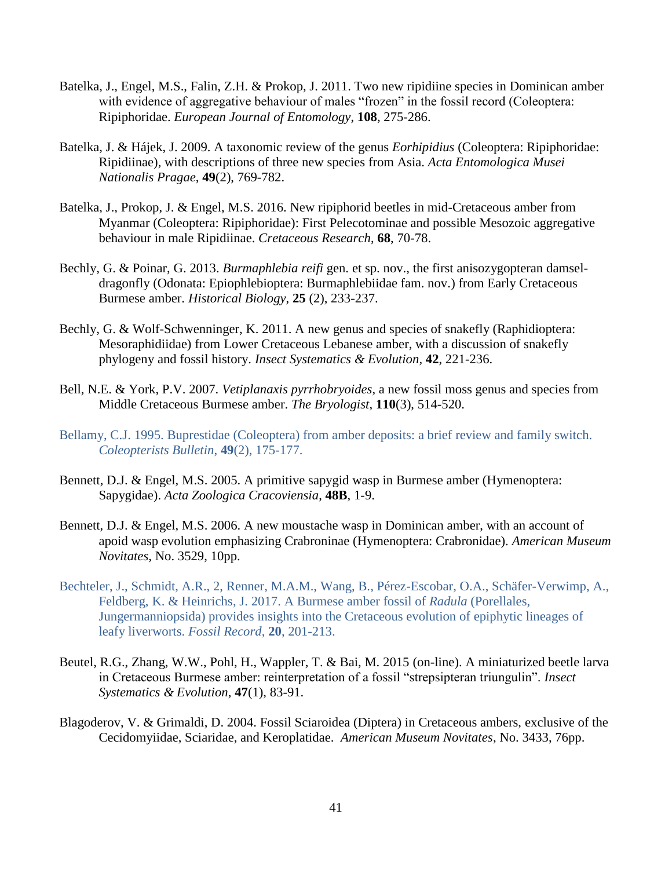- Batelka, J., Engel, M.S., Falin, Z.H. & Prokop, J. 2011. Two new ripidiine species in Dominican amber with evidence of aggregative behaviour of males "frozen" in the fossil record (Coleoptera: Ripiphoridae. *European Journal of Entomology*, **108**, 275-286.
- Batelka, J. & Hájek, J. 2009. A taxonomic review of the genus *Eorhipidius* (Coleoptera: Ripiphoridae: Ripidiinae), with descriptions of three new species from Asia. *Acta Entomologica Musei Nationalis Pragae*, **49**(2), 769-782.
- Batelka, J., Prokop, J. & Engel, M.S. 2016. New ripiphorid beetles in mid-Cretaceous amber from Myanmar (Coleoptera: Ripiphoridae): First Pelecotominae and possible Mesozoic aggregative behaviour in male Ripidiinae. *Cretaceous Research*, **68**, 70-78.
- Bechly, G. & Poinar, G. 2013. *Burmaphlebia reifi* gen. et sp. nov., the first anisozygopteran damseldragonfly (Odonata: Epiophlebioptera: Burmaphlebiidae fam. nov.) from Early Cretaceous Burmese amber. *Historical Biology*, **25** (2), 233-237.
- Bechly, G. & Wolf-Schwenninger, K. 2011. A new genus and species of snakefly (Raphidioptera: Mesoraphidiidae) from Lower Cretaceous Lebanese amber, with a discussion of snakefly phylogeny and fossil history. *Insect Systematics & Evolution*, **42**, 221-236.
- Bell, N.E. & York, P.V. 2007. *Vetiplanaxis pyrrhobryoides*, a new fossil moss genus and species from Middle Cretaceous Burmese amber. *The Bryologist*, **110**(3), 514-520.
- Bellamy, C.J. 1995. Buprestidae (Coleoptera) from amber deposits: a brief review and family switch. *Coleopterists Bulletin*, **49**(2), 175-177.
- Bennett, D.J. & Engel, M.S. 2005. A primitive sapygid wasp in Burmese amber (Hymenoptera: Sapygidae). *Acta Zoologica Cracoviensia*, **48B**, 1-9.
- Bennett, D.J. & Engel, M.S. 2006. A new moustache wasp in Dominican amber, with an account of apoid wasp evolution emphasizing Crabroninae (Hymenoptera: Crabronidae). *American Museum Novitates*, No. 3529, 10pp.
- Bechteler, J., Schmidt, A.R., 2, Renner, M.A.M., Wang, B., Pérez-Escobar, O.A., Schäfer-Verwimp, A., Feldberg, K. & Heinrichs, J. 2017. A Burmese amber fossil of *Radula* (Porellales, Jungermanniopsida) provides insights into the Cretaceous evolution of epiphytic lineages of leafy liverworts. *Fossil Record*, **20**, 201-213.
- Beutel, R.G., Zhang, W.W., Pohl, H., Wappler, T. & Bai, M. 2015 (on-line). A miniaturized beetle larva in Cretaceous Burmese amber: reinterpretation of a fossil "strepsipteran triungulin". *Insect Systematics & Evolution*, **47**(1), 83-91.
- Blagoderov, V. & Grimaldi, D. 2004. Fossil Sciaroidea (Diptera) in Cretaceous ambers, exclusive of the Cecidomyiidae, Sciaridae, and Keroplatidae. *American Museum Novitates*, No. 3433, 76pp.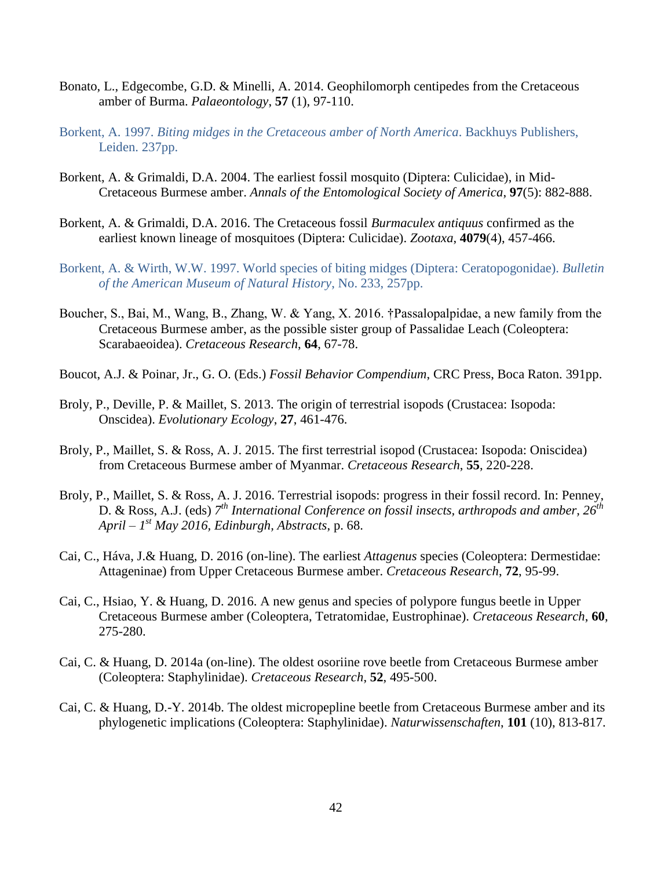- Bonato, L., Edgecombe, G.D. & Minelli, A. 2014. Geophilomorph centipedes from the Cretaceous amber of Burma. *Palaeontology*, **57** (1), 97-110.
- Borkent, A. 1997. *Biting midges in the Cretaceous amber of North America*. Backhuys Publishers, Leiden. 237pp.
- Borkent, A. & Grimaldi, D.A. 2004. The earliest fossil mosquito (Diptera: Culicidae), in Mid-Cretaceous Burmese amber. *Annals of the Entomological Society of America*, **97**(5): 882-888.
- Borkent, A. & Grimaldi, D.A. 2016. The Cretaceous fossil *Burmaculex antiquus* confirmed as the earliest known lineage of mosquitoes (Diptera: Culicidae). *Zootaxa*, **4079**(4), 457-466.
- Borkent, A. & Wirth, W.W. 1997. World species of biting midges (Diptera: Ceratopogonidae). *Bulletin of the American Museum of Natural History*, No. 233, 257pp.
- Boucher, S., Bai, M., Wang, B., Zhang, W. & Yang, X. 2016. †Passalopalpidae, a new family from the Cretaceous Burmese amber, as the possible sister group of Passalidae Leach (Coleoptera: Scarabaeoidea). *Cretaceous Research*, **64**, 67-78.
- Boucot, A.J. & Poinar, Jr., G. O. (Eds.) *Fossil Behavior Compendium*, CRC Press, Boca Raton. 391pp.
- Broly, P., Deville, P. & Maillet, S. 2013. The origin of terrestrial isopods (Crustacea: Isopoda: Onscidea). *Evolutionary Ecology*, **27**, 461-476.
- Broly, P., Maillet, S. & Ross, A. J. 2015. The first terrestrial isopod (Crustacea: Isopoda: Oniscidea) from Cretaceous Burmese amber of Myanmar. *Cretaceous Research*, **55**, 220-228.
- Broly, P., Maillet, S. & Ross, A. J. 2016. Terrestrial isopods: progress in their fossil record. In: Penney, D. & Ross, A.J. (eds) *7 th International Conference on fossil insects, arthropods and amber, 26th April – 1 st May 2016, Edinburgh, Abstracts*, p. 68.
- Cai, C., Háva, J.& Huang, D. 2016 (on-line). The earliest *Attagenus* species (Coleoptera: Dermestidae: Attageninae) from Upper Cretaceous Burmese amber. *Cretaceous Research*, **72**, 95-99.
- Cai, C., Hsiao, Y. & Huang, D. 2016. A new genus and species of polypore fungus beetle in Upper Cretaceous Burmese amber (Coleoptera, Tetratomidae, Eustrophinae). *Cretaceous Research*, **60**, 275-280.
- Cai, C. & Huang, D. 2014a (on-line). The oldest osoriine rove beetle from Cretaceous Burmese amber (Coleoptera: Staphylinidae). *Cretaceous Research*, **52**, 495-500.
- Cai, C. & Huang, D.-Y. 2014b. The oldest micropepline beetle from Cretaceous Burmese amber and its phylogenetic implications (Coleoptera: Staphylinidae). *Naturwissenschaften*, **101** (10), 813-817.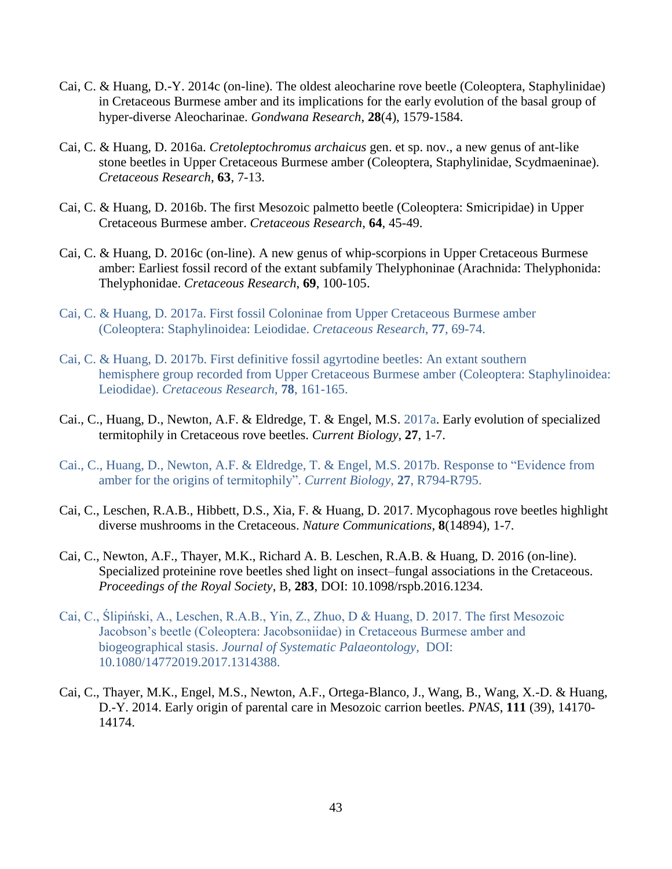- Cai, C. & Huang, D.-Y. 2014c (on-line). The oldest aleocharine rove beetle (Coleoptera, Staphylinidae) in Cretaceous Burmese amber and its implications for the early evolution of the basal group of hyper-diverse Aleocharinae. *Gondwana Research*, **28**(4), 1579-1584.
- Cai, C. & Huang, D. 2016a. *Cretoleptochromus archaicus* gen. et sp. nov., a new genus of ant-like stone beetles in Upper Cretaceous Burmese amber (Coleoptera, Staphylinidae, Scydmaeninae). *Cretaceous Research*, **63**, 7-13.
- Cai, C. & Huang, D. 2016b. The first Mesozoic palmetto beetle (Coleoptera: Smicripidae) in Upper Cretaceous Burmese amber. *Cretaceous Research*, **64**, 45-49.
- Cai, C. & Huang, D. 2016c (on-line). A new genus of whip-scorpions in Upper Cretaceous Burmese amber: Earliest fossil record of the extant subfamily Thelyphoninae (Arachnida: Thelyphonida: Thelyphonidae. *Cretaceous Research*, **69**, 100-105.
- Cai, C. & Huang, D. 2017a. First fossil Coloninae from Upper Cretaceous Burmese amber (Coleoptera: Staphylinoidea: Leiodidae. *Cretaceous Research*, **77**, 69-74.
- Cai, C. & Huang, D. 2017b. First definitive fossil agyrtodine beetles: An extant southern hemisphere group recorded from Upper Cretaceous Burmese amber (Coleoptera: Staphylinoidea: Leiodidae). *Cretaceous Research*, **78**, 161-165.
- Cai., C., Huang, D., Newton, A.F. & Eldredge, T. & Engel, M.S. 2017a. Early evolution of specialized termitophily in Cretaceous rove beetles. *Current Biology*, **27**, 1-7.
- Cai., C., Huang, D., Newton, A.F. & Eldredge, T. & Engel, M.S. 2017b. Response to "Evidence from amber for the origins of termitophily". *Current Biology*, **27**, R794-R795.
- Cai, C., Leschen, R.A.B., Hibbett, D.S., Xia, F. & Huang, D. 2017. Mycophagous rove beetles highlight diverse mushrooms in the Cretaceous. *Nature Communications*, **8**(14894), 1-7.
- Cai, C., Newton, A.F., Thayer, M.K., Richard A. B. Leschen, R.A.B. & Huang, D. 2016 (on-line). Specialized proteinine rove beetles shed light on insect–fungal associations in the Cretaceous. *Proceedings of the Royal Society*, B, **283**, DOI: 10.1098/rspb.2016.1234.
- Cai, C., Ślipiński, A., Leschen, R.A.B., Yin, Z., Zhuo, D & Huang, D. 2017. The first Mesozoic Jacobson's beetle (Coleoptera: Jacobsoniidae) in Cretaceous Burmese amber and biogeographical stasis. *Journal of Systematic Palaeontology*, DOI: 10.1080/14772019.2017.1314388.
- Cai, C., Thayer, M.K., Engel, M.S., Newton, A.F., Ortega-Blanco, J., Wang, B., Wang, X.-D. & Huang, D.-Y. 2014. Early origin of parental care in Mesozoic carrion beetles. *PNAS*, **111** (39), 14170- 14174.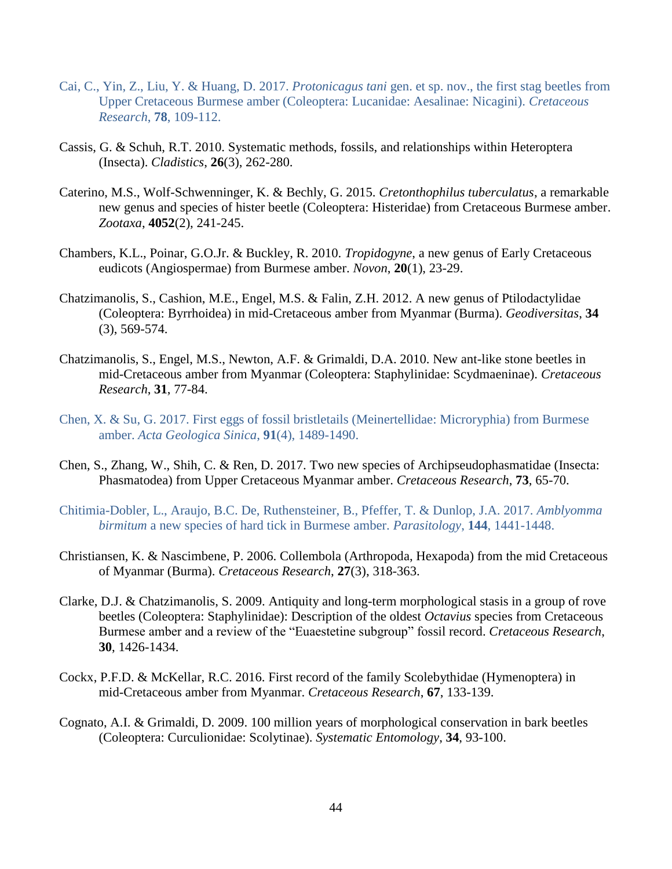- Cai, C., Yin, Z., Liu, Y. & Huang, D. 2017. *Protonicagus tani* gen. et sp. nov., the first stag beetles from Upper Cretaceous Burmese amber (Coleoptera: Lucanidae: Aesalinae: Nicagini). *Cretaceous Research*, **78**, 109-112.
- Cassis, G. & Schuh, R.T. 2010. Systematic methods, fossils, and relationships within Heteroptera (Insecta). *Cladistics*, **26**(3), 262-280.
- Caterino, M.S., Wolf-Schwenninger, K. & Bechly, G. 2015. *Cretonthophilus tuberculatus*, a remarkable new genus and species of hister beetle (Coleoptera: Histeridae) from Cretaceous Burmese amber. *Zootaxa*, **4052**(2), 241-245.
- Chambers, K.L., Poinar, G.O.Jr. & Buckley, R. 2010. *Tropidogyne*, a new genus of Early Cretaceous eudicots (Angiospermae) from Burmese amber. *Novon*, **20**(1), 23-29.
- Chatzimanolis, S., Cashion, M.E., Engel, M.S. & Falin, Z.H. 2012. A new genus of Ptilodactylidae (Coleoptera: Byrrhoidea) in mid-Cretaceous amber from Myanmar (Burma). *Geodiversitas*, **34** (3), 569-574.
- Chatzimanolis, S., Engel, M.S., Newton, A.F. & Grimaldi, D.A. 2010. New ant-like stone beetles in mid-Cretaceous amber from Myanmar (Coleoptera: Staphylinidae: Scydmaeninae). *Cretaceous Research*, **31**, 77-84.
- Chen, X. & Su, G. 2017. First eggs of fossil bristletails (Meinertellidae: Microryphia) from Burmese amber. *Acta Geologica Sinica*, **91**(4), 1489-1490.
- Chen, S., Zhang, W., Shih, C. & Ren, D. 2017. Two new species of Archipseudophasmatidae (Insecta: Phasmatodea) from Upper Cretaceous Myanmar amber. *Cretaceous Research*, **73**, 65-70.
- Chitimia-Dobler, L., Araujo, B.C. De, Ruthensteiner, B., Pfeffer, T. & Dunlop, J.A. 2017. *Amblyomma birmitum* a new species of hard tick in Burmese amber. *Parasitology*, **144**, 1441-1448.
- Christiansen, K. & Nascimbene, P. 2006. Collembola (Arthropoda, Hexapoda) from the mid Cretaceous of Myanmar (Burma). *Cretaceous Research*, **27**(3), 318-363.
- Clarke, D.J. & Chatzimanolis, S. 2009. Antiquity and long-term morphological stasis in a group of rove beetles (Coleoptera: Staphylinidae): Description of the oldest *Octavius* species from Cretaceous Burmese amber and a review of the "Euaestetine subgroup" fossil record. *Cretaceous Research*, **30**, 1426-1434.
- Cockx, P.F.D. & McKellar, R.C. 2016. First record of the family Scolebythidae (Hymenoptera) in mid-Cretaceous amber from Myanmar. *Cretaceous Research*, **67**, 133-139.
- Cognato, A.I. & Grimaldi, D. 2009. 100 million years of morphological conservation in bark beetles (Coleoptera: Curculionidae: Scolytinae). *Systematic Entomology*, **34**, 93-100.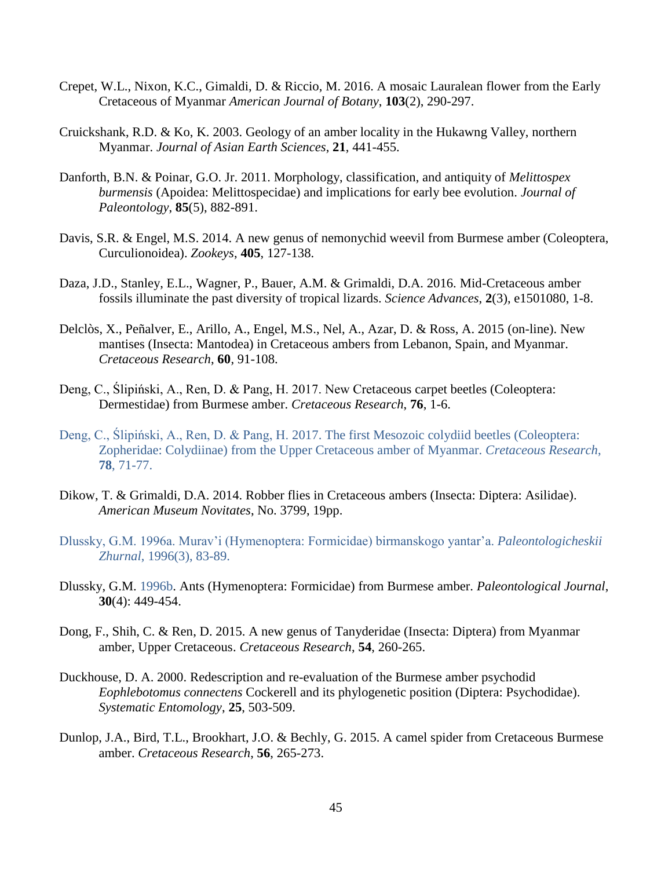- Crepet, W.L., Nixon, K.C., Gimaldi, D. & Riccio, M. 2016. A mosaic Lauralean flower from the Early Cretaceous of Myanmar *American Journal of Botany*, **103**(2), 290-297.
- Cruickshank, R.D. & Ko, K. 2003. Geology of an amber locality in the Hukawng Valley, northern Myanmar. *Journal of Asian Earth Sciences*, **21**, 441-455.
- Danforth, B.N. & Poinar, G.O. Jr. 2011. Morphology, classification, and antiquity of *Melittospex burmensis* (Apoidea: Melittospecidae) and implications for early bee evolution. *Journal of Paleontology*, **85**(5), 882-891.
- Davis, S.R. & Engel, M.S. 2014. A new genus of nemonychid weevil from Burmese amber (Coleoptera, Curculionoidea). *Zookeys*, **405**, 127-138.
- Daza, J.D., Stanley, E.L., Wagner, P., Bauer, A.M. & Grimaldi, D.A. 2016. Mid-Cretaceous amber fossils illuminate the past diversity of tropical lizards. *Science Advances*, **2**(3), e1501080, 1-8.
- Delclòs, X., Peñalver, E., Arillo, A., Engel, M.S., Nel, A., Azar, D. & Ross, A. 2015 (on-line). New mantises (Insecta: Mantodea) in Cretaceous ambers from Lebanon, Spain, and Myanmar. *Cretaceous Research*, **60**, 91-108.
- Deng, C., Ślipiński, A., Ren, D. & Pang, H. 2017. New Cretaceous carpet beetles (Coleoptera: Dermestidae) from Burmese amber. *Cretaceous Research*, **76**, 1-6.
- Deng, C., Ślipiński, A., Ren, D. & Pang, H. 2017. The first Mesozoic colydiid beetles (Coleoptera: Zopheridae: Colydiinae) from the Upper Cretaceous amber of Myanmar. *Cretaceous Research*, **78**, 71-77.
- Dikow, T. & Grimaldi, D.A. 2014. Robber flies in Cretaceous ambers (Insecta: Diptera: Asilidae). *American Museum Novitates*, No. 3799, 19pp.
- Dlussky, G.M. 1996a. Murav'i (Hymenoptera: Formicidae) birmanskogo yantar'a. *Paleontologicheskii Zhurnal*, 1996(3), 83-89.
- Dlussky, G.M. 1996b. Ants (Hymenoptera: Formicidae) from Burmese amber. *Paleontological Journal*, **30**(4): 449-454.
- Dong, F., Shih, C. & Ren, D. 2015. A new genus of Tanyderidae (Insecta: Diptera) from Myanmar amber, Upper Cretaceous. *Cretaceous Research*, **54**, 260-265.
- Duckhouse, D. A. 2000. Redescription and re-evaluation of the Burmese amber psychodid *Eophlebotomus connectens* Cockerell and its phylogenetic position (Diptera: Psychodidae). *Systematic Entomology*, **25**, 503-509.
- Dunlop, J.A., Bird, T.L., Brookhart, J.O. & Bechly, G. 2015. A camel spider from Cretaceous Burmese amber. *Cretaceous Research*, **56**, 265-273.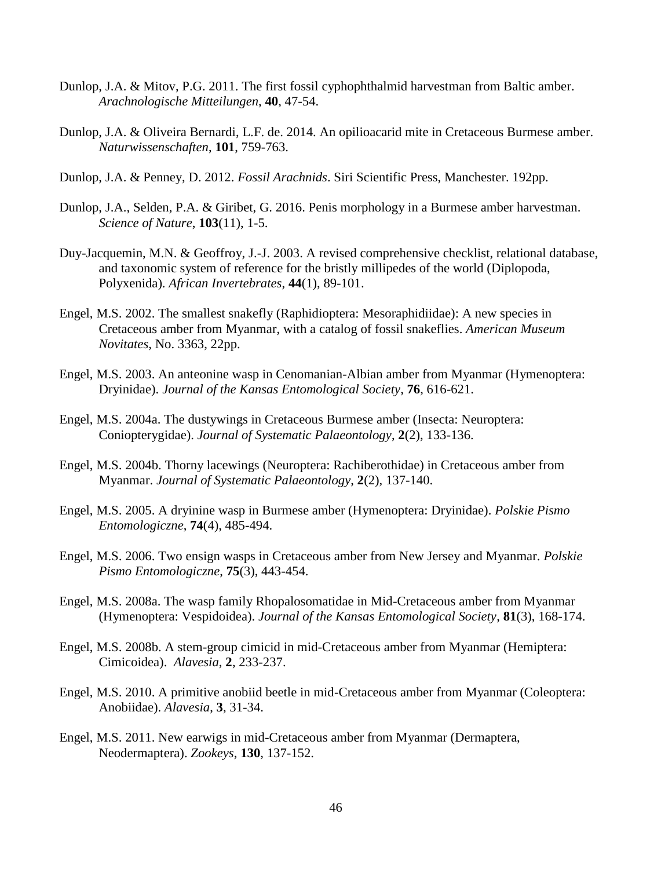- Dunlop, J.A. & Mitov, P.G. 2011. The first fossil cyphophthalmid harvestman from Baltic amber. *Arachnologische Mitteilungen*, **40**, 47-54.
- Dunlop, J.A. & Oliveira Bernardi, L.F. de. 2014. An opilioacarid mite in Cretaceous Burmese amber. *Naturwissenschaften*, **101**, 759-763.
- Dunlop, J.A. & Penney, D. 2012. *Fossil Arachnids*. Siri Scientific Press, Manchester. 192pp.
- Dunlop, J.A., Selden, P.A. & Giribet, G. 2016. Penis morphology in a Burmese amber harvestman. *Science of Nature*, **103**(11), 1-5.
- Duy-Jacquemin, M.N. & Geoffroy, J.-J. 2003. A revised comprehensive checklist, relational database, and taxonomic system of reference for the bristly millipedes of the world (Diplopoda, Polyxenida). *African Invertebrates*, **44**(1), 89-101.
- Engel, M.S. 2002. The smallest snakefly (Raphidioptera: Mesoraphidiidae): A new species in Cretaceous amber from Myanmar, with a catalog of fossil snakeflies. *American Museum Novitates*, No. 3363, 22pp.
- Engel, M.S. 2003. An anteonine wasp in Cenomanian-Albian amber from Myanmar (Hymenoptera: Dryinidae). *Journal of the Kansas Entomological Society*, **76**, 616-621.
- Engel, M.S. 2004a. The dustywings in Cretaceous Burmese amber (Insecta: Neuroptera: Coniopterygidae). *Journal of Systematic Palaeontology*, **2**(2), 133-136.
- Engel, M.S. 2004b. Thorny lacewings (Neuroptera: Rachiberothidae) in Cretaceous amber from Myanmar. *Journal of Systematic Palaeontology*, **2**(2), 137-140.
- Engel, M.S. 2005. A dryinine wasp in Burmese amber (Hymenoptera: Dryinidae). *Polskie Pismo Entomologiczne*, **74**(4), 485-494.
- Engel, M.S. 2006. Two ensign wasps in Cretaceous amber from New Jersey and Myanmar. *Polskie Pismo Entomologiczne*, **75**(3), 443-454.
- Engel, M.S. 2008a. The wasp family Rhopalosomatidae in Mid-Cretaceous amber from Myanmar (Hymenoptera: Vespidoidea). *Journal of the Kansas Entomological Society*, **81**(3), 168-174.
- Engel, M.S. 2008b. A stem-group cimicid in mid-Cretaceous amber from Myanmar (Hemiptera: Cimicoidea). *Alavesia*, **2**, 233-237.
- Engel, M.S. 2010. A primitive anobiid beetle in mid-Cretaceous amber from Myanmar (Coleoptera: Anobiidae). *Alavesia*, **3**, 31-34.
- Engel, M.S. 2011. New earwigs in mid-Cretaceous amber from Myanmar (Dermaptera, Neodermaptera). *Zookeys*, **130**, 137-152.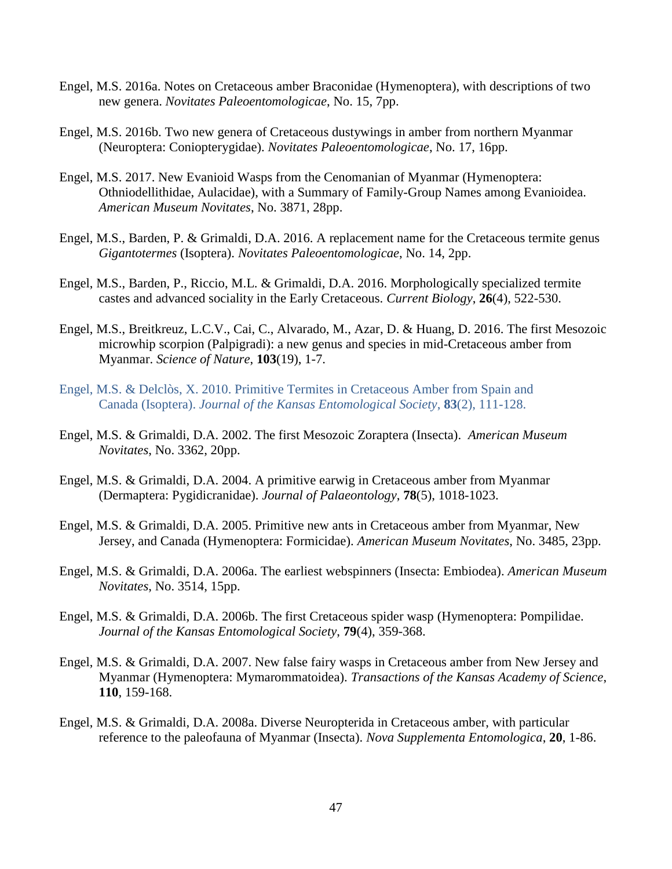- Engel, M.S. 2016a. Notes on Cretaceous amber Braconidae (Hymenoptera), with descriptions of two new genera. *Novitates Paleoentomologicae*, No. 15, 7pp.
- Engel, M.S. 2016b. Two new genera of Cretaceous dustywings in amber from northern Myanmar (Neuroptera: Coniopterygidae). *Novitates Paleoentomologicae*, No. 17, 16pp.
- Engel, M.S. 2017. New Evanioid Wasps from the Cenomanian of Myanmar (Hymenoptera: Othniodellithidae, Aulacidae), with a Summary of Family-Group Names among Evanioidea. *American Museum Novitates*, No. 3871, 28pp.
- Engel, M.S., Barden, P. & Grimaldi, D.A. 2016. A replacement name for the Cretaceous termite genus *Gigantotermes* (Isoptera). *Novitates Paleoentomologicae*, No. 14, 2pp.
- Engel, M.S., Barden, P., Riccio, M.L. & Grimaldi, D.A. 2016. Morphologically specialized termite castes and advanced sociality in the Early Cretaceous. *Current Biology*, **26**(4), 522-530.
- Engel, M.S., Breitkreuz, L.C.V., Cai, C., Alvarado, M., Azar, D. & Huang, D. 2016. The first Mesozoic microwhip scorpion (Palpigradi): a new genus and species in mid-Cretaceous amber from Myanmar. *Science of Nature*, **103**(19), 1-7.
- Engel, M.S. & Delclòs, X. 2010. Primitive Termites in Cretaceous Amber from Spain and Canada (Isoptera). *Journal of the Kansas Entomological Society*, **83**(2), 111-128.
- Engel, M.S. & Grimaldi, D.A. 2002. The first Mesozoic Zoraptera (Insecta). *American Museum Novitates*, No. 3362, 20pp.
- Engel, M.S. & Grimaldi, D.A. 2004. A primitive earwig in Cretaceous amber from Myanmar (Dermaptera: Pygidicranidae). *Journal of Palaeontology*, **78**(5), 1018-1023.
- Engel, M.S. & Grimaldi, D.A. 2005. Primitive new ants in Cretaceous amber from Myanmar, New Jersey, and Canada (Hymenoptera: Formicidae). *American Museum Novitates*, No. 3485, 23pp.
- Engel, M.S. & Grimaldi, D.A. 2006a. The earliest webspinners (Insecta: Embiodea). *American Museum Novitates*, No. 3514, 15pp.
- Engel, M.S. & Grimaldi, D.A. 2006b. The first Cretaceous spider wasp (Hymenoptera: Pompilidae. *Journal of the Kansas Entomological Society*, **79**(4), 359-368.
- Engel, M.S. & Grimaldi, D.A. 2007. New false fairy wasps in Cretaceous amber from New Jersey and Myanmar (Hymenoptera: Mymarommatoidea). *Transactions of the Kansas Academy of Science*, **110**, 159-168.
- Engel, M.S. & Grimaldi, D.A. 2008a. Diverse Neuropterida in Cretaceous amber, with particular reference to the paleofauna of Myanmar (Insecta). *Nova Supplementa Entomologica*, **20**, 1-86.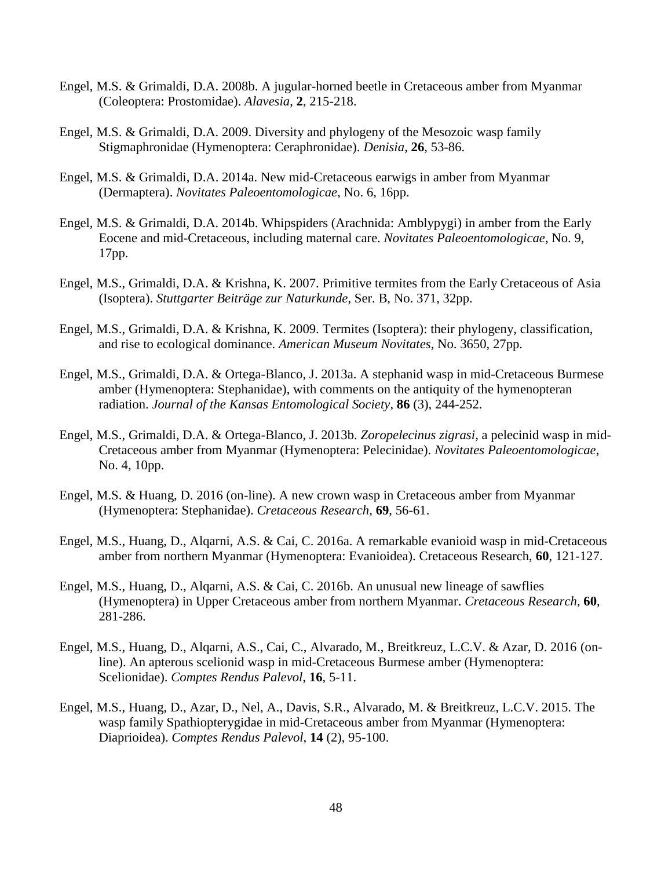- Engel, M.S. & Grimaldi, D.A. 2008b. A jugular-horned beetle in Cretaceous amber from Myanmar (Coleoptera: Prostomidae). *Alavesia*, **2**, 215-218.
- Engel, M.S. & Grimaldi, D.A. 2009. Diversity and phylogeny of the Mesozoic wasp family Stigmaphronidae (Hymenoptera: Ceraphronidae). *Denisia*, **26**, 53-86.
- Engel, M.S. & Grimaldi, D.A. 2014a. New mid-Cretaceous earwigs in amber from Myanmar (Dermaptera). *Novitates Paleoentomologicae*, No. 6, 16pp.
- Engel, M.S. & Grimaldi, D.A. 2014b. Whipspiders (Arachnida: Amblypygi) in amber from the Early Eocene and mid-Cretaceous, including maternal care. *Novitates Paleoentomologicae*, No. 9, 17pp.
- Engel, M.S., Grimaldi, D.A. & Krishna, K. 2007. Primitive termites from the Early Cretaceous of Asia (Isoptera). *Stuttgarter Beiträge zur Naturkunde*, Ser. B, No. 371, 32pp.
- Engel, M.S., Grimaldi, D.A. & Krishna, K. 2009. Termites (Isoptera): their phylogeny, classification, and rise to ecological dominance. *American Museum Novitates*, No. 3650, 27pp.
- Engel, M.S., Grimaldi, D.A. & Ortega-Blanco, J. 2013a. A stephanid wasp in mid-Cretaceous Burmese amber (Hymenoptera: Stephanidae), with comments on the antiquity of the hymenopteran radiation. *Journal of the Kansas Entomological Society*, **86** (3), 244-252.
- Engel, M.S., Grimaldi, D.A. & Ortega-Blanco, J. 2013b. *Zoropelecinus zigrasi*, a pelecinid wasp in mid-Cretaceous amber from Myanmar (Hymenoptera: Pelecinidae). *Novitates Paleoentomologicae*, No. 4, 10pp.
- Engel, M.S. & Huang, D. 2016 (on-line). A new crown wasp in Cretaceous amber from Myanmar (Hymenoptera: Stephanidae). *Cretaceous Research*, **69**, 56-61.
- Engel, M.S., Huang, D., Alqarni, A.S. & Cai, C. 2016a. A remarkable evanioid wasp in mid-Cretaceous amber from northern Myanmar (Hymenoptera: Evanioidea). Cretaceous Research, **60**, 121-127.
- Engel, M.S., Huang, D., Alqarni, A.S. & Cai, C. 2016b. An unusual new lineage of sawflies (Hymenoptera) in Upper Cretaceous amber from northern Myanmar. *Cretaceous Research*, **60**, 281-286.
- Engel, M.S., Huang, D., Alqarni, A.S., Cai, C., Alvarado, M., Breitkreuz, L.C.V. & Azar, D. 2016 (online). An apterous scelionid wasp in mid-Cretaceous Burmese amber (Hymenoptera: Scelionidae). *Comptes Rendus Palevol*, **16**, 5-11.
- Engel, M.S., Huang, D., Azar, D., Nel, A., Davis, S.R., Alvarado, M. & Breitkreuz, L.C.V. 2015. The wasp family Spathiopterygidae in mid-Cretaceous amber from Myanmar (Hymenoptera: Diaprioidea). *Comptes Rendus Palevol*, **14** (2), 95-100.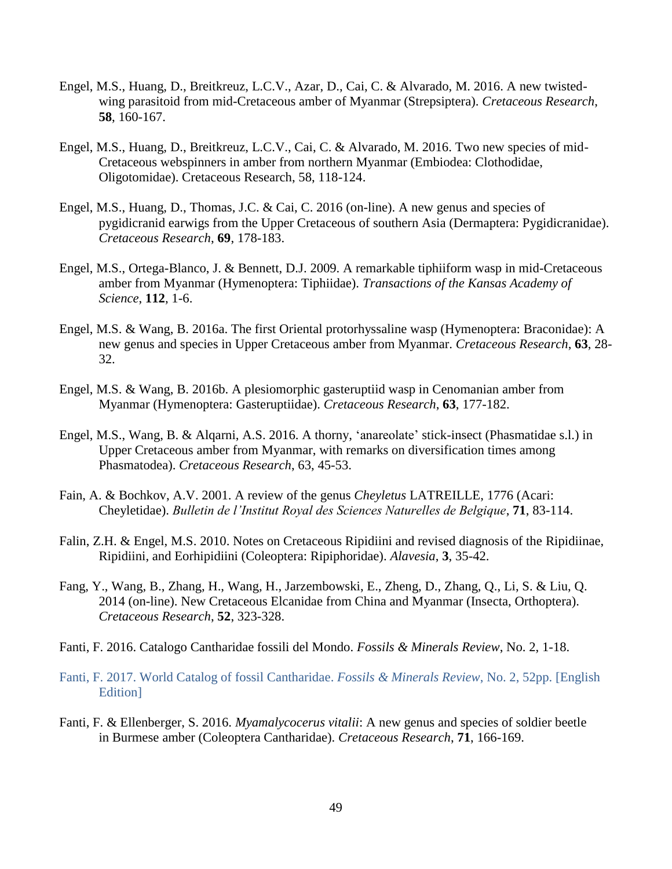- Engel, M.S., Huang, D., Breitkreuz, L.C.V., Azar, D., Cai, C. & Alvarado, M. 2016. A new twistedwing parasitoid from mid-Cretaceous amber of Myanmar (Strepsiptera). *Cretaceous Research*, **58**, 160-167.
- Engel, M.S., Huang, D., Breitkreuz, L.C.V., Cai, C. & Alvarado, M. 2016. Two new species of mid-Cretaceous webspinners in amber from northern Myanmar (Embiodea: Clothodidae, Oligotomidae). Cretaceous Research, 58, 118-124.
- Engel, M.S., Huang, D., Thomas, J.C. & Cai, C. 2016 (on-line). A new genus and species of pygidicranid earwigs from the Upper Cretaceous of southern Asia (Dermaptera: Pygidicranidae). *Cretaceous Research*, **69**, 178-183.
- Engel, M.S., Ortega-Blanco, J. & Bennett, D.J. 2009. A remarkable tiphiiform wasp in mid-Cretaceous amber from Myanmar (Hymenoptera: Tiphiidae). *Transactions of the Kansas Academy of Science*, **112**, 1-6.
- Engel, M.S. & Wang, B. 2016a. The first Oriental protorhyssaline wasp (Hymenoptera: Braconidae): A new genus and species in Upper Cretaceous amber from Myanmar. *Cretaceous Research*, **63**, 28- 32.
- Engel, M.S. & Wang, B. 2016b. A plesiomorphic gasteruptiid wasp in Cenomanian amber from Myanmar (Hymenoptera: Gasteruptiidae). *Cretaceous Research*, **63**, 177-182.
- Engel, M.S., Wang, B. & Alqarni, A.S. 2016. A thorny, 'anareolate' stick-insect (Phasmatidae s.l.) in Upper Cretaceous amber from Myanmar, with remarks on diversification times among Phasmatodea). *Cretaceous Research*, 63, 45-53.
- Fain, A. & Bochkov, A.V. 2001. A review of the genus *Cheyletus* LATREILLE, 1776 (Acari: Cheyletidae). *Bulletin de l'Institut Royal des Sciences Naturelles de Belgique*, **71**, 83-114.
- Falin, Z.H. & Engel, M.S. 2010. Notes on Cretaceous Ripidiini and revised diagnosis of the Ripidiinae, Ripidiini, and Eorhipidiini (Coleoptera: Ripiphoridae). *Alavesia*, **3**, 35-42.
- Fang, Y., Wang, B., Zhang, H., Wang, H., Jarzembowski, E., Zheng, D., Zhang, Q., Li, S. & Liu, Q. 2014 (on-line). New Cretaceous Elcanidae from China and Myanmar (Insecta, Orthoptera). *Cretaceous Research*, **52**, 323-328.
- Fanti, F. 2016. Catalogo Cantharidae fossili del Mondo. *Fossils & Minerals Review*, No. 2, 1-18.
- Fanti, F. 2017. World Catalog of fossil Cantharidae. *Fossils & Minerals Review*, No. 2, 52pp. [English Edition]
- Fanti, F. & Ellenberger, S. 2016. *Myamalycocerus vitalii*: A new genus and species of soldier beetle in Burmese amber (Coleoptera Cantharidae). *Cretaceous Research*, **71**, 166-169.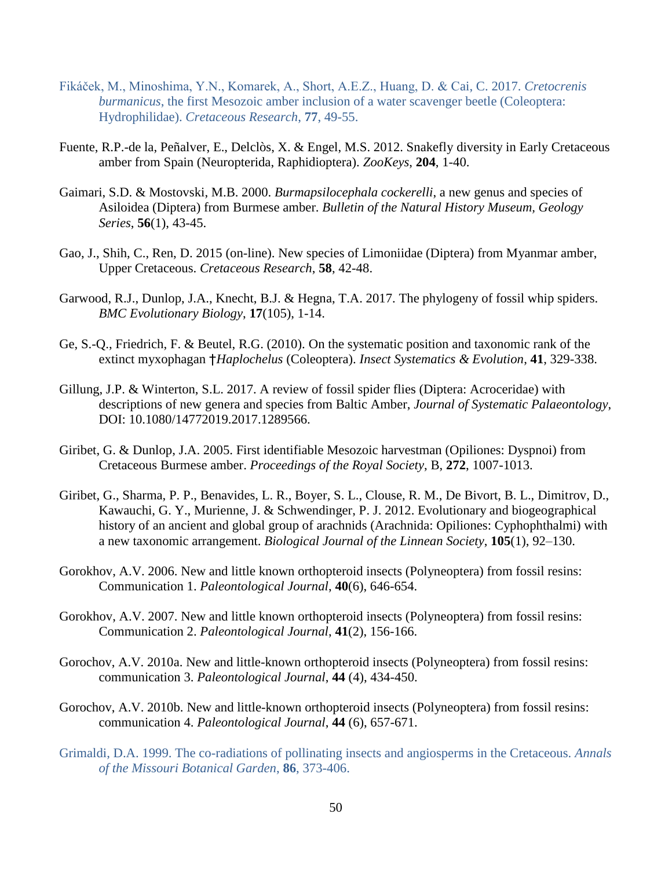- Fikáček, M., Minoshima, Y.N., Komarek, A., Short, A.E.Z., Huang, D. & Cai, C. 2017. *Cretocrenis burmanicus*, the first Mesozoic amber inclusion of a water scavenger beetle (Coleoptera: Hydrophilidae). *Cretaceous Research*, **77**, 49-55.
- Fuente, R.P.-de la, Peñalver, E., Delclòs, X. & Engel, M.S. 2012. Snakefly diversity in Early Cretaceous amber from Spain (Neuropterida, Raphidioptera). *ZooKeys*, **204**, 1-40.
- Gaimari, S.D. & Mostovski, M.B. 2000. *Burmapsilocephala cockerelli*, a new genus and species of Asiloidea (Diptera) from Burmese amber. *Bulletin of the Natural History Museum, Geology Series*, **56**(1), 43-45.
- Gao, J., Shih, C., Ren, D. 2015 (on-line). New species of Limoniidae (Diptera) from Myanmar amber, Upper Cretaceous. *Cretaceous Research*, **58**, 42-48.
- Garwood, R.J., Dunlop, J.A., Knecht, B.J. & Hegna, T.A. 2017. The phylogeny of fossil whip spiders. *BMC Evolutionary Biology*, **17**(105), 1-14.
- Ge, S.-Q., Friedrich, F. & Beutel, R.G. (2010). On the systematic position and taxonomic rank of the extinct myxophagan †*Haplochelus* (Coleoptera). *Insect Systematics & Evolution*, **41**, 329-338.
- Gillung, J.P. & Winterton, S.L. 2017. A review of fossil spider flies (Diptera: Acroceridae) with descriptions of new genera and species from Baltic Amber, *Journal of Systematic Palaeontology*, DOI: 10.1080/14772019.2017.1289566.
- Giribet, G. & Dunlop, J.A. 2005. First identifiable Mesozoic harvestman (Opiliones: Dyspnoi) from Cretaceous Burmese amber. *Proceedings of the Royal Society*, B, **272**, 1007-1013.
- Giribet, G., Sharma, P. P., Benavides, L. R., Boyer, S. L., Clouse, R. M., De Bivort, B. L., Dimitrov, D., Kawauchi, G. Y., Murienne, J. & Schwendinger, P. J. 2012. Evolutionary and biogeographical history of an ancient and global group of arachnids (Arachnida: Opiliones: Cyphophthalmi) with a new taxonomic arrangement. *Biological Journal of the Linnean Society*, **105**(1), 92–130.
- Gorokhov, A.V. 2006. New and little known orthopteroid insects (Polyneoptera) from fossil resins: Communication 1. *Paleontological Journal*, **40**(6), 646-654.
- Gorokhov, A.V. 2007. New and little known orthopteroid insects (Polyneoptera) from fossil resins: Communication 2. *Paleontological Journal*, **41**(2), 156-166.
- Gorochov, A.V. 2010a. New and little-known orthopteroid insects (Polyneoptera) from fossil resins: communication 3. *Paleontological Journal*, **44** (4), 434-450.
- Gorochov, A.V. 2010b. New and little-known orthopteroid insects (Polyneoptera) from fossil resins: communication 4. *Paleontological Journal*, **44** (6), 657-671.
- Grimaldi, D.A. 1999. The co-radiations of pollinating insects and angiosperms in the Cretaceous. *Annals of the Missouri Botanical Garden*, **86**, 373-406.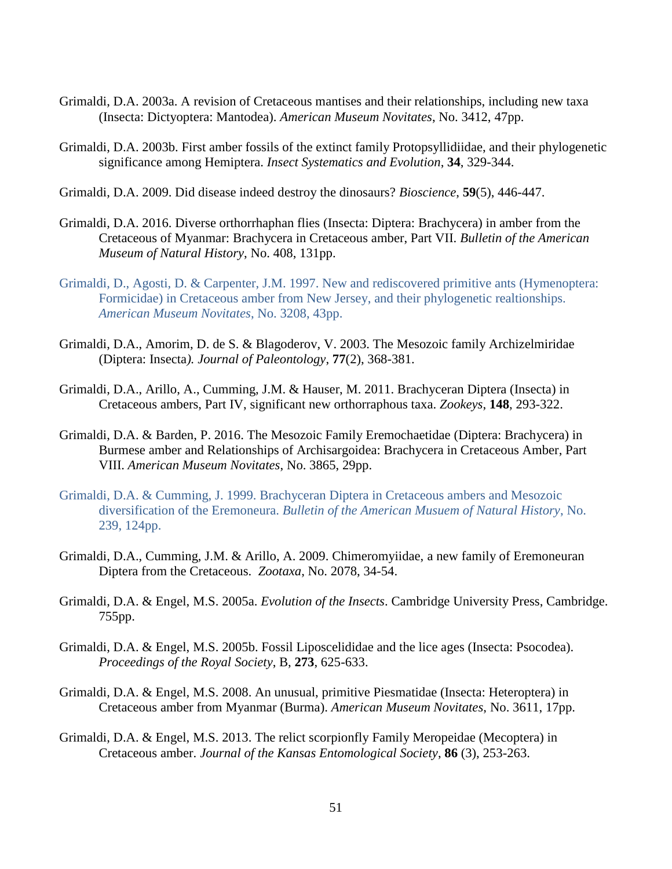- Grimaldi, D.A. 2003a. A revision of Cretaceous mantises and their relationships, including new taxa (Insecta: Dictyoptera: Mantodea). *American Museum Novitates*, No. 3412, 47pp.
- Grimaldi, D.A. 2003b. First amber fossils of the extinct family Protopsyllidiidae, and their phylogenetic significance among Hemiptera. *Insect Systematics and Evolution*, **34**, 329-344.
- Grimaldi, D.A. 2009. Did disease indeed destroy the dinosaurs? *Bioscience*, **59**(5), 446-447.
- Grimaldi, D.A. 2016. Diverse orthorrhaphan flies (Insecta: Diptera: Brachycera) in amber from the Cretaceous of Myanmar: Brachycera in Cretaceous amber, Part VII. *Bulletin of the American Museum of Natural History*, No. 408, 131pp.
- Grimaldi, D., Agosti, D. & Carpenter, J.M. 1997. New and rediscovered primitive ants (Hymenoptera: Formicidae) in Cretaceous amber from New Jersey, and their phylogenetic realtionships. *American Museum Novitates*, No. 3208, 43pp.
- Grimaldi, D.A., Amorim, D. de S. & Blagoderov, V. 2003. The Mesozoic family Archizelmiridae (Diptera: Insecta*). Journal of Paleontology*, **77**(2), 368-381.
- Grimaldi, D.A., Arillo, A., Cumming, J.M. & Hauser, M. 2011. Brachyceran Diptera (Insecta) in Cretaceous ambers, Part IV, significant new orthorraphous taxa. *Zookeys*, **148**, 293-322.
- Grimaldi, D.A. & Barden, P. 2016. The Mesozoic Family Eremochaetidae (Diptera: Brachycera) in Burmese amber and Relationships of Archisargoidea: Brachycera in Cretaceous Amber, Part VIII. *American Museum Novitates*, No. 3865, 29pp.
- Grimaldi, D.A. & Cumming, J. 1999. Brachyceran Diptera in Cretaceous ambers and Mesozoic diversification of the Eremoneura. *Bulletin of the American Musuem of Natural History*, No. 239, 124pp.
- Grimaldi, D.A., Cumming, J.M. & Arillo, A. 2009. Chimeromyiidae, a new family of Eremoneuran Diptera from the Cretaceous. *Zootaxa*, No. 2078, 34-54.
- Grimaldi, D.A. & Engel, M.S. 2005a. *Evolution of the Insects*. Cambridge University Press, Cambridge. 755pp.
- Grimaldi, D.A. & Engel, M.S. 2005b. Fossil Liposcelididae and the lice ages (Insecta: Psocodea). *Proceedings of the Royal Society*, B, **273**, 625-633.
- Grimaldi, D.A. & Engel, M.S. 2008. An unusual, primitive Piesmatidae (Insecta: Heteroptera) in Cretaceous amber from Myanmar (Burma). *American Museum Novitates*, No. 3611, 17pp.
- Grimaldi, D.A. & Engel, M.S. 2013. The relict scorpionfly Family Meropeidae (Mecoptera) in Cretaceous amber. *Journal of the Kansas Entomological Society*, **86** (3), 253-263.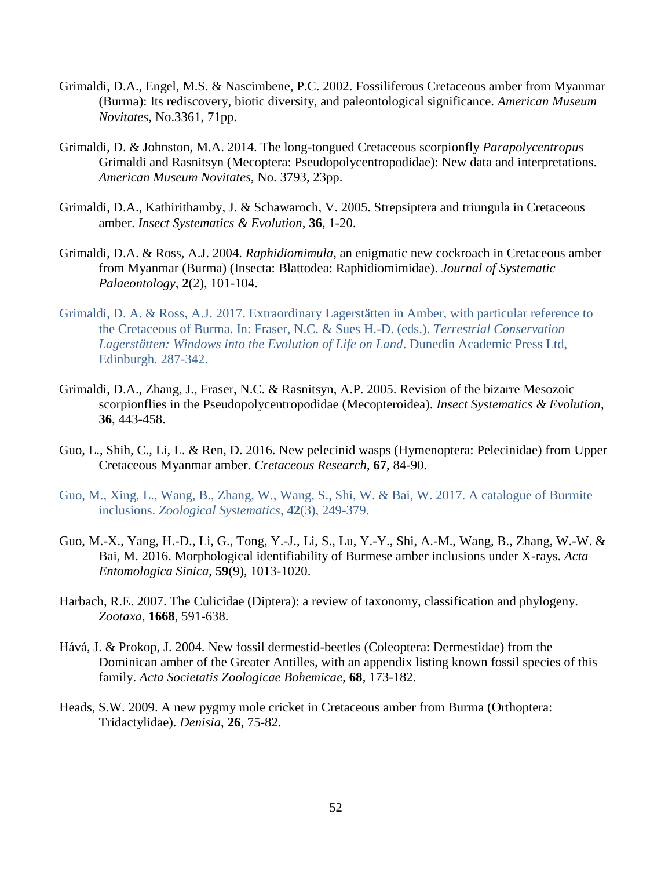- Grimaldi, D.A., Engel, M.S. & Nascimbene, P.C. 2002. Fossiliferous Cretaceous amber from Myanmar (Burma): Its rediscovery, biotic diversity, and paleontological significance. *American Museum Novitates*, No.3361, 71pp.
- Grimaldi, D. & Johnston, M.A. 2014. The long-tongued Cretaceous scorpionfly *Parapolycentropus* Grimaldi and Rasnitsyn (Mecoptera: Pseudopolycentropodidae): New data and interpretations. *American Museum Novitates*, No. 3793, 23pp.
- Grimaldi, D.A., Kathirithamby, J. & Schawaroch, V. 2005. Strepsiptera and triungula in Cretaceous amber. *Insect Systematics & Evolution*, **36**, 1-20.
- Grimaldi, D.A. & Ross, A.J. 2004. *Raphidiomimula*, an enigmatic new cockroach in Cretaceous amber from Myanmar (Burma) (Insecta: Blattodea: Raphidiomimidae). *Journal of Systematic Palaeontology*, **2**(2), 101-104.
- Grimaldi, D. A. & Ross, A.J. 2017. Extraordinary Lagerstätten in Amber, with particular reference to the Cretaceous of Burma. In: Fraser, N.C. & Sues H.-D. (eds.). *Terrestrial Conservation Lagerstätten: Windows into the Evolution of Life on Land*. Dunedin Academic Press Ltd, Edinburgh. 287-342.
- Grimaldi, D.A., Zhang, J., Fraser, N.C. & Rasnitsyn, A.P. 2005. Revision of the bizarre Mesozoic scorpionflies in the Pseudopolycentropodidae (Mecopteroidea). *Insect Systematics & Evolution*, **36**, 443-458.
- Guo, L., Shih, C., Li, L. & Ren, D. 2016. New pelecinid wasps (Hymenoptera: Pelecinidae) from Upper Cretaceous Myanmar amber. *Cretaceous Research*, **67**, 84-90.
- Guo, M., Xing, L., Wang, B., Zhang, W., Wang, S., Shi, W. & Bai, W. 2017. A catalogue of Burmite inclusions. *Zoological Systematics*, **42**(3), 249-379.
- Guo, M.-X., Yang, H.-D., Li, G., Tong, Y.-J., Li, S., Lu, Y.-Y., Shi, A.-M., Wang, B., Zhang, W.-W. & Bai, M. 2016. Morphological identifiability of Burmese amber inclusions under X-rays. *Acta Entomologica Sinica*, **59**(9), 1013-1020.
- Harbach, R.E. 2007. The Culicidae (Diptera): a review of taxonomy, classification and phylogeny. *Zootaxa*, **1668**, 591-638.
- Hává, J. & Prokop, J. 2004. New fossil dermestid-beetles (Coleoptera: Dermestidae) from the Dominican amber of the Greater Antilles, with an appendix listing known fossil species of this family. *Acta Societatis Zoologicae Bohemicae*, **68**, 173-182.
- Heads, S.W. 2009. A new pygmy mole cricket in Cretaceous amber from Burma (Orthoptera: Tridactylidae). *Denisia*, **26**, 75-82.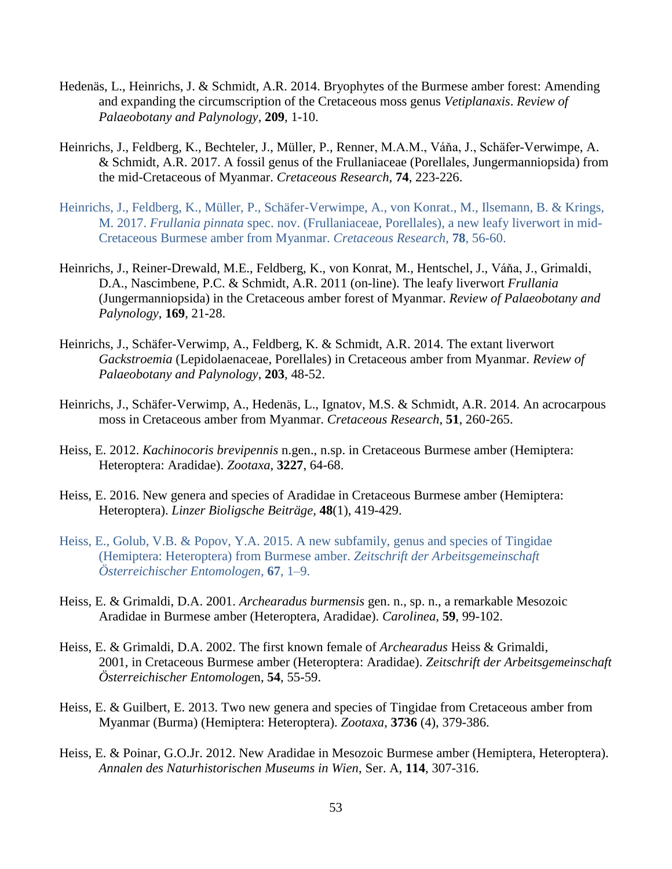- Hedenäs, L., Heinrichs, J. & Schmidt, A.R. 2014. Bryophytes of the Burmese amber forest: Amending and expanding the circumscription of the Cretaceous moss genus *Vetiplanaxis*. *Review of Palaeobotany and Palynology*, **209**, 1-10.
- Heinrichs, J., Feldberg, K., Bechteler, J., Müller, P., Renner, M.A.M., Váňa, J., Schäfer-Verwimpe, A. & Schmidt, A.R. 2017. A fossil genus of the Frullaniaceae (Porellales, Jungermanniopsida) from the mid-Cretaceous of Myanmar. *Cretaceous Research*, **74**, 223-226.
- Heinrichs, J., Feldberg, K., Müller, P., Schäfer-Verwimpe, A., von Konrat., M., Ilsemann, B. & Krings, M. 2017. *Frullania pinnata* spec. nov. (Frullaniaceae, Porellales), a new leafy liverwort in mid-Cretaceous Burmese amber from Myanmar. *Cretaceous Research*, **78**, 56-60.
- Heinrichs, J., Reiner-Drewald, M.E., Feldberg, K., von Konrat, M., Hentschel, J., Váňa, J., Grimaldi, D.A., Nascimbene, P.C. & Schmidt, A.R. 2011 (on-line). The leafy liverwort *Frullania* (Jungermanniopsida) in the Cretaceous amber forest of Myanmar. *Review of Palaeobotany and Palynology*, **169**, 21-28.
- Heinrichs, J., Schäfer-Verwimp, A., Feldberg, K. & Schmidt, A.R. 2014. The extant liverwort *Gackstroemia* (Lepidolaenaceae, Porellales) in Cretaceous amber from Myanmar. *Review of Palaeobotany and Palynology*, **203**, 48-52.
- Heinrichs, J., Schäfer-Verwimp, A., Hedenäs, L., Ignatov, M.S. & Schmidt, A.R. 2014. An acrocarpous moss in Cretaceous amber from Myanmar. *Cretaceous Research*, **51**, 260-265.
- Heiss, E. 2012. *Kachinocoris brevipennis* n.gen., n.sp. in Cretaceous Burmese amber (Hemiptera: Heteroptera: Aradidae). *Zootaxa*, **3227**, 64-68.
- Heiss, E. 2016. New genera and species of Aradidae in Cretaceous Burmese amber (Hemiptera: Heteroptera). *Linzer Bioligsche Beiträge*, **48**(1), 419-429.
- Heiss, E., Golub, V.B. & Popov, Y.A. 2015. A new subfamily, genus and species of Tingidae (Hemiptera: Heteroptera) from Burmese amber. *Zeitschrift der Arbeitsgemeinschaft Österreichischer Entomologen*, **67**, 1–9.
- Heiss, E. & Grimaldi, D.A. 2001. *Archearadus burmensis* gen. n., sp. n., a remarkable Mesozoic Aradidae in Burmese amber (Heteroptera, Aradidae). *Carolinea*, **59**, 99-102.
- Heiss, E. & Grimaldi, D.A. 2002. The first known female of *Archearadus* Heiss & Grimaldi, 2001, in Cretaceous Burmese amber (Heteroptera: Aradidae). *Zeitschrift der Arbeitsgemeinschaft Österreichischer Entomologe*n, **54**, 55-59.
- Heiss, E. & Guilbert, E. 2013. Two new genera and species of Tingidae from Cretaceous amber from Myanmar (Burma) (Hemiptera: Heteroptera). *Zootaxa*, **3736** (4), 379-386.
- Heiss, E. & Poinar, G.O.Jr. 2012. New Aradidae in Mesozoic Burmese amber (Hemiptera, Heteroptera). *Annalen des Naturhistorischen Museums in Wien*, Ser. A, **114**, 307-316.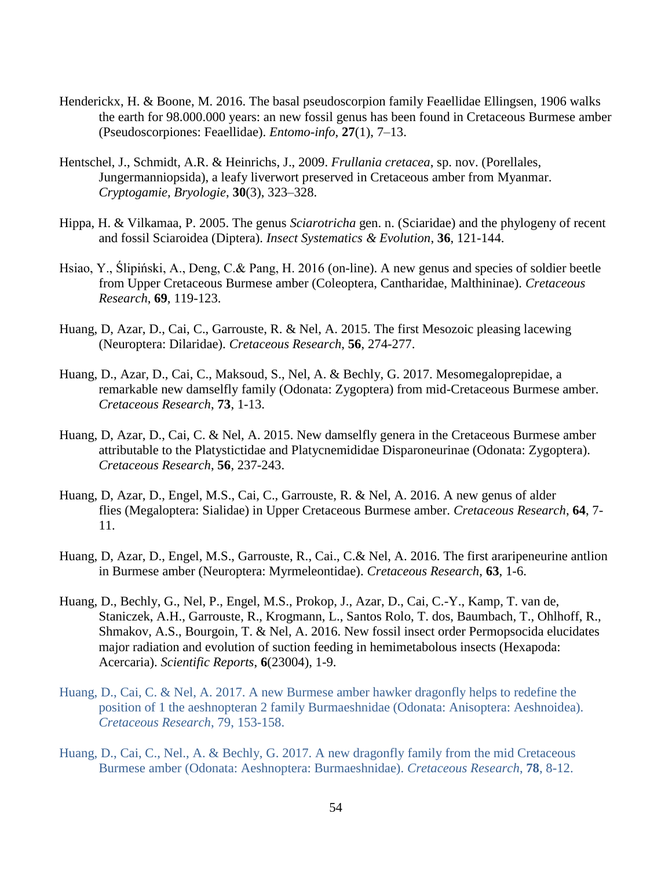- Henderickx, H. & Boone, M. 2016. The basal pseudoscorpion family Feaellidae Ellingsen, 1906 walks the earth for 98.000.000 years: an new fossil genus has been found in Cretaceous Burmese amber (Pseudoscorpiones: Feaellidae). *Entomo-info*, **27**(1), 7–13.
- Hentschel, J., Schmidt, A.R. & Heinrichs, J., 2009. *Frullania cretacea*, sp. nov. (Porellales, Jungermanniopsida), a leafy liverwort preserved in Cretaceous amber from Myanmar. *Cryptogamie, Bryologie*, **30**(3), 323–328.
- Hippa, H. & Vilkamaa, P. 2005. The genus *Sciarotricha* gen. n. (Sciaridae) and the phylogeny of recent and fossil Sciaroidea (Diptera). *Insect Systematics & Evolution*, **36**, 121-144.
- Hsiao, Y., Ślipiński, A., Deng, C.& Pang, H. 2016 (on-line). A new genus and species of soldier beetle from Upper Cretaceous Burmese amber (Coleoptera, Cantharidae, Malthininae). *Cretaceous Research*, **69**, 119-123.
- Huang, D, Azar, D., Cai, C., Garrouste, R. & Nel, A. 2015. The first Mesozoic pleasing lacewing (Neuroptera: Dilaridae). *Cretaceous Research*, **56**, 274-277.
- Huang, D., Azar, D., Cai, C., Maksoud, S., Nel, A. & Bechly, G. 2017. Mesomegaloprepidae, a remarkable new damselfly family (Odonata: Zygoptera) from mid-Cretaceous Burmese amber. *Cretaceous Research*, **73**, 1-13.
- Huang, D, Azar, D., Cai, C. & Nel, A. 2015. New damselfly genera in the Cretaceous Burmese amber attributable to the Platystictidae and Platycnemididae Disparoneurinae (Odonata: Zygoptera). *Cretaceous Research*, **56**, 237-243.
- Huang, D, Azar, D., Engel, M.S., Cai, C., Garrouste, R. & Nel, A. 2016. A new genus of alder flies (Megaloptera: Sialidae) in Upper Cretaceous Burmese amber. *Cretaceous Research*, **64**, 7- 11.
- Huang, D, Azar, D., Engel, M.S., Garrouste, R., Cai., C.& Nel, A. 2016. The first araripeneurine antlion in Burmese amber (Neuroptera: Myrmeleontidae). *Cretaceous Research*, **63**, 1-6.
- Huang, D., Bechly, G., Nel, P., Engel, M.S., Prokop, J., Azar, D., Cai, C.-Y., Kamp, T. van de, Staniczek, A.H., Garrouste, R., Krogmann, L., Santos Rolo, T. dos, Baumbach, T., Ohlhoff, R., Shmakov, A.S., Bourgoin, T. & Nel, A. 2016. New fossil insect order Permopsocida elucidates major radiation and evolution of suction feeding in hemimetabolous insects (Hexapoda: Acercaria). *Scientific Reports*, **6**(23004), 1-9.
- Huang, D., Cai, C. & Nel, A. 2017. A new Burmese amber hawker dragonfly helps to redefine the position of 1 the aeshnopteran 2 family Burmaeshnidae (Odonata: Anisoptera: Aeshnoidea). *Cretaceous Research*, 79, 153-158.
- Huang, D., Cai, C., Nel., A. & Bechly, G. 2017. A new dragonfly family from the mid Cretaceous Burmese amber (Odonata: Aeshnoptera: Burmaeshnidae). *Cretaceous Research*, **78**, 8-12.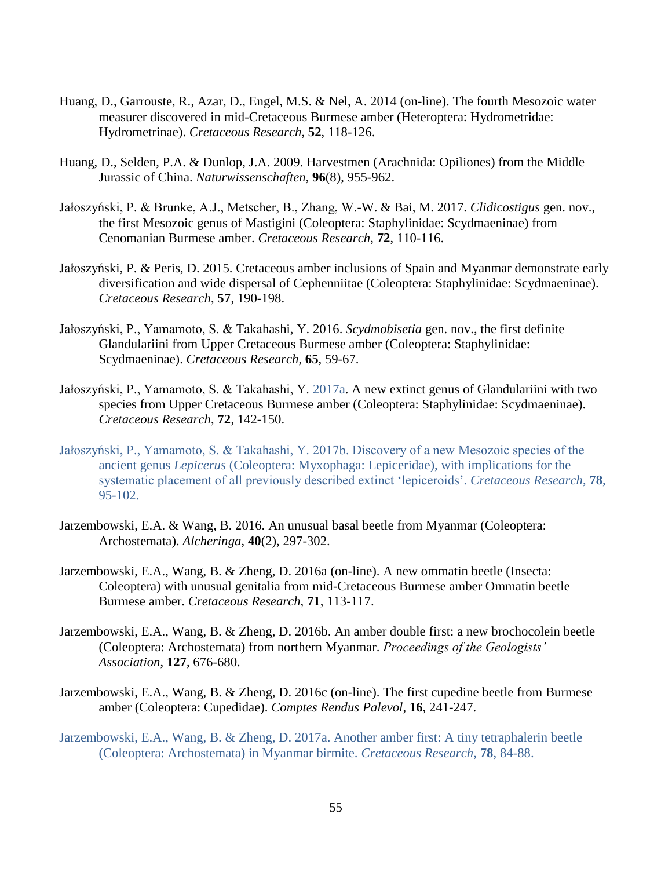- Huang, D., Garrouste, R., Azar, D., Engel, M.S. & Nel, A. 2014 (on-line). The fourth Mesozoic water measurer discovered in mid-Cretaceous Burmese amber (Heteroptera: Hydrometridae: Hydrometrinae). *Cretaceous Research*, **52**, 118-126.
- Huang, D., Selden, P.A. & Dunlop, J.A. 2009. Harvestmen (Arachnida: Opiliones) from the Middle Jurassic of China. *Naturwissenschaften*, **96**(8), 955-962.
- Jałoszyński, P. & Brunke, A.J., Metscher, B., Zhang, W.-W. & Bai, M. 2017. *Clidicostigus* gen. nov., the first Mesozoic genus of Mastigini (Coleoptera: Staphylinidae: Scydmaeninae) from Cenomanian Burmese amber. *Cretaceous Research*, **72**, 110-116.
- Jałoszyński, P. & Peris, D. 2015. Cretaceous amber inclusions of Spain and Myanmar demonstrate early diversification and wide dispersal of Cephenniitae (Coleoptera: Staphylinidae: Scydmaeninae). *Cretaceous Research*, **57**, 190-198.
- Jałoszyński, P., Yamamoto, S. & Takahashi, Y. 2016. *Scydmobisetia* gen. nov., the first definite Glandulariini from Upper Cretaceous Burmese amber (Coleoptera: Staphylinidae: Scydmaeninae). *Cretaceous Research*, **65**, 59-67.
- Jałoszyński, P., Yamamoto, S. & Takahashi, Y. 2017a. A new extinct genus of Glandulariini with two species from Upper Cretaceous Burmese amber (Coleoptera: Staphylinidae: Scydmaeninae). *Cretaceous Research*, **72**, 142-150.
- Jałoszyński, P., Yamamoto, S. & Takahashi, Y. 2017b. Discovery of a new Mesozoic species of the ancient genus *Lepicerus* (Coleoptera: Myxophaga: Lepiceridae), with implications for the systematic placement of all previously described extinct 'lepiceroids'. *Cretaceous Research*, **78**, 95-102.
- Jarzembowski, E.A. & Wang, B. 2016. An unusual basal beetle from Myanmar (Coleoptera: Archostemata). *Alcheringa*, **40**(2), 297-302.
- Jarzembowski, E.A., Wang, B. & Zheng, D. 2016a (on-line). A new ommatin beetle (Insecta: Coleoptera) with unusual genitalia from mid-Cretaceous Burmese amber Ommatin beetle Burmese amber. *Cretaceous Research*, **71**, 113-117.
- Jarzembowski, E.A., Wang, B. & Zheng, D. 2016b. An amber double first: a new brochocolein beetle (Coleoptera: Archostemata) from northern Myanmar. *Proceedings of the Geologists' Association*, **127**, 676-680.
- Jarzembowski, E.A., Wang, B. & Zheng, D. 2016c (on-line). The first cupedine beetle from Burmese amber (Coleoptera: Cupedidae). *Comptes Rendus Palevol*, **16**, 241-247.
- Jarzembowski, E.A., Wang, B. & Zheng, D. 2017a. Another amber first: A tiny tetraphalerin beetle (Coleoptera: Archostemata) in Myanmar birmite. *Cretaceous Research*, **78**, 84-88.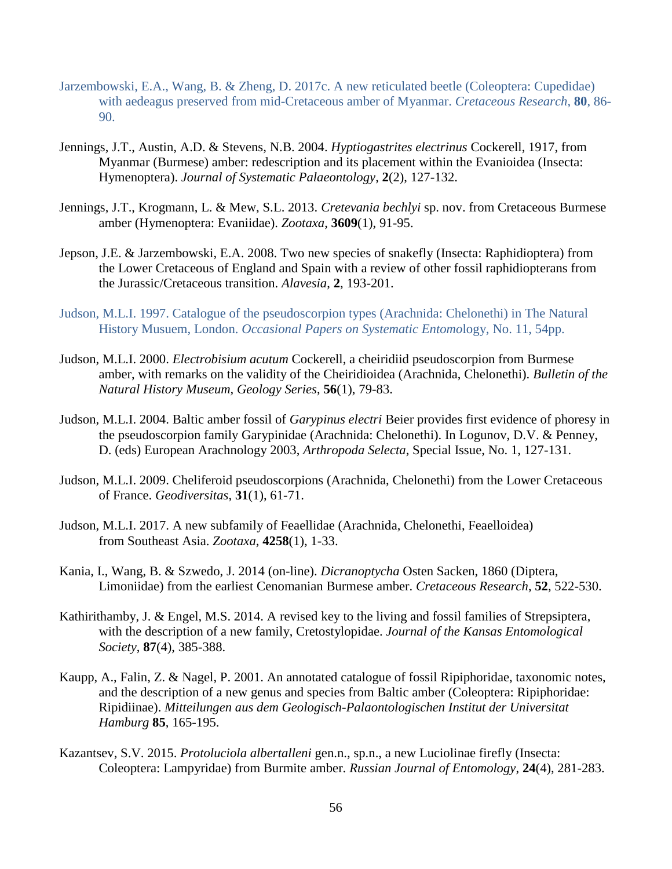- Jarzembowski, E.A., Wang, B. & Zheng, D. 2017c. A new reticulated beetle (Coleoptera: Cupedidae) with aedeagus preserved from mid-Cretaceous amber of Myanmar. *Cretaceous Research*, **80**, 86- 90.
- Jennings, J.T., Austin, A.D. & Stevens, N.B. 2004. *Hyptiogastrites electrinus* Cockerell, 1917, from Myanmar (Burmese) amber: redescription and its placement within the Evanioidea (Insecta: Hymenoptera). *Journal of Systematic Palaeontology*, **2**(2), 127-132.
- Jennings, J.T., Krogmann, L. & Mew, S.L. 2013. *Cretevania bechlyi* sp. nov. from Cretaceous Burmese amber (Hymenoptera: Evaniidae). *Zootaxa*, **3609**(1), 91-95.
- Jepson, J.E. & Jarzembowski, E.A. 2008. Two new species of snakefly (Insecta: Raphidioptera) from the Lower Cretaceous of England and Spain with a review of other fossil raphidiopterans from the Jurassic/Cretaceous transition. *Alavesia*, **2**, 193-201.
- Judson, M.L.I. 1997. Catalogue of the pseudoscorpion types (Arachnida: Chelonethi) in The Natural History Musuem, London. *Occasional Papers on Systematic Entomo*logy, No. 11, 54pp.
- Judson, M.L.I. 2000. *Electrobisium acutum* Cockerell, a cheiridiid pseudoscorpion from Burmese amber, with remarks on the validity of the Cheiridioidea (Arachnida, Chelonethi). *Bulletin of the Natural History Museum, Geology Series*, **56**(1), 79-83.
- Judson, M.L.I. 2004. Baltic amber fossil of *Garypinus electri* Beier provides first evidence of phoresy in the pseudoscorpion family Garypinidae (Arachnida: Chelonethi). In Logunov, D.V. & Penney, D. (eds) European Arachnology 2003, *Arthropoda Selecta*, Special Issue, No. 1, 127-131.
- Judson, M.L.I. 2009. Cheliferoid pseudoscorpions (Arachnida, Chelonethi) from the Lower Cretaceous of France. *Geodiversitas*, **31**(1), 61-71.
- Judson, M.L.I. 2017. A new subfamily of Feaellidae (Arachnida, Chelonethi, Feaelloidea) from Southeast Asia. *Zootaxa*, **4258**(1), 1-33.
- Kania, I., Wang, B. & Szwedo, J. 2014 (on-line). *Dicranoptycha* Osten Sacken, 1860 (Diptera, Limoniidae) from the earliest Cenomanian Burmese amber. *Cretaceous Research*, **52**, 522-530.
- Kathirithamby, J. & Engel, M.S. 2014. A revised key to the living and fossil families of Strepsiptera, with the description of a new family, Cretostylopidae. *Journal of the Kansas Entomological Society*, **87**(4), 385-388.
- Kaupp, A., Falin, Z. & Nagel, P. 2001. An annotated catalogue of fossil Ripiphoridae, taxonomic notes, and the description of a new genus and species from Baltic amber (Coleoptera: Ripiphoridae: Ripidiinae). *Mitteilungen aus dem Geologisch-Palaontologischen Institut der Universitat Hamburg* **85**, 165-195.
- Kazantsev, S.V. 2015. *Protoluciola albertalleni* gen.n., sp.n., a new Luciolinae firefly (Insecta: Coleoptera: Lampyridae) from Burmite amber. *Russian Journal of Entomology*, **24**(4), 281-283.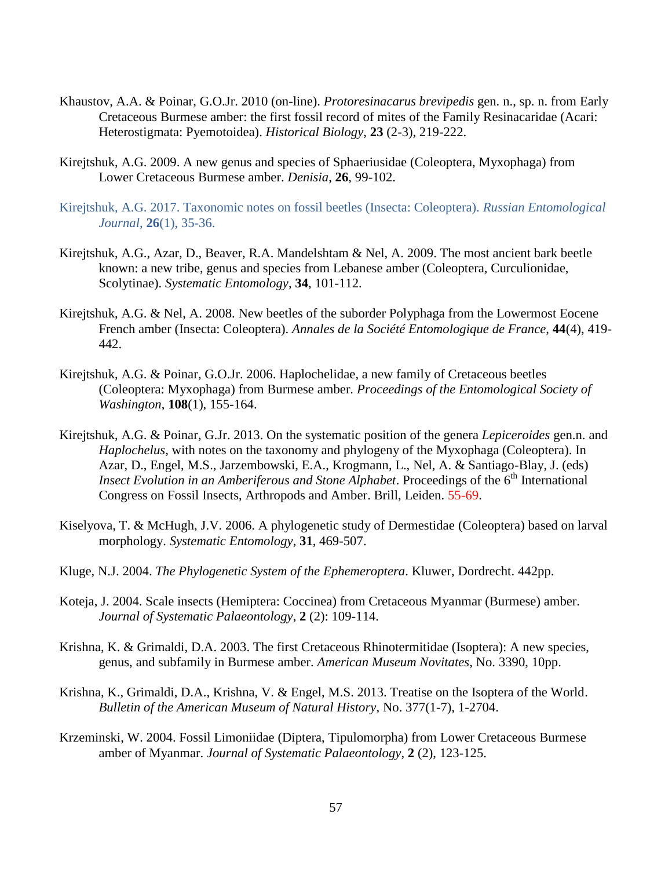- Khaustov, A.A. & Poinar, G.O.Jr. 2010 (on-line). *Protoresinacarus brevipedis* gen. n., sp. n. from Early Cretaceous Burmese amber: the first fossil record of mites of the Family Resinacaridae (Acari: Heterostigmata: Pyemotoidea). *Historical Biology*, **23** (2-3), 219-222.
- Kirejtshuk, A.G. 2009. A new genus and species of Sphaeriusidae (Coleoptera, Myxophaga) from Lower Cretaceous Burmese amber. *Denisia*, **26**, 99-102.
- Kirejtshuk, A.G. 2017. Taxonomic notes on fossil beetles (Insecta: Coleoptera). *Russian Entomological Journal*, **26**(1), 35-36.
- Kirejtshuk, A.G., Azar, D., Beaver, R.A. Mandelshtam & Nel, A. 2009. The most ancient bark beetle known: a new tribe, genus and species from Lebanese amber (Coleoptera, Curculionidae, Scolytinae). *Systematic Entomology*, **34**, 101-112.
- Kirejtshuk, A.G. & Nel, A. 2008. New beetles of the suborder Polyphaga from the Lowermost Eocene French amber (Insecta: Coleoptera). *Annales de la Société Entomologique de France*, **44**(4), 419- 442.
- Kirejtshuk, A.G. & Poinar, G.O.Jr. 2006. Haplochelidae, a new family of Cretaceous beetles (Coleoptera: Myxophaga) from Burmese amber. *Proceedings of the Entomological Society of Washington*, **108**(1), 155-164.
- Kirejtshuk, A.G. & Poinar, G.Jr. 2013. On the systematic position of the genera *Lepiceroides* gen.n. and *Haplochelus*, with notes on the taxonomy and phylogeny of the Myxophaga (Coleoptera). In Azar, D., Engel, M.S., Jarzembowski, E.A., Krogmann, L., Nel, A. & Santiago-Blay, J. (eds) *Insect Evolution in an Amberiferous and Stone Alphabet.* Proceedings of the 6<sup>th</sup> International Congress on Fossil Insects, Arthropods and Amber. Brill, Leiden. 55-69.
- Kiselyova, T. & McHugh, J.V. 2006. A phylogenetic study of Dermestidae (Coleoptera) based on larval morphology. *Systematic Entomology*, **31**, 469-507.
- Kluge, N.J. 2004. *The Phylogenetic System of the Ephemeroptera*. Kluwer, Dordrecht. 442pp.
- Koteja, J. 2004. Scale insects (Hemiptera: Coccinea) from Cretaceous Myanmar (Burmese) amber. *Journal of Systematic Palaeontology*, **2** (2): 109-114.
- Krishna, K. & Grimaldi, D.A. 2003. The first Cretaceous Rhinotermitidae (Isoptera): A new species, genus, and subfamily in Burmese amber. *American Museum Novitates*, No. 3390, 10pp.
- Krishna, K., Grimaldi, D.A., Krishna, V. & Engel, M.S. 2013. Treatise on the Isoptera of the World. *Bulletin of the American Museum of Natural History*, No. 377(1-7), 1-2704.
- Krzeminski, W. 2004. Fossil Limoniidae (Diptera, Tipulomorpha) from Lower Cretaceous Burmese amber of Myanmar. *Journal of Systematic Palaeontology*, **2** (2), 123-125.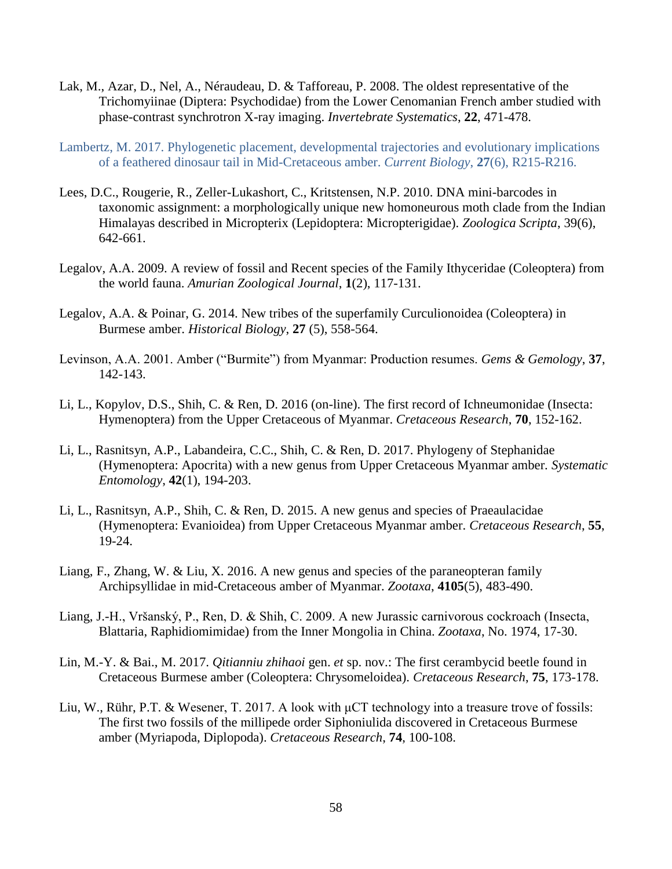- Lak, M., Azar, D., Nel, A., Néraudeau, D. & Tafforeau, P. 2008. The oldest representative of the Trichomyiinae (Diptera: Psychodidae) from the Lower Cenomanian French amber studied with phase-contrast synchrotron X-ray imaging. *Invertebrate Systematics*, **22**, 471-478.
- Lambertz, M. 2017. Phylogenetic placement, developmental trajectories and evolutionary implications of a feathered dinosaur tail in Mid-Cretaceous amber. *Current Biology*, **27**(6), R215-R216.
- Lees, D.C., Rougerie, R., Zeller-Lukashort, C., Kritstensen, N.P. 2010. DNA mini-barcodes in taxonomic assignment: a morphologically unique new homoneurous moth clade from the Indian Himalayas described in Micropterix (Lepidoptera: Micropterigidae). *Zoologica Scripta*, 39(6), 642-661.
- Legalov, A.A. 2009. A review of fossil and Recent species of the Family Ithyceridae (Coleoptera) from the world fauna. *Amurian Zoological Journal*, **1**(2), 117-131.
- Legalov, A.A. & Poinar, G. 2014. New tribes of the superfamily Curculionoidea (Coleoptera) in Burmese amber. *Historical Biology*, **27** (5), 558-564.
- Levinson, A.A. 2001. Amber ("Burmite") from Myanmar: Production resumes. *Gems & Gemology*, **37**, 142-143.
- Li, L., Kopylov, D.S., Shih, C. & Ren, D. 2016 (on-line). The first record of Ichneumonidae (Insecta: Hymenoptera) from the Upper Cretaceous of Myanmar. *Cretaceous Research*, **70**, 152-162.
- Li, L., Rasnitsyn, A.P., Labandeira, C.C., Shih, C. & Ren, D. 2017. Phylogeny of Stephanidae (Hymenoptera: Apocrita) with a new genus from Upper Cretaceous Myanmar amber. *Systematic Entomology*, **42**(1), 194-203.
- Li, L., Rasnitsyn, A.P., Shih, C. & Ren, D. 2015. A new genus and species of Praeaulacidae (Hymenoptera: Evanioidea) from Upper Cretaceous Myanmar amber. *Cretaceous Research*, **55**, 19-24.
- Liang, F., Zhang, W. & Liu, X. 2016. A new genus and species of the paraneopteran family Archipsyllidae in mid-Cretaceous amber of Myanmar. *Zootaxa*, **4105**(5), 483-490.
- Liang, J.-H., Vršanský, P., Ren, D. & Shih, C. 2009. A new Jurassic carnivorous cockroach (Insecta, Blattaria, Raphidiomimidae) from the Inner Mongolia in China. *Zootaxa*, No. 1974, 17-30.
- Lin, M.-Y. & Bai., M. 2017. *Qitianniu zhihaoi* gen. *et* sp. nov.: The first cerambycid beetle found in Cretaceous Burmese amber (Coleoptera: Chrysomeloidea). *Cretaceous Research*, **75**, 173-178.
- Liu, W., Rühr, P.T. & Wesener, T. 2017. A look with μCT technology into a treasure trove of fossils: The first two fossils of the millipede order Siphoniulida discovered in Cretaceous Burmese amber (Myriapoda, Diplopoda). *Cretaceous Research*, **74**, 100-108.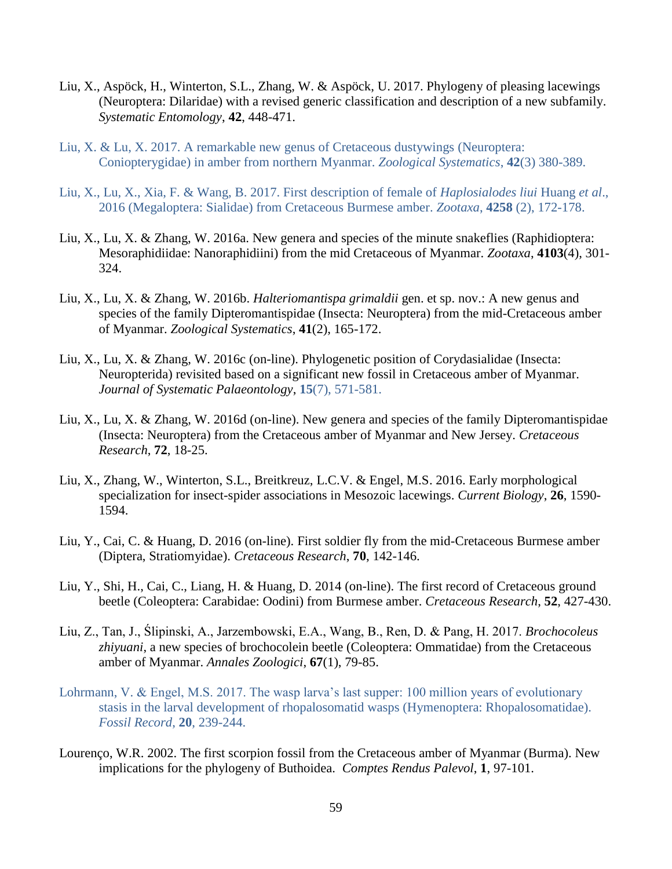- Liu, X., Aspöck, H., Winterton, S.L., Zhang, W. & Aspöck, U. 2017. Phylogeny of pleasing lacewings (Neuroptera: Dilaridae) with a revised generic classification and description of a new subfamily. *Systematic Entomology*, **42**, 448-471.
- Liu, X. & Lu, X. 2017. A remarkable new genus of Cretaceous dustywings (Neuroptera: Coniopterygidae) in amber from northern Myanmar. *Zoological Systematics*, **42**(3) 380-389.
- Liu, X., Lu, X., Xia, F. & Wang, B. 2017. First description of female of *Haplosialodes liui* Huang *et al*., 2016 (Megaloptera: Sialidae) from Cretaceous Burmese amber. *Zootaxa*, **4258** (2), 172-178.
- Liu, X., Lu, X. & Zhang, W. 2016a. New genera and species of the minute snakeflies (Raphidioptera: Mesoraphidiidae: Nanoraphidiini) from the mid Cretaceous of Myanmar. *Zootaxa*, **4103**(4), 301- 324.
- Liu, X., Lu, X. & Zhang, W. 2016b. *Halteriomantispa grimaldii* gen. et sp. nov.: A new genus and species of the family Dipteromantispidae (Insecta: Neuroptera) from the mid-Cretaceous amber of Myanmar. *Zoological Systematics*, **41**(2), 165-172.
- Liu, X., Lu, X. & Zhang, W. 2016c (on-line). Phylogenetic position of Corydasialidae (Insecta: Neuropterida) revisited based on a significant new fossil in Cretaceous amber of Myanmar. *Journal of Systematic Palaeontology*, **15**(7), 571-581.
- Liu, X., Lu, X. & Zhang, W. 2016d (on-line). New genera and species of the family Dipteromantispidae (Insecta: Neuroptera) from the Cretaceous amber of Myanmar and New Jersey. *Cretaceous Research*, **72**, 18-25.
- Liu, X., Zhang, W., Winterton, S.L., Breitkreuz, L.C.V. & Engel, M.S. 2016. Early morphological specialization for insect-spider associations in Mesozoic lacewings. *Current Biology*, **26**, 1590- 1594.
- Liu, Y., Cai, C. & Huang, D. 2016 (on-line). First soldier fly from the mid-Cretaceous Burmese amber (Diptera, Stratiomyidae). *Cretaceous Research*, **70**, 142-146.
- Liu, Y., Shi, H., Cai, C., Liang, H. & Huang, D. 2014 (on-line). The first record of Cretaceous ground beetle (Coleoptera: Carabidae: Oodini) from Burmese amber. *Cretaceous Research*, **52**, 427-430.
- Liu, Z., Tan, J., Ślipinski, A., Jarzembowski, E.A., Wang, B., Ren, D. & Pang, H. 2017. *Brochocoleus zhiyuani*, a new species of brochocolein beetle (Coleoptera: Ommatidae) from the Cretaceous amber of Myanmar. *Annales Zoologici*, **67**(1), 79-85.
- Lohrmann, V. & Engel, M.S. 2017. The wasp larva's last supper: 100 million years of evolutionary stasis in the larval development of rhopalosomatid wasps (Hymenoptera: Rhopalosomatidae). *Fossil Record*, **20**, 239-244.
- Lourenço, W.R. 2002. The first scorpion fossil from the Cretaceous amber of Myanmar (Burma). New implications for the phylogeny of Buthoidea. *Comptes Rendus Palevol*, **1**, 97-101.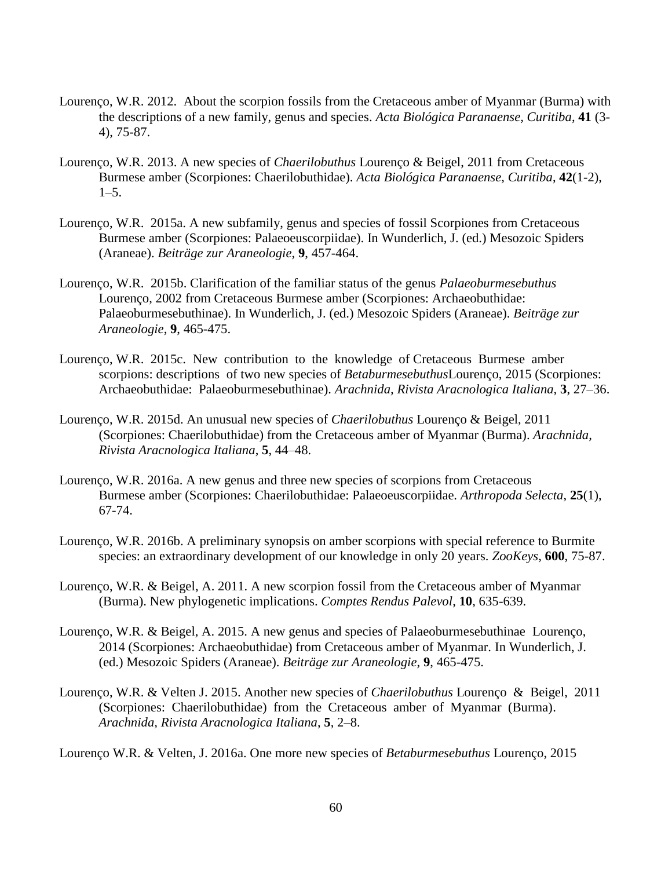- Lourenço, W.R. 2012. About the scorpion fossils from the Cretaceous amber of Myanmar (Burma) with the descriptions of a new family, genus and species. *Acta Biológica Paranaense, Curitiba*, **41** (3- 4), 75-87.
- Lourenço, W.R. 2013. A new species of *Chaerilobuthus* Lourenço & Beigel, 2011 from Cretaceous Burmese amber (Scorpiones: Chaerilobuthidae). *Acta Biológica Paranaense, Curitiba*, **42**(1-2),  $1-5.$
- Lourenço, W.R. 2015a. A new subfamily, genus and species of fossil Scorpiones from Cretaceous Burmese amber (Scorpiones: Palaeoeuscorpiidae). In Wunderlich, J. (ed.) Mesozoic Spiders (Araneae). *Beiträge zur Araneologie*, **9**, 457-464.
- Lourenço, W.R. 2015b. Clarification of the familiar status of the genus *Palaeoburmesebuthus* Lourenço, 2002 from Cretaceous Burmese amber (Scorpiones: Archaeobuthidae: Palaeoburmesebuthinae). In Wunderlich, J. (ed.) Mesozoic Spiders (Araneae). *Beiträge zur Araneologie*, **9**, 465-475.
- Lourenço, W.R. 2015c. New contribution to the knowledge of Cretaceous Burmese amber scorpions: descriptions of two new species of *Betaburmesebuthus*Lourenço, 2015 (Scorpiones: Archaeobuthidae: Palaeoburmesebuthinae). *Arachnida, Rivista Aracnologica Italiana,* **3**, 27–36.
- Lourenço, W.R. 2015d. An unusual new species of *Chaerilobuthus* Lourenço & Beigel, 2011 (Scorpiones: Chaerilobuthidae) from the Cretaceous amber of Myanmar (Burma). *Arachnida, Rivista Aracnologica Italiana*, **5**, 44–48.
- Lourenço, W.R. 2016a. A new genus and three new species of scorpions from Cretaceous Burmese amber (Scorpiones: Chaerilobuthidae: Palaeoeuscorpiidae. *Arthropoda Selecta*, **25**(1), 67-74.
- Lourenço, W.R. 2016b. A preliminary synopsis on amber scorpions with special reference to Burmite species: an extraordinary development of our knowledge in only 20 years. *ZooKeys*, **600**, 75-87.
- Lourenço, W.R. & Beigel, A. 2011. A new scorpion fossil from the Cretaceous amber of Myanmar (Burma). New phylogenetic implications. *Comptes Rendus Palevol*, **10**, 635-639.
- Lourenço, W.R. & Beigel, A. 2015. A new genus and species of Palaeoburmesebuthinae Lourenço, 2014 (Scorpiones: Archaeobuthidae) from Cretaceous amber of Myanmar. In Wunderlich, J. (ed.) Mesozoic Spiders (Araneae). *Beiträge zur Araneologie*, **9**, 465-475.
- Lourenço, W.R. & Velten J. 2015. Another new species of *Chaerilobuthus* Lourenço & Beigel, 2011 (Scorpiones: Chaerilobuthidae) from the Cretaceous amber of Myanmar (Burma). *Arachnida, Rivista Aracnologica Italiana*, **5**, 2–8.

Lourenço W.R. & Velten, J. 2016a. One more new species of *Betaburmesebuthus* Lourenço, 2015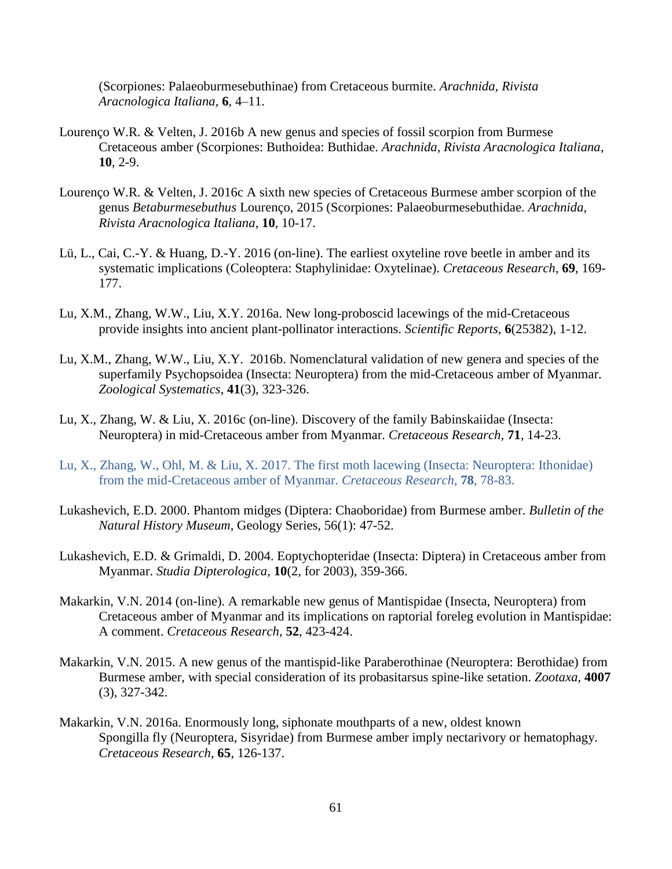(Scorpiones: Palaeoburmesebuthinae) from Cretaceous burmite. *Arachnida, Rivista Aracnologica Italiana*, **6**, 4–11.

- Lourenço W.R. & Velten, J. 2016b A new genus and species of fossil scorpion from Burmese Cretaceous amber (Scorpiones: Buthoidea: Buthidae. *Arachnida, Rivista Aracnologica Italiana*, **10**, 2-9.
- Lourenço W.R. & Velten, J. 2016c A sixth new species of Cretaceous Burmese amber scorpion of the genus *Betaburmesebuthus* Lourenço, 2015 (Scorpiones: Palaeoburmesebuthidae. *Arachnida, Rivista Aracnologica Italiana*, **10**, 10-17.
- Lü, L., Cai, C.-Y. & Huang, D.-Y. 2016 (on-line). The earliest oxyteline rove beetle in amber and its systematic implications (Coleoptera: Staphylinidae: Oxytelinae). *Cretaceous Research*, **69**, 169- 177.
- Lu, X.M., Zhang, W.W., Liu, X.Y. 2016a. New long-proboscid lacewings of the mid-Cretaceous provide insights into ancient plant-pollinator interactions. *Scientific Reports*, **6**(25382), 1-12.
- Lu, X.M., Zhang, W.W., Liu, X.Y. 2016b. Nomenclatural validation of new genera and species of the superfamily Psychopsoidea (Insecta: Neuroptera) from the mid-Cretaceous amber of Myanmar. *Zoological Systematics*, **41**(3), 323-326.
- Lu, X., Zhang, W. & Liu, X. 2016c (on-line). Discovery of the family Babinskaiidae (Insecta: Neuroptera) in mid-Cretaceous amber from Myanmar. *Cretaceous Research*, **71**, 14-23.
- Lu, X., Zhang, W., Ohl, M. & Liu, X. 2017. The first moth lacewing (Insecta: Neuroptera: Ithonidae) from the mid-Cretaceous amber of Myanmar. *Cretaceous Research*, **78**, 78-83.
- Lukashevich, E.D. 2000. Phantom midges (Diptera: Chaoboridae) from Burmese amber. *Bulletin of the Natural History Museum*, Geology Series, 56(1): 47-52.
- Lukashevich, E.D. & Grimaldi, D. 2004. Eoptychopteridae (Insecta: Diptera) in Cretaceous amber from Myanmar. *Studia Dipterologica*, **10**(2, for 2003), 359-366.
- Makarkin, V.N. 2014 (on-line). A remarkable new genus of Mantispidae (Insecta, Neuroptera) from Cretaceous amber of Myanmar and its implications on raptorial foreleg evolution in Mantispidae: A comment. *Cretaceous Research*, **52**, 423-424.
- Makarkin, V.N. 2015. A new genus of the mantispid-like Paraberothinae (Neuroptera: Berothidae) from Burmese amber, with special consideration of its probasitarsus spine-like setation. *Zootaxa*, **4007** (3), 327-342.
- Makarkin, V.N. 2016a. Enormously long, siphonate mouthparts of a new, oldest known Spongilla fly (Neuroptera, Sisyridae) from Burmese amber imply nectarivory or hematophagy. *Cretaceous Research*, **65**, 126-137.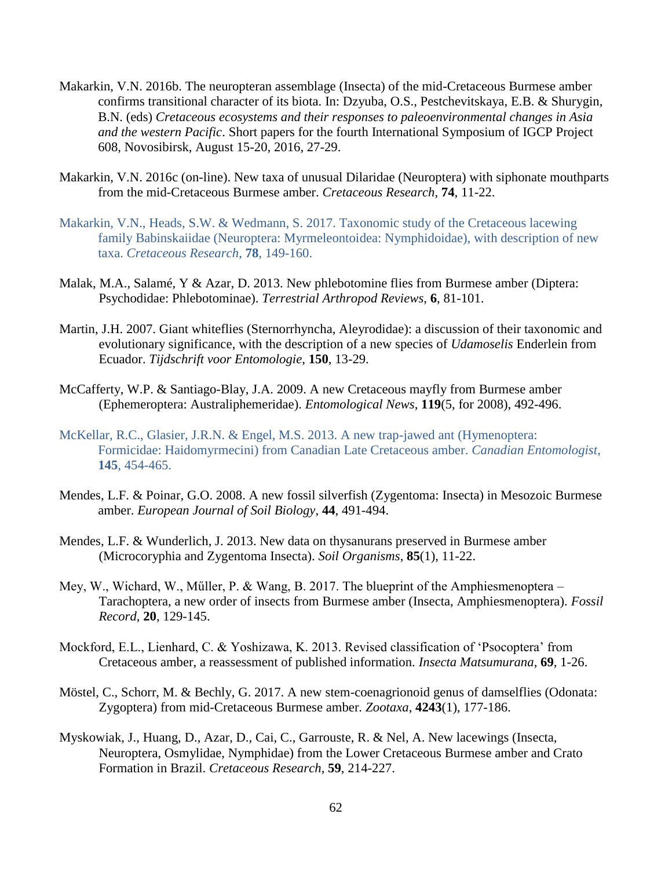- Makarkin, V.N. 2016b. The neuropteran assemblage (Insecta) of the mid-Cretaceous Burmese amber confirms transitional character of its biota. In: Dzyuba, O.S., Pestchevitskaya, E.B. & Shurygin, B.N. (eds) *Cretaceous ecosystems and their responses to paleoenvironmental changes in Asia and the western Pacific*. Short papers for the fourth International Symposium of IGCP Project 608, Novosibirsk, August 15-20, 2016, 27-29.
- Makarkin, V.N. 2016c (on-line). New taxa of unusual Dilaridae (Neuroptera) with siphonate mouthparts from the mid-Cretaceous Burmese amber. *Cretaceous Research*, **74**, 11-22.
- Makarkin, V.N., Heads, S.W. & Wedmann, S. 2017. Taxonomic study of the Cretaceous lacewing family Babinskaiidae (Neuroptera: Myrmeleontoidea: Nymphidoidae), with description of new taxa. *Cretaceous Research*, **78**, 149-160.
- Malak, M.A., Salamé, Y & Azar, D. 2013. New phlebotomine flies from Burmese amber (Diptera: Psychodidae: Phlebotominae). *Terrestrial Arthropod Reviews*, **6**, 81-101.
- Martin, J.H. 2007. Giant whiteflies (Sternorrhyncha, Aleyrodidae): a discussion of their taxonomic and evolutionary significance, with the description of a new species of *Udamoselis* Enderlein from Ecuador. *Tijdschrift voor Entomologie*, **150**, 13-29.
- McCafferty, W.P. & Santiago-Blay, J.A. 2009. A new Cretaceous mayfly from Burmese amber (Ephemeroptera: Australiphemeridae). *Entomological News*, **119**(5, for 2008), 492-496.
- McKellar, R.C., Glasier, J.R.N. & Engel, M.S. 2013. A new trap-jawed ant (Hymenoptera: Formicidae: Haidomyrmecini) from Canadian Late Cretaceous amber. *Canadian Entomologist*, **145**, 454-465.
- Mendes, L.F. & Poinar, G.O. 2008. A new fossil silverfish (Zygentoma: Insecta) in Mesozoic Burmese amber. *European Journal of Soil Biology*, **44**, 491-494.
- Mendes, L.F. & Wunderlich, J. 2013. New data on thysanurans preserved in Burmese amber (Microcoryphia and Zygentoma Insecta). *Soil Organisms*, **85**(1), 11-22.
- Mey, W., Wichard, W., Műller, P. & Wang, B. 2017. The blueprint of the Amphiesmenoptera Tarachoptera, a new order of insects from Burmese amber (Insecta, Amphiesmenoptera). *Fossil Record*, **20**, 129-145.
- Mockford, E.L., Lienhard, C. & Yoshizawa, K. 2013. Revised classification of 'Psocoptera' from Cretaceous amber, a reassessment of published information. *Insecta Matsumurana*, **69**, 1-26.
- Möstel, C., Schorr, M. & Bechly, G. 2017. A new stem-coenagrionoid genus of damselflies (Odonata: Zygoptera) from mid-Cretaceous Burmese amber. *Zootaxa*, **4243**(1), 177-186.
- Myskowiak, J., Huang, D., Azar, D., Cai, C., Garrouste, R. & Nel, A. New lacewings (Insecta, Neuroptera, Osmylidae, Nymphidae) from the Lower Cretaceous Burmese amber and Crato Formation in Brazil. *Cretaceous Research*, **59**, 214-227.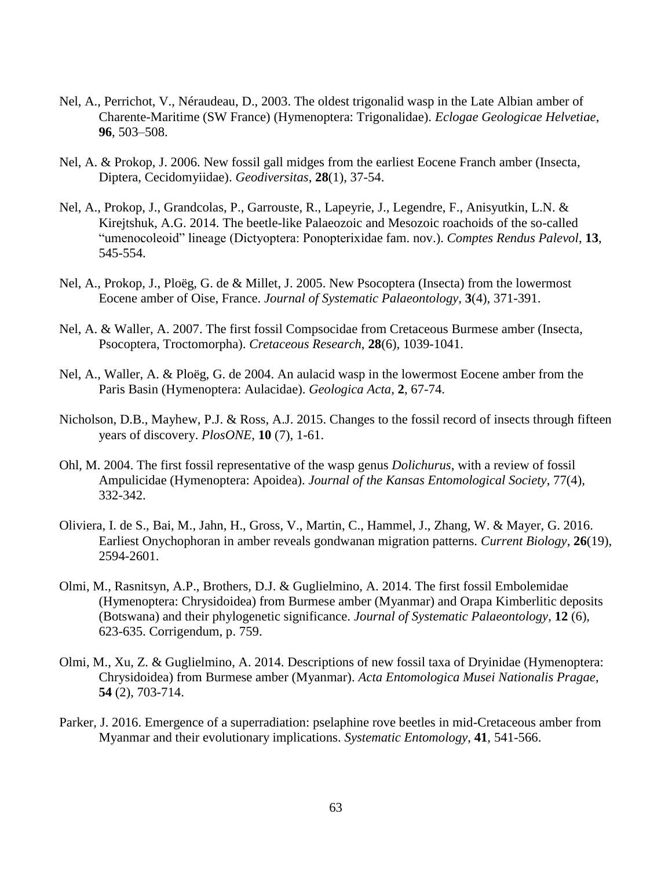- Nel, A., Perrichot, V., Néraudeau, D., 2003. The oldest trigonalid wasp in the Late Albian amber of Charente-Maritime (SW France) (Hymenoptera: Trigonalidae). *Eclogae Geologicae Helvetiae*, **96**, 503–508.
- Nel, A. & Prokop, J. 2006. New fossil gall midges from the earliest Eocene Franch amber (Insecta, Diptera, Cecidomyiidae). *Geodiversitas*, **28**(1), 37-54.
- Nel, A., Prokop, J., Grandcolas, P., Garrouste, R., Lapeyrie, J., Legendre, F., Anisyutkin, L.N. & Kirejtshuk, A.G. 2014. The beetle-like Palaeozoic and Mesozoic roachoids of the so-called "umenocoleoid" lineage (Dictyoptera: Ponopterixidae fam. nov.). *Comptes Rendus Palevol*, **13**, 545-554.
- Nel, A., Prokop, J., Ploëg, G. de & Millet, J. 2005. New Psocoptera (Insecta) from the lowermost Eocene amber of Oise, France. *Journal of Systematic Palaeontology*, **3**(4), 371-391.
- Nel, A. & Waller, A. 2007. The first fossil Compsocidae from Cretaceous Burmese amber (Insecta, Psocoptera, Troctomorpha). *Cretaceous Research*, **28**(6), 1039-1041.
- Nel, A., Waller, A. & Ploëg, G. de 2004. An aulacid wasp in the lowermost Eocene amber from the Paris Basin (Hymenoptera: Aulacidae). *Geologica Acta*, **2**, 67-74.
- Nicholson, D.B., Mayhew, P.J. & Ross, A.J. 2015. Changes to the fossil record of insects through fifteen years of discovery. *PlosONE*, **10** (7), 1-61.
- Ohl, M. 2004. The first fossil representative of the wasp genus *Dolichurus*, with a review of fossil Ampulicidae (Hymenoptera: Apoidea). *Journal of the Kansas Entomological Society*, 77(4), 332-342.
- Oliviera, I. de S., Bai, M., Jahn, H., Gross, V., Martin, C., Hammel, J., Zhang, W. & Mayer, G. 2016. Earliest Onychophoran in amber reveals gondwanan migration patterns. *Current Biology*, **26**(19), 2594-2601.
- Olmi, M., Rasnitsyn, A.P., Brothers, D.J. & Guglielmino, A. 2014. The first fossil Embolemidae (Hymenoptera: Chrysidoidea) from Burmese amber (Myanmar) and Orapa Kimberlitic deposits (Botswana) and their phylogenetic significance. *Journal of Systematic Palaeontology*, **12** (6), 623-635. Corrigendum, p. 759.
- Olmi, M., Xu, Z. & Guglielmino, A. 2014. Descriptions of new fossil taxa of Dryinidae (Hymenoptera: Chrysidoidea) from Burmese amber (Myanmar). *Acta Entomologica Musei Nationalis Pragae*, **54** (2), 703-714.
- Parker, J. 2016. Emergence of a superradiation: pselaphine rove beetles in mid-Cretaceous amber from Myanmar and their evolutionary implications. *Systematic Entomology*, **41**, 541-566.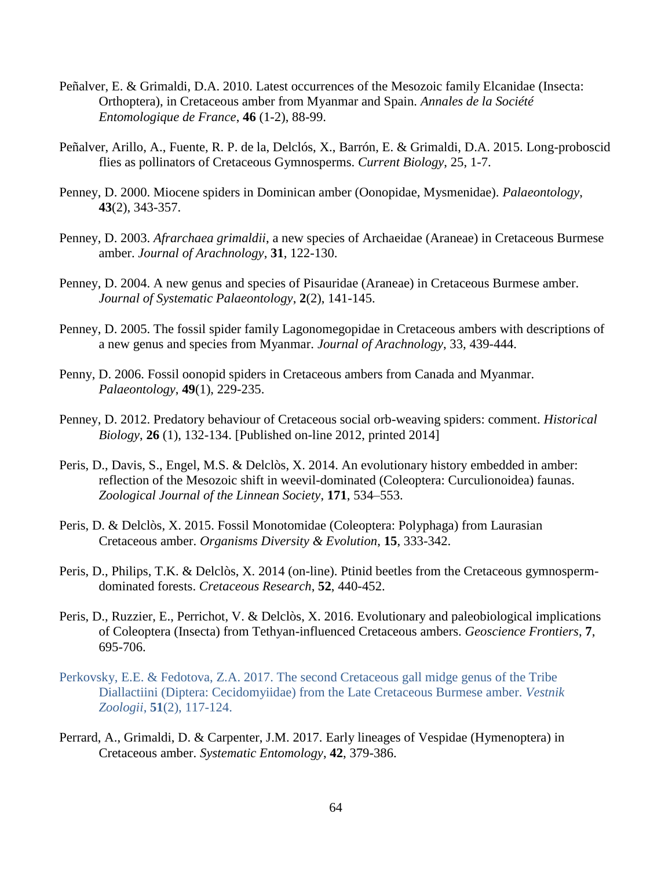- Peñalver, E. & Grimaldi, D.A. 2010. Latest occurrences of the Mesozoic family Elcanidae (Insecta: Orthoptera), in Cretaceous amber from Myanmar and Spain. *Annales de la Société Entomologique de France*, **46** (1-2), 88-99.
- Peñalver, Arillo, A., Fuente, R. P. de la, Delclós, X., Barrón, E. & Grimaldi, D.A. 2015. Long-proboscid flies as pollinators of Cretaceous Gymnosperms. *Current Biology*, 25, 1-7.
- Penney, D. 2000. Miocene spiders in Dominican amber (Oonopidae, Mysmenidae). *Palaeontology*, **43**(2), 343-357.
- Penney, D. 2003. *Afrarchaea grimaldii*, a new species of Archaeidae (Araneae) in Cretaceous Burmese amber. *Journal of Arachnology*, **31**, 122-130.
- Penney, D. 2004. A new genus and species of Pisauridae (Araneae) in Cretaceous Burmese amber. *Journal of Systematic Palaeontology*, **2**(2), 141-145.
- Penney, D. 2005. The fossil spider family Lagonomegopidae in Cretaceous ambers with descriptions of a new genus and species from Myanmar. *Journal of Arachnology*, 33, 439-444.
- Penny, D. 2006. Fossil oonopid spiders in Cretaceous ambers from Canada and Myanmar. *Palaeontology*, **49**(1), 229-235.
- Penney, D. 2012. Predatory behaviour of Cretaceous social orb-weaving spiders: comment. *Historical Biology*, **26** (1), 132-134. [Published on-line 2012, printed 2014]
- Peris, D., Davis, S., Engel, M.S. & Delclòs, X. 2014. An evolutionary history embedded in amber: reflection of the Mesozoic shift in weevil-dominated (Coleoptera: Curculionoidea) faunas. *Zoological Journal of the Linnean Society*, **171**, 534–553.
- Peris, D. & Delclòs, X. 2015. Fossil Monotomidae (Coleoptera: Polyphaga) from Laurasian Cretaceous amber. *Organisms Diversity & Evolution*, **15**, 333-342.
- Peris, D., Philips, T.K. & Delclòs, X. 2014 (on-line). Ptinid beetles from the Cretaceous gymnospermdominated forests. *Cretaceous Research*, **52**, 440-452.
- Peris, D., Ruzzier, E., Perrichot, V. & Delclòs, X. 2016. Evolutionary and paleobiological implications of Coleoptera (Insecta) from Tethyan-influenced Cretaceous ambers. *Geoscience Frontiers*, **7**, 695-706.
- Perkovsky, E.E. & Fedotova, Z.A. 2017. The second Cretaceous gall midge genus of the Tribe Diallactiini (Diptera: Cecidomyiidae) from the Late Cretaceous Burmese amber. *Vestnik Zoologii*, **51**(2), 117-124.
- Perrard, A., Grimaldi, D. & Carpenter, J.M. 2017. Early lineages of Vespidae (Hymenoptera) in Cretaceous amber. *Systematic Entomology*, **42**, 379-386.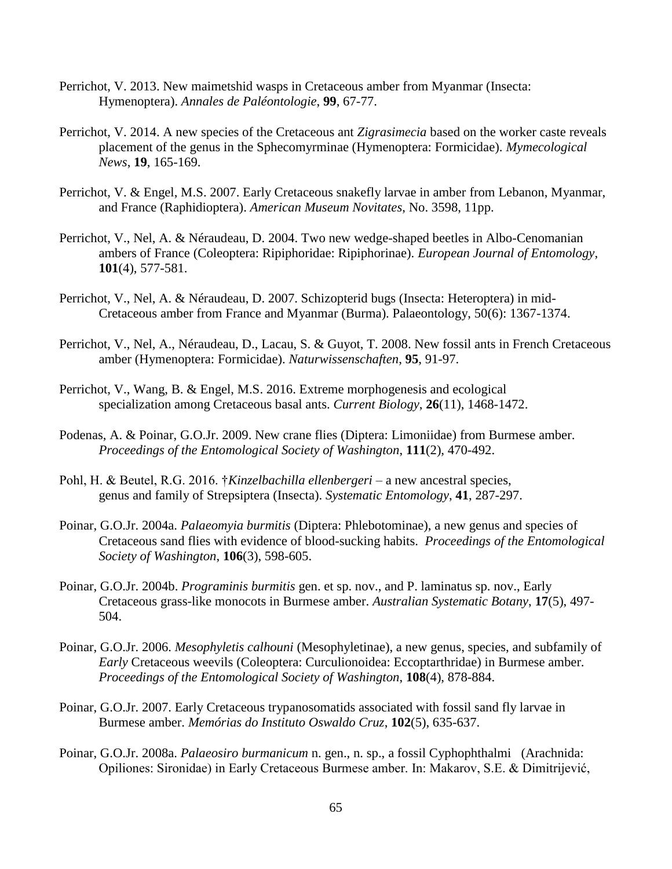- Perrichot, V. 2013. New maimetshid wasps in Cretaceous amber from Myanmar (Insecta: Hymenoptera). *Annales de Paléontologie*, **99**, 67-77.
- Perrichot, V. 2014. A new species of the Cretaceous ant *Zigrasimecia* based on the worker caste reveals placement of the genus in the Sphecomyrminae (Hymenoptera: Formicidae). *Mymecological News*, **19**, 165-169.
- Perrichot, V. & Engel, M.S. 2007. Early Cretaceous snakefly larvae in amber from Lebanon, Myanmar, and France (Raphidioptera). *American Museum Novitates*, No. 3598, 11pp.
- Perrichot, V., Nel, A. & Néraudeau, D. 2004. Two new wedge-shaped beetles in Albo-Cenomanian ambers of France (Coleoptera: Ripiphoridae: Ripiphorinae). *European Journal of Entomology*, **101**(4), 577-581.
- Perrichot, V., Nel, A. & Néraudeau, D. 2007. Schizopterid bugs (Insecta: Heteroptera) in mid-Cretaceous amber from France and Myanmar (Burma). Palaeontology, 50(6): 1367-1374.
- Perrichot, V., Nel, A., Néraudeau, D., Lacau, S. & Guyot, T. 2008. New fossil ants in French Cretaceous amber (Hymenoptera: Formicidae). *Naturwissenschaften*, **95**, 91-97.
- Perrichot, V., Wang, B. & Engel, M.S. 2016. Extreme morphogenesis and ecological specialization among Cretaceous basal ants. *Current Biology*, **26**(11), 1468-1472.
- Podenas, A. & Poinar, G.O.Jr. 2009. New crane flies (Diptera: Limoniidae) from Burmese amber. *Proceedings of the Entomological Society of Washington*, **111**(2), 470-492.
- Pohl, H. & Beutel, R.G. 2016. †*Kinzelbachilla ellenbergeri* a new ancestral species, genus and family of Strepsiptera (Insecta). *Systematic Entomology*, **41**, 287-297.
- Poinar, G.O.Jr. 2004a. *Palaeomyia burmitis* (Diptera: Phlebotominae), a new genus and species of Cretaceous sand flies with evidence of blood-sucking habits. *Proceedings of the Entomological Society of Washington*, **106**(3), 598-605.
- Poinar, G.O.Jr. 2004b. *Programinis burmitis* gen. et sp. nov., and P. laminatus sp. nov., Early Cretaceous grass-like monocots in Burmese amber. *Australian Systematic Botany*, **17**(5), 497- 504.
- Poinar, G.O.Jr. 2006. *Mesophyletis calhouni* (Mesophyletinae), a new genus, species, and subfamily of *Early* Cretaceous weevils (Coleoptera: Curculionoidea: Eccoptarthridae) in Burmese amber. *Proceedings of the Entomological Society of Washington*, **108**(4), 878-884.
- Poinar, G.O.Jr. 2007. Early Cretaceous trypanosomatids associated with fossil sand fly larvae in Burmese amber. *Memórias do Instituto Oswaldo Cruz*, **102**(5), 635-637.
- Poinar, G.O.Jr. 2008a. *Palaeosiro burmanicum* n. gen., n. sp., a fossil Cyphophthalmi (Arachnida: Opiliones: Sironidae) in Early Cretaceous Burmese amber. In: Makarov, S.E. & Dimitrijević,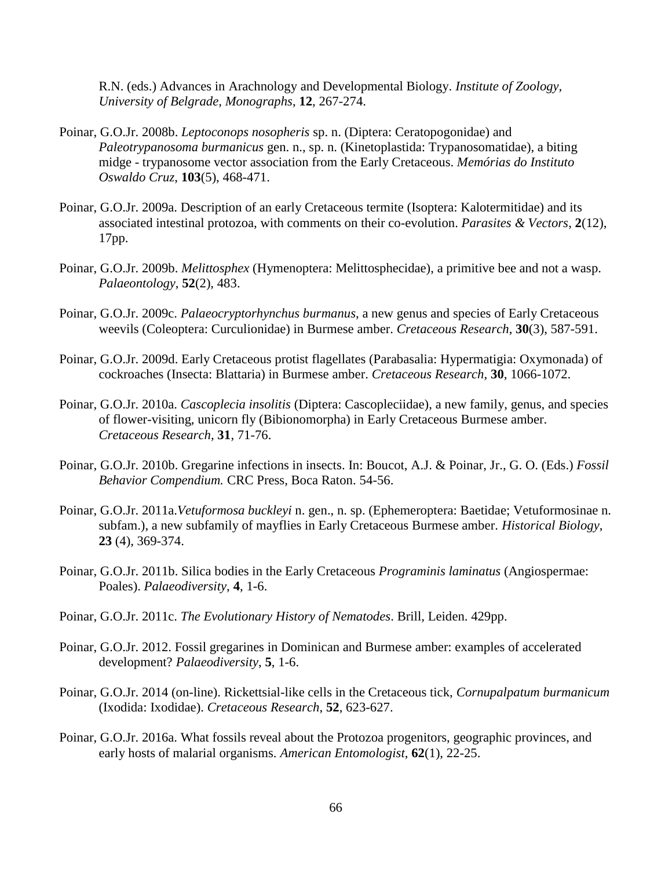R.N. (eds.) Advances in Arachnology and Developmental Biology. *Institute of Zoology, University of Belgrade, Monographs*, **12**, 267-274.

- Poinar, G.O.Jr. 2008b. *Leptoconops nosopheris* sp. n. (Diptera: Ceratopogonidae) and *Paleotrypanosoma burmanicus* gen. n., sp. n. (Kinetoplastida: Trypanosomatidae), a biting midge - trypanosome vector association from the Early Cretaceous. *Memórias do Instituto Oswaldo Cruz*, **103**(5), 468-471.
- Poinar, G.O.Jr. 2009a. Description of an early Cretaceous termite (Isoptera: Kalotermitidae) and its associated intestinal protozoa, with comments on their co-evolution. *Parasites & Vectors*, **2**(12), 17pp.
- Poinar, G.O.Jr. 2009b. *Melittosphex* (Hymenoptera: Melittosphecidae), a primitive bee and not a wasp. *Palaeontology*, **52**(2), 483.
- Poinar, G.O.Jr. 2009c. *Palaeocryptorhynchus burmanus*, a new genus and species of Early Cretaceous weevils (Coleoptera: Curculionidae) in Burmese amber. *Cretaceous Research*, **30**(3), 587-591.
- Poinar, G.O.Jr. 2009d. Early Cretaceous protist flagellates (Parabasalia: Hypermatigia: Oxymonada) of cockroaches (Insecta: Blattaria) in Burmese amber. *Cretaceous Research*, **30**, 1066-1072.
- Poinar, G.O.Jr. 2010a. *Cascoplecia insolitis* (Diptera: Cascopleciidae), a new family, genus, and species of flower-visiting, unicorn fly (Bibionomorpha) in Early Cretaceous Burmese amber. *Cretaceous Research*, **31**, 71-76.
- Poinar, G.O.Jr. 2010b. Gregarine infections in insects. In: Boucot, A.J. & Poinar, Jr., G. O. (Eds.) *Fossil Behavior Compendium.* CRC Press, Boca Raton. 54-56.
- Poinar, G.O.Jr. 2011a.*Vetuformosa buckleyi* n. gen., n. sp. (Ephemeroptera: Baetidae; Vetuformosinae n. subfam.), a new subfamily of mayflies in Early Cretaceous Burmese amber. *Historical Biology*, **23** (4), 369-374.
- Poinar, G.O.Jr. 2011b. Silica bodies in the Early Cretaceous *Programinis laminatus* (Angiospermae: Poales). *Palaeodiversity*, **4**, 1-6.
- Poinar, G.O.Jr. 2011c. *The Evolutionary History of Nematodes*. Brill, Leiden. 429pp.
- Poinar, G.O.Jr. 2012. Fossil gregarines in Dominican and Burmese amber: examples of accelerated development? *Palaeodiversity*, **5**, 1-6.
- Poinar, G.O.Jr. 2014 (on-line). Rickettsial-like cells in the Cretaceous tick, *Cornupalpatum burmanicum* (Ixodida: Ixodidae). *Cretaceous Research*, **52**, 623-627.
- Poinar, G.O.Jr. 2016a. What fossils reveal about the Protozoa progenitors, geographic provinces, and early hosts of malarial organisms. *American Entomologist*, **62**(1), 22-25.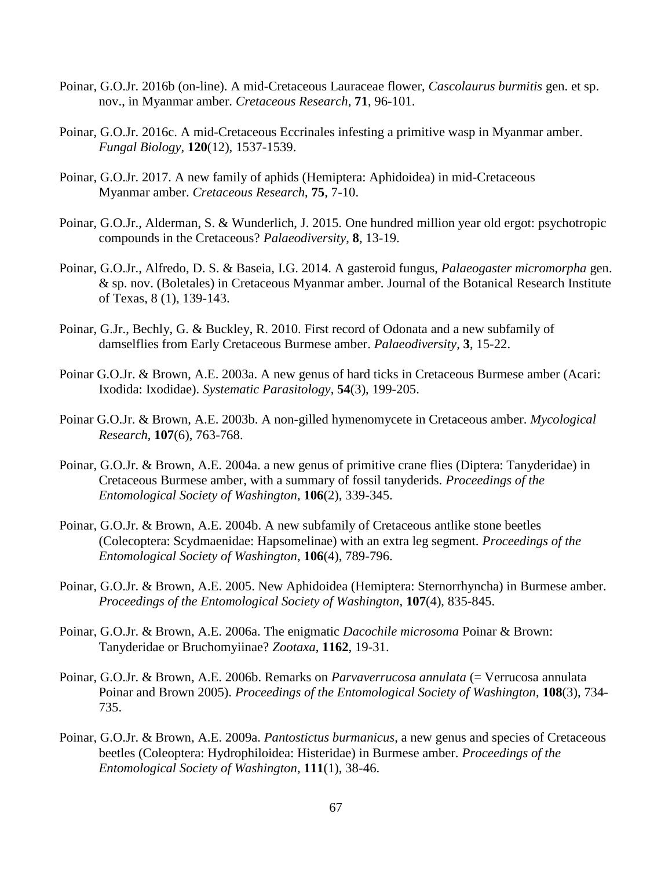- Poinar, G.O.Jr. 2016b (on-line). A mid-Cretaceous Lauraceae flower, *Cascolaurus burmitis* gen. et sp. nov., in Myanmar amber. *Cretaceous Research*, **71**, 96-101.
- Poinar, G.O.Jr. 2016c. A mid-Cretaceous Eccrinales infesting a primitive wasp in Myanmar amber. *Fungal Biology*, **120**(12), 1537-1539.
- Poinar, G.O.Jr. 2017. A new family of aphids (Hemiptera: Aphidoidea) in mid-Cretaceous Myanmar amber. *Cretaceous Research*, **75**, 7-10.
- Poinar, G.O.Jr., Alderman, S. & Wunderlich, J. 2015. One hundred million year old ergot: psychotropic compounds in the Cretaceous? *Palaeodiversity*, **8**, 13-19.
- Poinar, G.O.Jr., Alfredo, D. S. & Baseia, I.G. 2014. A gasteroid fungus, *Palaeogaster micromorpha* gen. & sp. nov. (Boletales) in Cretaceous Myanmar amber. Journal of the Botanical Research Institute of Texas, 8 (1), 139-143.
- Poinar, G.Jr., Bechly, G. & Buckley, R. 2010. First record of Odonata and a new subfamily of damselflies from Early Cretaceous Burmese amber. *Palaeodiversity*, **3**, 15-22.
- Poinar G.O.Jr. & Brown, A.E. 2003a. A new genus of hard ticks in Cretaceous Burmese amber (Acari: Ixodida: Ixodidae). *Systematic Parasitology*, **54**(3), 199-205.
- Poinar G.O.Jr. & Brown, A.E. 2003b. A non-gilled hymenomycete in Cretaceous amber. *Mycological Research*, **107**(6), 763-768.
- Poinar, G.O.Jr. & Brown, A.E. 2004a. a new genus of primitive crane flies (Diptera: Tanyderidae) in Cretaceous Burmese amber, with a summary of fossil tanyderids. *Proceedings of the Entomological Society of Washington*, **106**(2), 339-345.
- Poinar, G.O.Jr. & Brown, A.E. 2004b. A new subfamily of Cretaceous antlike stone beetles (Colecoptera: Scydmaenidae: Hapsomelinae) with an extra leg segment. *Proceedings of the Entomological Society of Washington*, **106**(4), 789-796.
- Poinar, G.O.Jr. & Brown, A.E. 2005. New Aphidoidea (Hemiptera: Sternorrhyncha) in Burmese amber. *Proceedings of the Entomological Society of Washington*, **107**(4), 835-845.
- Poinar, G.O.Jr. & Brown, A.E. 2006a. The enigmatic *Dacochile microsoma* Poinar & Brown: Tanyderidae or Bruchomyiinae? *Zootaxa*, **1162**, 19-31.
- Poinar, G.O.Jr. & Brown, A.E. 2006b. Remarks on *Parvaverrucosa annulata* (= Verrucosa annulata Poinar and Brown 2005). *Proceedings of the Entomological Society of Washington*, **108**(3), 734- 735.
- Poinar, G.O.Jr. & Brown, A.E. 2009a. *Pantostictus burmanicus*, a new genus and species of Cretaceous beetles (Coleoptera: Hydrophiloidea: Histeridae) in Burmese amber. *Proceedings of the Entomological Society of Washington*, **111**(1), 38-46.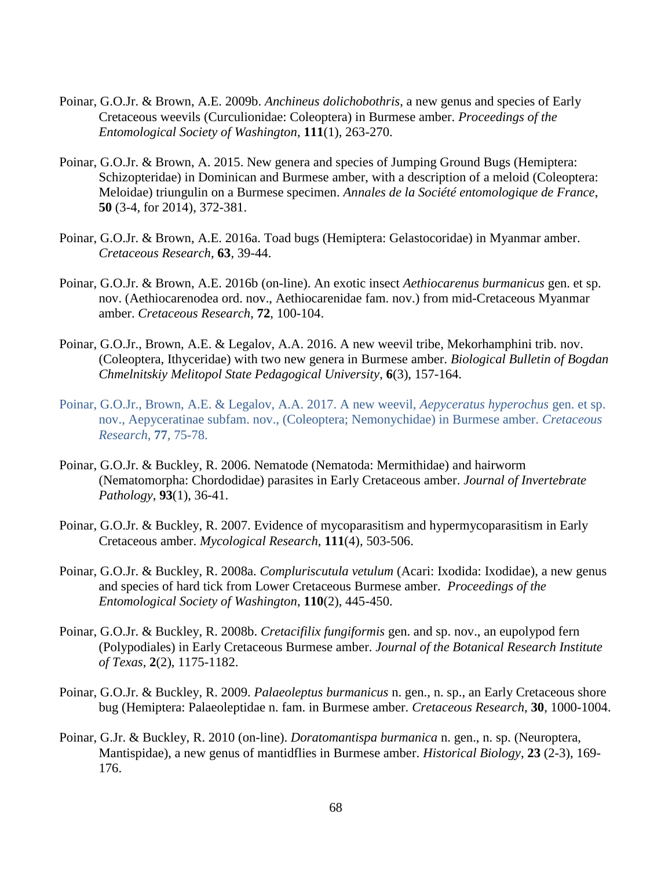- Poinar, G.O.Jr. & Brown, A.E. 2009b. *Anchineus dolichobothris*, a new genus and species of Early Cretaceous weevils (Curculionidae: Coleoptera) in Burmese amber. *Proceedings of the Entomological Society of Washington*, **111**(1), 263-270.
- Poinar, G.O.Jr. & Brown, A. 2015. New genera and species of Jumping Ground Bugs (Hemiptera: Schizopteridae) in Dominican and Burmese amber, with a description of a meloid (Coleoptera: Meloidae) triungulin on a Burmese specimen. *Annales de la Société entomologique de France*, **50** (3-4, for 2014), 372-381.
- Poinar, G.O.Jr. & Brown, A.E. 2016a. Toad bugs (Hemiptera: Gelastocoridae) in Myanmar amber. *Cretaceous Research*, **63**, 39-44.
- Poinar, G.O.Jr. & Brown, A.E. 2016b (on-line). An exotic insect *Aethiocarenus burmanicus* gen. et sp. nov. (Aethiocarenodea ord. nov., Aethiocarenidae fam. nov.) from mid-Cretaceous Myanmar amber. *Cretaceous Research*, **72**, 100-104.
- Poinar, G.O.Jr., Brown, A.E. & Legalov, A.A. 2016. A new weevil tribe, Mekorhamphini trib. nov. (Coleoptera, Ithyceridae) with two new genera in Burmese amber. *Biological Bulletin of Bogdan Chmelnitskiy Melitopol State Pedagogical University*, **6**(3), 157-164.
- Poinar, G.O.Jr., Brown, A.E. & Legalov, A.A. 2017. A new weevil, *Aepyceratus hyperochus* gen. et sp. nov., Aepyceratinae subfam. nov., (Coleoptera; Nemonychidae) in Burmese amber. *Cretaceous Research*, **77**, 75-78.
- Poinar, G.O.Jr. & Buckley, R. 2006. Nematode (Nematoda: Mermithidae) and hairworm (Nematomorpha: Chordodidae) parasites in Early Cretaceous amber. *Journal of Invertebrate Pathology*, **93**(1), 36-41.
- Poinar, G.O.Jr. & Buckley, R. 2007. Evidence of mycoparasitism and hypermycoparasitism in Early Cretaceous amber. *Mycological Research*, **111**(4), 503-506.
- Poinar, G.O.Jr. & Buckley, R. 2008a. *Compluriscutula vetulum* (Acari: Ixodida: Ixodidae), a new genus and species of hard tick from Lower Cretaceous Burmese amber. *Proceedings of the Entomological Society of Washington*, **110**(2), 445-450.
- Poinar, G.O.Jr. & Buckley, R. 2008b. *Cretacifilix fungiformis* gen. and sp. nov., an eupolypod fern (Polypodiales) in Early Cretaceous Burmese amber. *Journal of the Botanical Research Institute of Texas*, **2**(2), 1175-1182.
- Poinar, G.O.Jr. & Buckley, R. 2009. *Palaeoleptus burmanicus* n. gen., n. sp., an Early Cretaceous shore bug (Hemiptera: Palaeoleptidae n. fam. in Burmese amber. *Cretaceous Research*, **30**, 1000-1004.
- Poinar, G.Jr. & Buckley, R. 2010 (on-line). *Doratomantispa burmanica* n. gen., n. sp. (Neuroptera, Mantispidae), a new genus of mantidflies in Burmese amber. *Historical Biology*, **23** (2-3), 169- 176.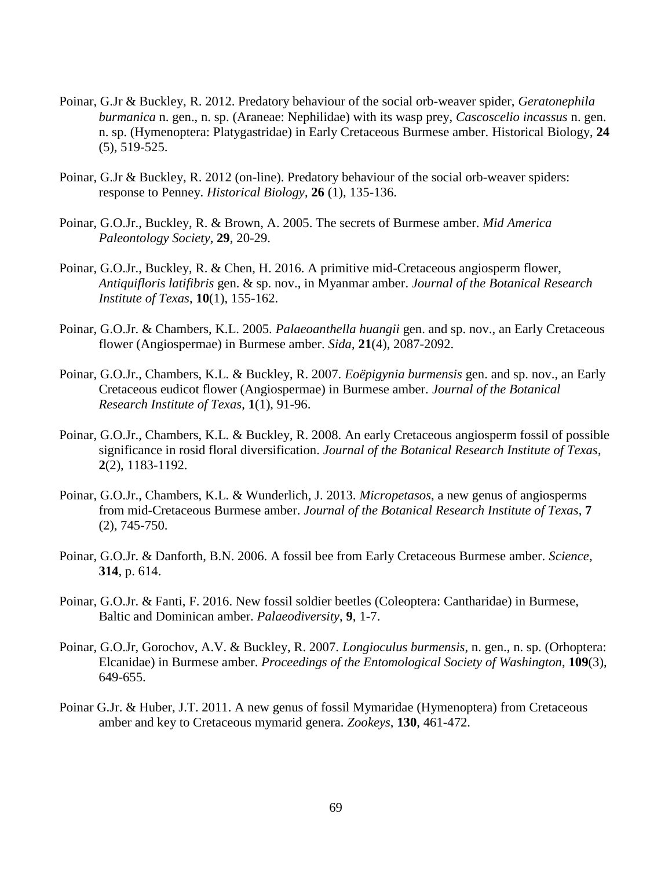- Poinar, G.Jr & Buckley, R. 2012. Predatory behaviour of the social orb-weaver spider, *Geratonephila burmanica* n. gen., n. sp. (Araneae: Nephilidae) with its wasp prey, *Cascoscelio incassus* n. gen. n. sp. (Hymenoptera: Platygastridae) in Early Cretaceous Burmese amber. Historical Biology, **24** (5), 519-525.
- Poinar, G.Jr & Buckley, R. 2012 (on-line). Predatory behaviour of the social orb-weaver spiders: response to Penney. *Historical Biology*, **26** (1), 135-136.
- Poinar, G.O.Jr., Buckley, R. & Brown, A. 2005. The secrets of Burmese amber. *Mid America Paleontology Society*, **29**, 20-29.
- Poinar, G.O.Jr., Buckley, R. & Chen, H. 2016. A primitive mid-Cretaceous angiosperm flower, *Antiquifloris latifibris* gen. & sp. nov., in Myanmar amber. *Journal of the Botanical Research Institute of Texas*, **10**(1), 155-162.
- Poinar, G.O.Jr. & Chambers, K.L. 2005. *Palaeoanthella huangii* gen. and sp. nov., an Early Cretaceous flower (Angiospermae) in Burmese amber. *Sida*, **21**(4), 2087-2092.
- Poinar, G.O.Jr., Chambers, K.L. & Buckley, R. 2007. *Eoëpigynia burmensis* gen. and sp. nov., an Early Cretaceous eudicot flower (Angiospermae) in Burmese amber. *Journal of the Botanical Research Institute of Texas*, **1**(1), 91-96.
- Poinar, G.O.Jr., Chambers, K.L. & Buckley, R. 2008. An early Cretaceous angiosperm fossil of possible significance in rosid floral diversification. *Journal of the Botanical Research Institute of Texas*, **2**(2), 1183-1192.
- Poinar, G.O.Jr., Chambers, K.L. & Wunderlich, J. 2013. *Micropetasos*, a new genus of angiosperms from mid-Cretaceous Burmese amber. *Journal of the Botanical Research Institute of Texas*, **7** (2), 745-750.
- Poinar, G.O.Jr. & Danforth, B.N. 2006. A fossil bee from Early Cretaceous Burmese amber. *Science*, **314**, p. 614.
- Poinar, G.O.Jr. & Fanti, F. 2016. New fossil soldier beetles (Coleoptera: Cantharidae) in Burmese, Baltic and Dominican amber. *Palaeodiversity*, **9**, 1-7.
- Poinar, G.O.Jr, Gorochov, A.V. & Buckley, R. 2007. *Longioculus burmensis*, n. gen., n. sp. (Orhoptera: Elcanidae) in Burmese amber. *Proceedings of the Entomological Society of Washington*, **109**(3), 649-655.
- Poinar G.Jr. & Huber, J.T. 2011. A new genus of fossil Mymaridae (Hymenoptera) from Cretaceous amber and key to Cretaceous mymarid genera. *Zookeys*, **130**, 461-472.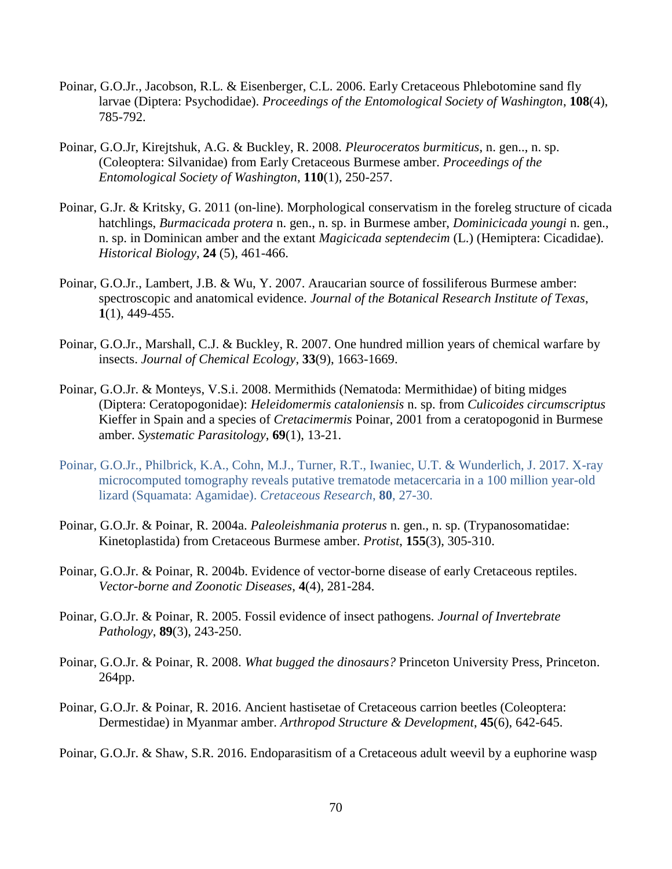- Poinar, G.O.Jr., Jacobson, R.L. & Eisenberger, C.L. 2006. Early Cretaceous Phlebotomine sand fly larvae (Diptera: Psychodidae). *Proceedings of the Entomological Society of Washington*, **108**(4), 785-792.
- Poinar, G.O.Jr, Kirejtshuk, A.G. & Buckley, R. 2008. *Pleuroceratos burmiticus*, n. gen.., n. sp. (Coleoptera: Silvanidae) from Early Cretaceous Burmese amber. *Proceedings of the Entomological Society of Washington*, **110**(1), 250-257.
- Poinar, G.Jr. & Kritsky, G. 2011 (on-line). Morphological conservatism in the foreleg structure of cicada hatchlings, *Burmacicada protera* n. gen., n. sp. in Burmese amber, *Dominicicada youngi* n. gen., n. sp. in Dominican amber and the extant *Magicicada septendecim* (L.) (Hemiptera: Cicadidae). *Historical Biology*, **24** (5), 461-466.
- Poinar, G.O.Jr., Lambert, J.B. & Wu, Y. 2007. Araucarian source of fossiliferous Burmese amber: spectroscopic and anatomical evidence. *Journal of the Botanical Research Institute of Texas*, **1**(1), 449-455.
- Poinar, G.O.Jr., Marshall, C.J. & Buckley, R. 2007. One hundred million years of chemical warfare by insects. *Journal of Chemical Ecology*, **33**(9), 1663-1669.
- Poinar, G.O.Jr. & Monteys, V.S.i. 2008. Mermithids (Nematoda: Mermithidae) of biting midges (Diptera: Ceratopogonidae): *Heleidomermis cataloniensis* n. sp. from *Culicoides circumscriptus* Kieffer in Spain and a species of *Cretacimermis* Poinar, 2001 from a ceratopogonid in Burmese amber. *Systematic Parasitology*, **69**(1), 13-21.
- Poinar, G.O.Jr., Philbrick, K.A., Cohn, M.J., Turner, R.T., Iwaniec, U.T. & Wunderlich, J. 2017. X-ray microcomputed tomography reveals putative trematode metacercaria in a 100 million year-old lizard (Squamata: Agamidae). *Cretaceous Research*, **80**, 27-30.
- Poinar, G.O.Jr. & Poinar, R. 2004a. *Paleoleishmania proterus* n. gen., n. sp. (Trypanosomatidae: Kinetoplastida) from Cretaceous Burmese amber. *Protist*, **155**(3), 305-310.
- Poinar, G.O.Jr. & Poinar, R. 2004b. Evidence of vector-borne disease of early Cretaceous reptiles. *Vector-borne and Zoonotic Diseases*, **4**(4), 281-284.
- Poinar, G.O.Jr. & Poinar, R. 2005. Fossil evidence of insect pathogens. *Journal of Invertebrate Pathology*, **89**(3), 243-250.
- Poinar, G.O.Jr. & Poinar, R. 2008. *What bugged the dinosaurs?* Princeton University Press, Princeton. 264pp.
- Poinar, G.O.Jr. & Poinar, R. 2016. Ancient hastisetae of Cretaceous carrion beetles (Coleoptera: Dermestidae) in Myanmar amber. *Arthropod Structure & Development*, **45**(6), 642-645.

Poinar, G.O.Jr. & Shaw, S.R. 2016. Endoparasitism of a Cretaceous adult weevil by a euphorine wasp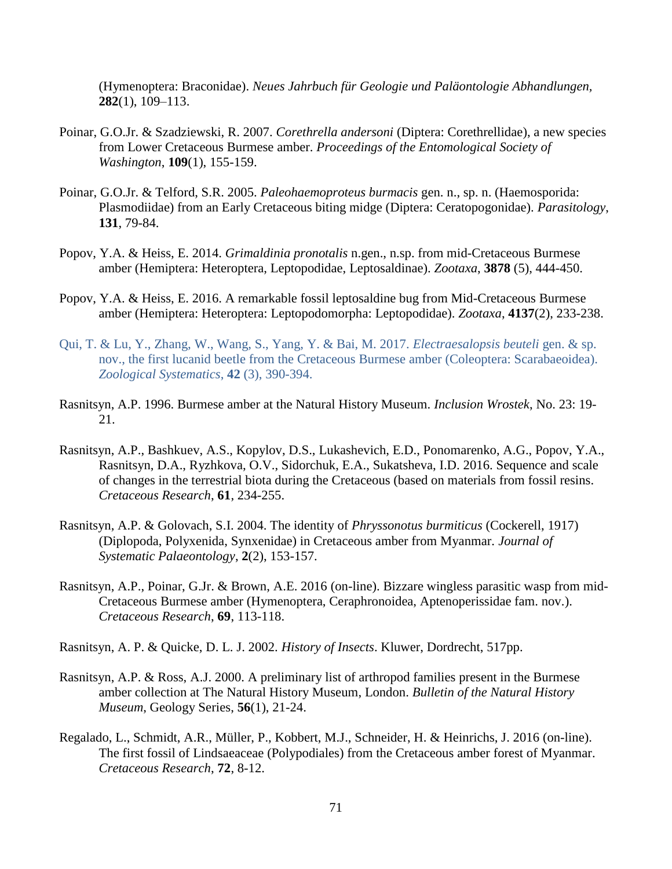(Hymenoptera: Braconidae). *Neues Jahrbuch für Geologie und Paläontologie Abhandlungen,*  **282**(1), 109–113.

- Poinar, G.O.Jr. & Szadziewski, R. 2007. *Corethrella andersoni* (Diptera: Corethrellidae), a new species from Lower Cretaceous Burmese amber. *Proceedings of the Entomological Society of Washington*, **109**(1), 155-159.
- Poinar, G.O.Jr. & Telford, S.R. 2005. *Paleohaemoproteus burmacis* gen. n., sp. n. (Haemosporida: Plasmodiidae) from an Early Cretaceous biting midge (Diptera: Ceratopogonidae). *Parasitology*, **131**, 79-84.
- Popov, Y.A. & Heiss, E. 2014. *Grimaldinia pronotalis* n.gen., n.sp. from mid-Cretaceous Burmese amber (Hemiptera: Heteroptera, Leptopodidae, Leptosaldinae). *Zootaxa*, **3878** (5), 444-450.
- Popov, Y.A. & Heiss, E. 2016. A remarkable fossil leptosaldine bug from Mid-Cretaceous Burmese amber (Hemiptera: Heteroptera: Leptopodomorpha: Leptopodidae). *Zootaxa*, **4137**(2), 233-238.
- Qui, T. & Lu, Y., Zhang, W., Wang, S., Yang, Y. & Bai, M. 2017. *Electraesalopsis beuteli* gen. & sp. nov., the first lucanid beetle from the Cretaceous Burmese amber (Coleoptera: Scarabaeoidea). *Zoological Systematics*, **42** (3), 390-394.
- Rasnitsyn, A.P. 1996. Burmese amber at the Natural History Museum. *Inclusion Wrostek*, No. 23: 19- 21.
- Rasnitsyn, A.P., Bashkuev, A.S., Kopylov, D.S., Lukashevich, E.D., Ponomarenko, A.G., Popov, Y.A., Rasnitsyn, D.A., Ryzhkova, O.V., Sidorchuk, E.A., Sukatsheva, I.D. 2016. Sequence and scale of changes in the terrestrial biota during the Cretaceous (based on materials from fossil resins. *Cretaceous Research*, **61**, 234-255.
- Rasnitsyn, A.P. & Golovach, S.I. 2004. The identity of *Phryssonotus burmiticus* (Cockerell, 1917) (Diplopoda, Polyxenida, Synxenidae) in Cretaceous amber from Myanmar. *Journal of Systematic Palaeontology*, **2**(2), 153-157.
- Rasnitsyn, A.P., Poinar, G.Jr. & Brown, A.E. 2016 (on-line). Bizzare wingless parasitic wasp from mid-Cretaceous Burmese amber (Hymenoptera, Ceraphronoidea, Aptenoperissidae fam. nov.). *Cretaceous Research*, **69**, 113-118.
- Rasnitsyn, A. P. & Quicke, D. L. J. 2002. *History of Insects*. Kluwer, Dordrecht, 517pp.
- Rasnitsyn, A.P. & Ross, A.J. 2000. A preliminary list of arthropod families present in the Burmese amber collection at The Natural History Museum, London. *Bulletin of the Natural History Museum*, Geology Series, **56**(1), 21-24.
- Regalado, L., Schmidt, A.R., Müller, P., Kobbert, M.J., Schneider, H. & Heinrichs, J. 2016 (on-line). The first fossil of Lindsaeaceae (Polypodiales) from the Cretaceous amber forest of Myanmar. *Cretaceous Research*, **72**, 8-12.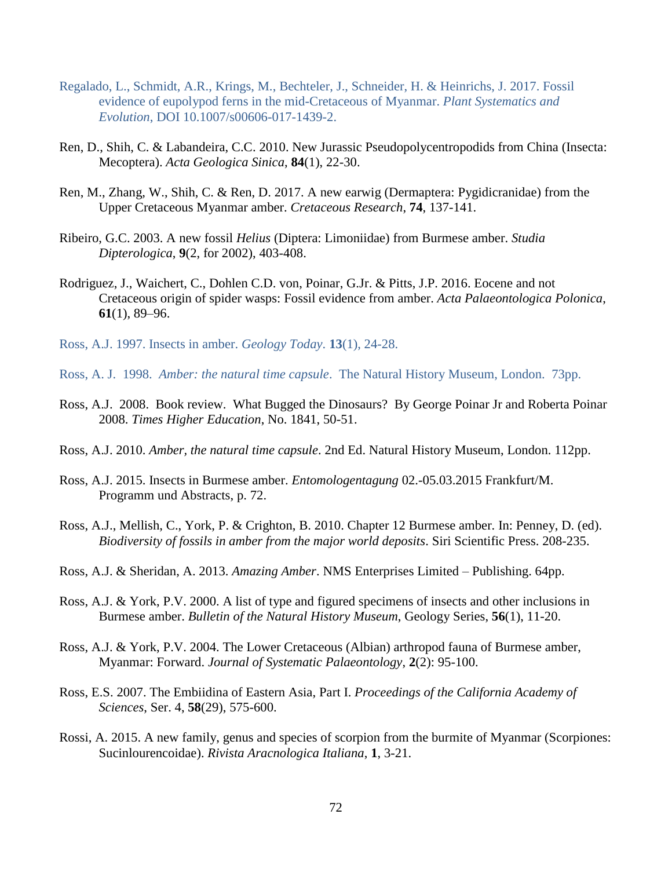- Regalado, L., Schmidt, A.R., Krings, M., Bechteler, J., Schneider, H. & Heinrichs, J. 2017. Fossil evidence of eupolypod ferns in the mid-Cretaceous of Myanmar. *Plant Systematics and Evolution*, DOI 10.1007/s00606-017-1439-2.
- Ren, D., Shih, C. & Labandeira, C.C. 2010. New Jurassic Pseudopolycentropodids from China (Insecta: Mecoptera). *Acta Geologica Sinica*, **84**(1), 22-30.
- Ren, M., Zhang, W., Shih, C. & Ren, D. 2017. A new earwig (Dermaptera: Pygidicranidae) from the Upper Cretaceous Myanmar amber. *Cretaceous Research*, **74**, 137-141.
- Ribeiro, G.C. 2003. A new fossil *Helius* (Diptera: Limoniidae) from Burmese amber. *Studia Dipterologica*, **9**(2, for 2002), 403-408.
- Rodriguez, J., Waichert, C., Dohlen C.D. von, Poinar, G.Jr. & Pitts, J.P. 2016. Eocene and not Cretaceous origin of spider wasps: Fossil evidence from amber. *Acta Palaeontologica Polonica*, **61**(1), 89–96.
- Ross, A.J. 1997. Insects in amber. *Geology Today*. **13**(1), 24-28.
- Ross, A. J. 1998. *Amber: the natural time capsule*. The Natural History Museum, London. 73pp.
- Ross, A.J. 2008. Book review. What Bugged the Dinosaurs? By George Poinar Jr and Roberta Poinar 2008. *Times Higher Education*, No. 1841, 50-51.
- Ross, A.J. 2010. *Amber, the natural time capsule*. 2nd Ed. Natural History Museum, London. 112pp.
- Ross, A.J. 2015. Insects in Burmese amber. *Entomologentagung* 02.-05.03.2015 Frankfurt/M. Programm und Abstracts, p. 72.
- Ross, A.J., Mellish, C., York, P. & Crighton, B. 2010. Chapter 12 Burmese amber. In: Penney, D. (ed). *Biodiversity of fossils in amber from the major world deposits*. Siri Scientific Press. 208-235.
- Ross, A.J. & Sheridan, A. 2013. *Amazing Amber*. NMS Enterprises Limited Publishing. 64pp.
- Ross, A.J. & York, P.V. 2000. A list of type and figured specimens of insects and other inclusions in Burmese amber. *Bulletin of the Natural History Museum*, Geology Series, **56**(1), 11-20.
- Ross, A.J. & York, P.V. 2004. The Lower Cretaceous (Albian) arthropod fauna of Burmese amber, Myanmar: Forward. *Journal of Systematic Palaeontology*, **2**(2): 95-100.
- Ross, E.S. 2007. The Embiidina of Eastern Asia, Part I. *Proceedings of the California Academy of Sciences*, Ser. 4, **58**(29), 575-600.
- Rossi, A. 2015. A new family, genus and species of scorpion from the burmite of Myanmar (Scorpiones: Sucinlourencoidae). *Rivista Aracnologica Italiana*, **1**, 3-21.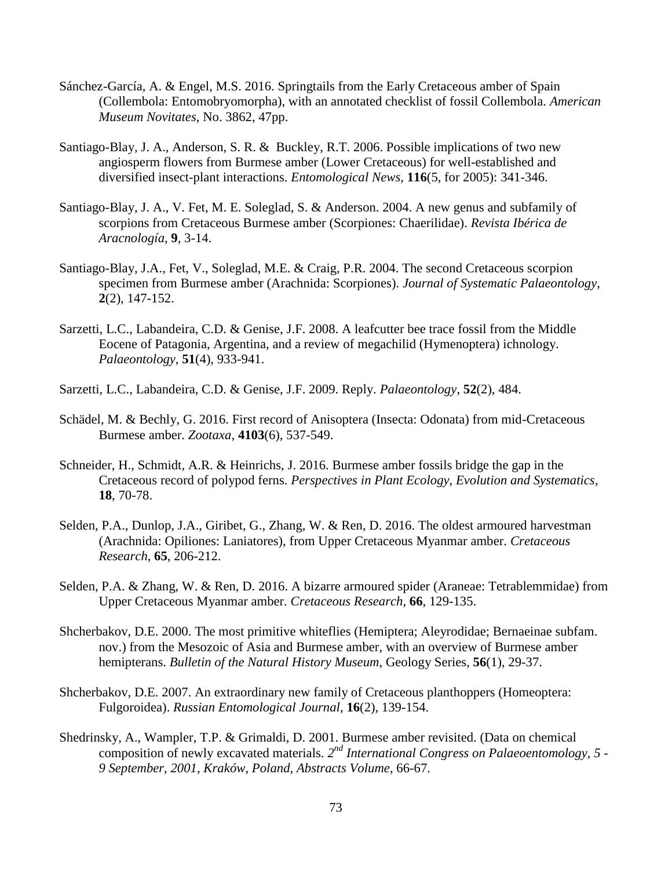- Sánchez-García, A. & Engel, M.S. 2016. Springtails from the Early Cretaceous amber of Spain (Collembola: Entomobryomorpha), with an annotated checklist of fossil Collembola. *American Museum Novitates*, No. 3862, 47pp.
- Santiago-Blay, J. A., Anderson, S. R. & Buckley, R.T. 2006. Possible implications of two new angiosperm flowers from Burmese amber (Lower Cretaceous) for well-established and diversified insect-plant interactions. *Entomological News*, **116**(5, for 2005): 341-346.
- Santiago-Blay, J. A., V. Fet, M. E. Soleglad, S. & Anderson. 2004. A new genus and subfamily of scorpions from Cretaceous Burmese amber (Scorpiones: Chaerilidae). *Revista Ibérica de Aracnología*, **9**, 3-14.
- Santiago-Blay, J.A., Fet, V., Soleglad, M.E. & Craig, P.R. 2004. The second Cretaceous scorpion specimen from Burmese amber (Arachnida: Scorpiones). *Journal of Systematic Palaeontology*, **2**(2), 147-152.
- Sarzetti, L.C., Labandeira, C.D. & Genise, J.F. 2008. A leafcutter bee trace fossil from the Middle Eocene of Patagonia, Argentina, and a review of megachilid (Hymenoptera) ichnology. *Palaeontology*, **51**(4), 933-941.
- Sarzetti, L.C., Labandeira, C.D. & Genise, J.F. 2009. Reply. *Palaeontology*, **52**(2), 484.
- Schädel, M. & Bechly, G. 2016. First record of Anisoptera (Insecta: Odonata) from mid-Cretaceous Burmese amber. *Zootaxa*, **4103**(6), 537-549.
- Schneider, H., Schmidt, A.R. & Heinrichs, J. 2016. Burmese amber fossils bridge the gap in the Cretaceous record of polypod ferns. *Perspectives in Plant Ecology, Evolution and Systematics*, **18**, 70-78.
- Selden, P.A., Dunlop, J.A., Giribet, G., Zhang, W. & Ren, D. 2016. The oldest armoured harvestman (Arachnida: Opiliones: Laniatores), from Upper Cretaceous Myanmar amber. *Cretaceous Research*, **65**, 206-212.
- Selden, P.A. & Zhang, W. & Ren, D. 2016. A bizarre armoured spider (Araneae: Tetrablemmidae) from Upper Cretaceous Myanmar amber. *Cretaceous Research*, **66**, 129-135.
- Shcherbakov, D.E. 2000. The most primitive whiteflies (Hemiptera; Aleyrodidae; Bernaeinae subfam. nov.) from the Mesozoic of Asia and Burmese amber, with an overview of Burmese amber hemipterans. *Bulletin of the Natural History Museum*, Geology Series, **56**(1), 29-37.
- Shcherbakov, D.E. 2007. An extraordinary new family of Cretaceous planthoppers (Homeoptera: Fulgoroidea). *Russian Entomological Journal*, **16**(2), 139-154.
- Shedrinsky, A., Wampler, T.P. & Grimaldi, D. 2001. Burmese amber revisited. (Data on chemical composition of newly excavated materials. 2<sup>nd</sup> International Congress on Palaeoentomology, 5 -*9 September, 2001, Kraków, Poland, Abstracts Volume*, 66-67.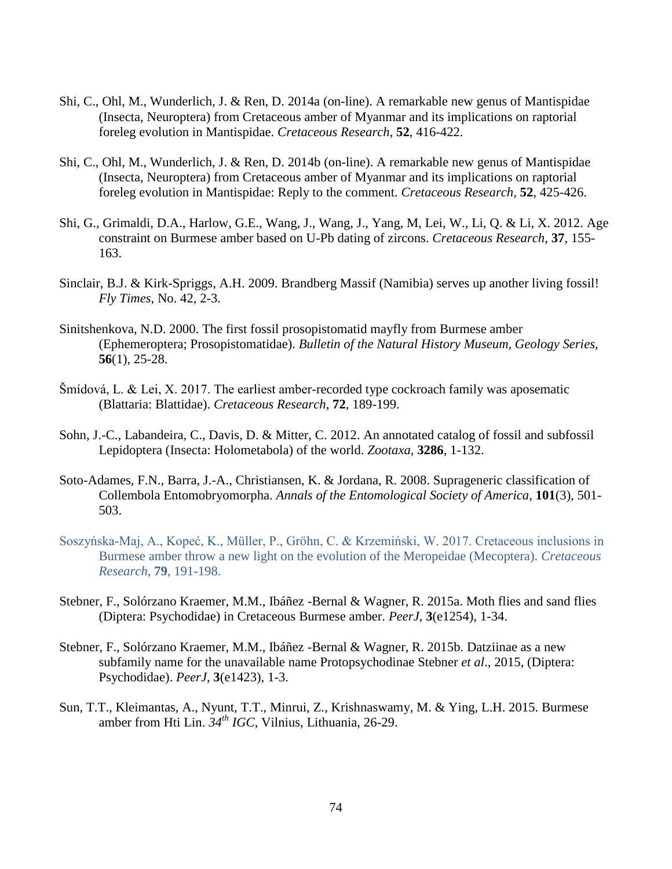- Shi, C., Ohl, M., Wunderlich, J. & Ren, D. 2014a (on-line). A remarkable new genus of Mantispidae (Insecta, Neuroptera) from Cretaceous amber of Myanmar and its implications on raptorial foreleg evolution in Mantispidae. *Cretaceous Research*, **52**, 416-422.
- Shi, C., Ohl, M., Wunderlich, J. & Ren, D. 2014b (on-line). A remarkable new genus of Mantispidae (Insecta, Neuroptera) from Cretaceous amber of Myanmar and its implications on raptorial foreleg evolution in Mantispidae: Reply to the comment. *Cretaceous Research*, **52**, 425-426.
- Shi, G., Grimaldi, D.A., Harlow, G.E., Wang, J., Wang, J., Yang, M, Lei, W., Li, Q. & Li, X. 2012. Age constraint on Burmese amber based on U-Pb dating of zircons. *Cretaceous Research*, **37**, 155- 163.
- Sinclair, B.J. & Kirk-Spriggs, A.H. 2009. Brandberg Massif (Namibia) serves up another living fossil! *Fly Times*, No. 42, 2-3.
- Sinitshenkova, N.D. 2000. The first fossil prosopistomatid mayfly from Burmese amber (Ephemeroptera; Prosopistomatidae). *Bulletin of the Natural History Museum, Geology Series*, **56**(1), 25-28.
- Šmídová, L. & Lei, X. 2017. The earliest amber-recorded type cockroach family was aposematic (Blattaria: Blattidae). *Cretaceous Research*, **72**, 189-199.
- Sohn, J.-C., Labandeira, C., Davis, D. & Mitter, C. 2012. An annotated catalog of fossil and subfossil Lepidoptera (Insecta: Holometabola) of the world. *Zootaxa*, **3286**, 1-132.
- Soto-Adames, F.N., Barra, J.-A., Christiansen, K. & Jordana, R. 2008. Suprageneric classification of Collembola Entomobryomorpha. *Annals of the Entomological Society of America*, **101**(3), 501- 503.
- Soszyńska-Maj, A., Kopeć, K., Müller, P., Gröhn, C. & Krzemiński, W. 2017. Cretaceous inclusions in Burmese amber throw a new light on the evolution of the Meropeidae (Mecoptera). *Cretaceous Research*, **79**, 191-198.
- Stebner, F., Solórzano Kraemer, M.M., Ibáñez -Bernal & Wagner, R. 2015a. Moth flies and sand flies (Diptera: Psychodidae) in Cretaceous Burmese amber. *PeerJ*, **3**(e1254), 1-34.
- Stebner, F., Solórzano Kraemer, M.M., Ibáñez -Bernal & Wagner, R. 2015b. Datziinae as a new subfamily name for the unavailable name Protopsychodinae Stebner *et al*., 2015, (Diptera: Psychodidae). *PeerJ*, **3**(e1423), 1-3.
- Sun, T.T., Kleimantas, A., Nyunt, T.T., Minrui, Z., Krishnaswamy, M. & Ying, L.H. 2015. Burmese amber from Hti Lin. *34th IGC*, Vilnius, Lithuania, 26-29.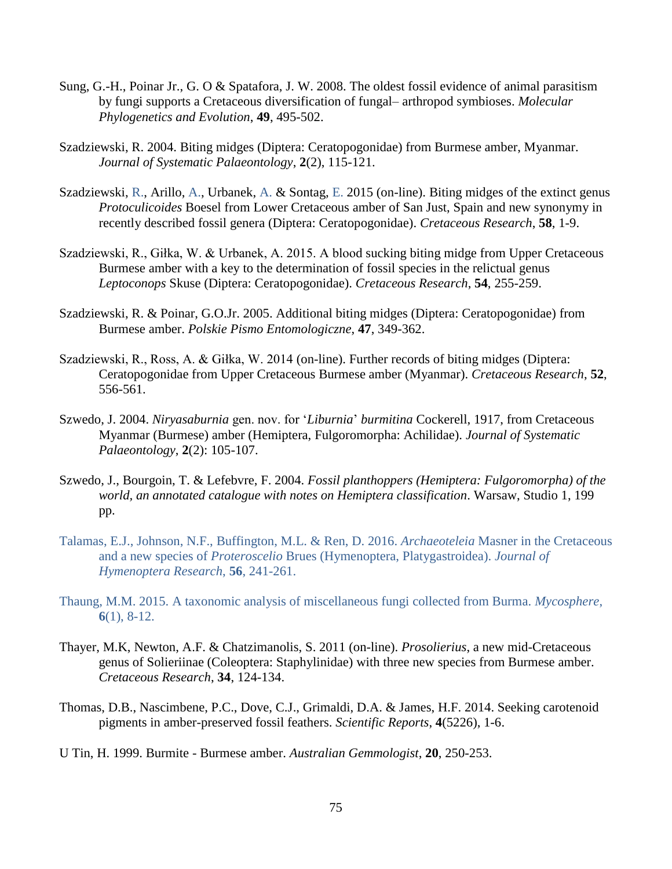- Sung, G.-H., Poinar Jr., G. O & Spatafora, J. W. 2008. The oldest fossil evidence of animal parasitism by fungi supports a Cretaceous diversification of fungal– arthropod symbioses. *Molecular Phylogenetics and Evolution*, **49**, 495-502.
- Szadziewski, R. 2004. Biting midges (Diptera: Ceratopogonidae) from Burmese amber, Myanmar. *Journal of Systematic Palaeontology*, **2**(2), 115-121.
- Szadziewski, R., Arillo, A., Urbanek, A. & Sontag, E. 2015 (on-line). Biting midges of the extinct genus *Protoculicoides* Boesel from Lower Cretaceous amber of San Just, Spain and new synonymy in recently described fossil genera (Diptera: Ceratopogonidae). *Cretaceous Research*, **58**, 1-9.
- Szadziewski, R., Giłka, W. & Urbanek, A. 2015. A blood sucking biting midge from Upper Cretaceous Burmese amber with a key to the determination of fossil species in the relictual genus *Leptoconops* Skuse (Diptera: Ceratopogonidae). *Cretaceous Research*, **54**, 255-259.
- Szadziewski, R. & Poinar, G.O.Jr. 2005. Additional biting midges (Diptera: Ceratopogonidae) from Burmese amber. *Polskie Pismo Entomologiczne*, **47**, 349-362.
- Szadziewski, R., Ross, A. & Giłka, W. 2014 (on-line). Further records of biting midges (Diptera: Ceratopogonidae from Upper Cretaceous Burmese amber (Myanmar). *Cretaceous Research*, **52**, 556-561.
- Szwedo, J. 2004. *Niryasaburnia* gen. nov. for '*Liburnia*' *burmitina* Cockerell, 1917, from Cretaceous Myanmar (Burmese) amber (Hemiptera, Fulgoromorpha: Achilidae). *Journal of Systematic Palaeontology*, **2**(2): 105-107.
- Szwedo, J., Bourgoin, T. & Lefebvre, F. 2004. *Fossil planthoppers (Hemiptera: Fulgoromorpha) of the world, an annotated catalogue with notes on Hemiptera classification*. Warsaw, Studio 1, 199 pp.
- Talamas, E.J., Johnson, N.F., Buffington, M.L. & Ren, D. 2016. *Archaeoteleia* Masner in the Cretaceous and a new species of *Proteroscelio* Brues (Hymenoptera, Platygastroidea). *Journal of Hymenoptera Research*, **56**, 241-261.
- Thaung, M.M. 2015. A taxonomic analysis of miscellaneous fungi collected from Burma. *Mycosphere*, **6**(1), 8-12.
- Thayer, M.K, Newton, A.F. & Chatzimanolis, S. 2011 (on-line). *Prosolierius*, a new mid-Cretaceous genus of Solieriinae (Coleoptera: Staphylinidae) with three new species from Burmese amber. *Cretaceous Research*, **34**, 124-134.
- Thomas, D.B., Nascimbene, P.C., Dove, C.J., Grimaldi, D.A. & James, H.F. 2014. Seeking carotenoid pigments in amber-preserved fossil feathers. *Scientific Reports*, **4**(5226), 1-6.
- U Tin, H. 1999. Burmite Burmese amber. *Australian Gemmologist*, **20**, 250-253.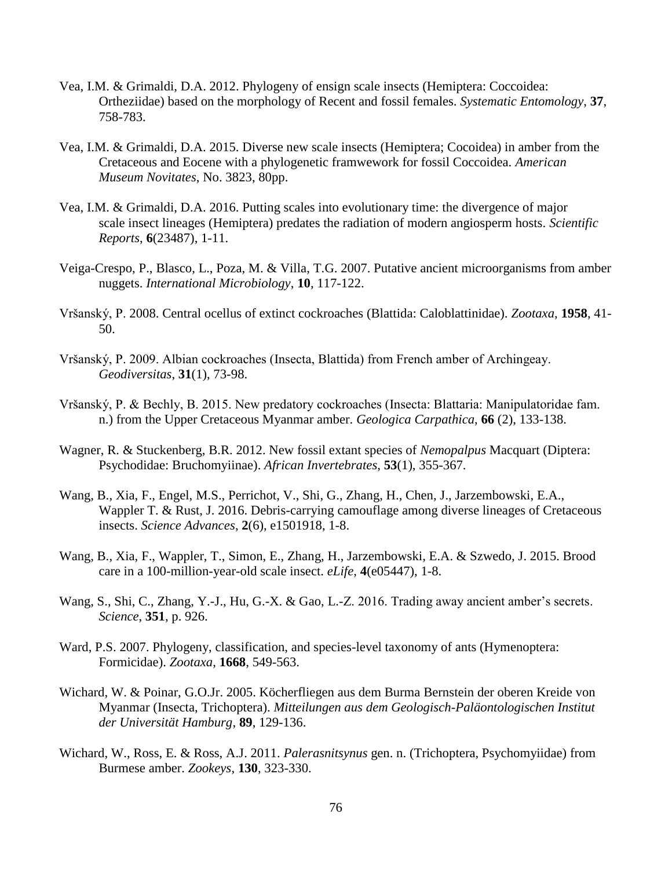- Vea, I.M. & Grimaldi, D.A. 2012. Phylogeny of ensign scale insects (Hemiptera: Coccoidea: Ortheziidae) based on the morphology of Recent and fossil females. *Systematic Entomology*, **37**, 758-783.
- Vea, I.M. & Grimaldi, D.A. 2015. Diverse new scale insects (Hemiptera; Cocoidea) in amber from the Cretaceous and Eocene with a phylogenetic framwework for fossil Coccoidea. *American Museum Novitates*, No. 3823, 80pp.
- Vea, I.M. & Grimaldi, D.A. 2016. Putting scales into evolutionary time: the divergence of major scale insect lineages (Hemiptera) predates the radiation of modern angiosperm hosts. *Scientific Reports*, **6**(23487), 1-11.
- Veiga-Crespo, P., Blasco, L., Poza, M. & Villa, T.G. 2007. Putative ancient microorganisms from amber nuggets. *International Microbiology*, **10**, 117-122.
- Vršanský, P. 2008. Central ocellus of extinct cockroaches (Blattida: Caloblattinidae). *Zootaxa*, **1958**, 41- 50.
- Vršanský, P. 2009. Albian cockroaches (Insecta, Blattida) from French amber of Archingeay. *Geodiversitas*, **31**(1), 73-98.
- Vršanský, P. & Bechly, B. 2015. New predatory cockroaches (Insecta: Blattaria: Manipulatoridae fam. n.) from the Upper Cretaceous Myanmar amber. *Geologica Carpathica*, **66** (2), 133-138.
- Wagner, R. & Stuckenberg, B.R. 2012. New fossil extant species of *Nemopalpus* Macquart (Diptera: Psychodidae: Bruchomyiinae). *African Invertebrates*, **53**(1), 355-367.
- Wang, B., Xia, F., Engel, M.S., Perrichot, V., Shi, G., Zhang, H., Chen, J., Jarzembowski, E.A., Wappler T. & Rust, J. 2016. Debris-carrying camouflage among diverse lineages of Cretaceous insects. *Science Advances*, **2**(6), e1501918, 1-8.
- Wang, B., Xia, F., Wappler, T., Simon, E., Zhang, H., Jarzembowski, E.A. & Szwedo, J. 2015. Brood care in a 100-million-year-old scale insect. *eLife*, **4**(e05447), 1-8.
- Wang, S., Shi, C., Zhang, Y.-J., Hu, G.-X. & Gao, L.-Z. 2016. Trading away ancient amber's secrets. *Science*, **351**, p. 926.
- Ward, P.S. 2007. Phylogeny, classification, and species-level taxonomy of ants (Hymenoptera: Formicidae). *Zootaxa*, **1668**, 549-563.
- Wichard, W. & Poinar, G.O.Jr. 2005. Köcherfliegen aus dem Burma Bernstein der oberen Kreide von Myanmar (Insecta, Trichoptera). *Mitteilungen aus dem Geologisch-Paläontologischen Institut der Universität Hamburg*, **89**, 129-136.
- Wichard, W., Ross, E. & Ross, A.J. 2011. *Palerasnitsynus* gen. n. (Trichoptera, Psychomyiidae) from Burmese amber. *Zookeys*, **130**, 323-330.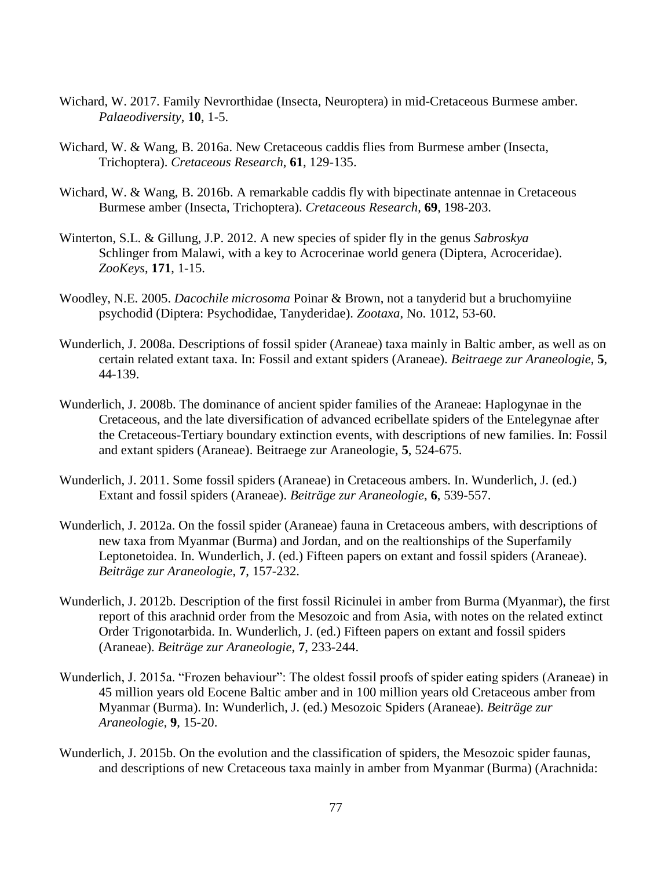- Wichard, W. 2017. Family Nevrorthidae (Insecta, Neuroptera) in mid-Cretaceous Burmese amber. *Palaeodiversity*, **10**, 1-5.
- Wichard, W. & Wang, B. 2016a. New Cretaceous caddis flies from Burmese amber (Insecta, Trichoptera). *Cretaceous Research*, **61**, 129-135.
- Wichard, W. & Wang, B. 2016b. A remarkable caddis fly with bipectinate antennae in Cretaceous Burmese amber (Insecta, Trichoptera). *Cretaceous Research*, **69**, 198-203.
- Winterton, S.L. & Gillung, J.P. 2012. A new species of spider fly in the genus *Sabroskya* Schlinger from Malawi, with a key to Acrocerinae world genera (Diptera, Acroceridae). *ZooKeys*, **171**, 1-15.
- Woodley, N.E. 2005. *Dacochile microsoma* Poinar & Brown, not a tanyderid but a bruchomyiine psychodid (Diptera: Psychodidae, Tanyderidae). *Zootaxa*, No. 1012, 53-60.
- Wunderlich, J. 2008a. Descriptions of fossil spider (Araneae) taxa mainly in Baltic amber, as well as on certain related extant taxa. In: Fossil and extant spiders (Araneae). *Beitraege zur Araneologie*, **5**, 44-139.
- Wunderlich, J. 2008b. The dominance of ancient spider families of the Araneae: Haplogynae in the Cretaceous, and the late diversification of advanced ecribellate spiders of the Entelegynae after the Cretaceous-Tertiary boundary extinction events, with descriptions of new families. In: Fossil and extant spiders (Araneae). Beitraege zur Araneologie, **5**, 524-675.
- Wunderlich, J. 2011. Some fossil spiders (Araneae) in Cretaceous ambers. In. Wunderlich, J. (ed.) Extant and fossil spiders (Araneae). *Beiträge zur Araneologie*, **6**, 539-557.
- Wunderlich, J. 2012a. On the fossil spider (Araneae) fauna in Cretaceous ambers, with descriptions of new taxa from Myanmar (Burma) and Jordan, and on the realtionships of the Superfamily Leptonetoidea. In. Wunderlich, J. (ed.) Fifteen papers on extant and fossil spiders (Araneae). *Beiträge zur Araneologie*, **7**, 157-232.
- Wunderlich, J. 2012b. Description of the first fossil Ricinulei in amber from Burma (Myanmar), the first report of this arachnid order from the Mesozoic and from Asia, with notes on the related extinct Order Trigonotarbida. In. Wunderlich, J. (ed.) Fifteen papers on extant and fossil spiders (Araneae). *Beiträge zur Araneologie*, **7**, 233-244.
- Wunderlich, J. 2015a. "Frozen behaviour": The oldest fossil proofs of spider eating spiders (Araneae) in 45 million years old Eocene Baltic amber and in 100 million years old Cretaceous amber from Myanmar (Burma). In: Wunderlich, J. (ed.) Mesozoic Spiders (Araneae). *Beiträge zur Araneologie*, **9**, 15-20.
- Wunderlich, J. 2015b. On the evolution and the classification of spiders, the Mesozoic spider faunas, and descriptions of new Cretaceous taxa mainly in amber from Myanmar (Burma) (Arachnida: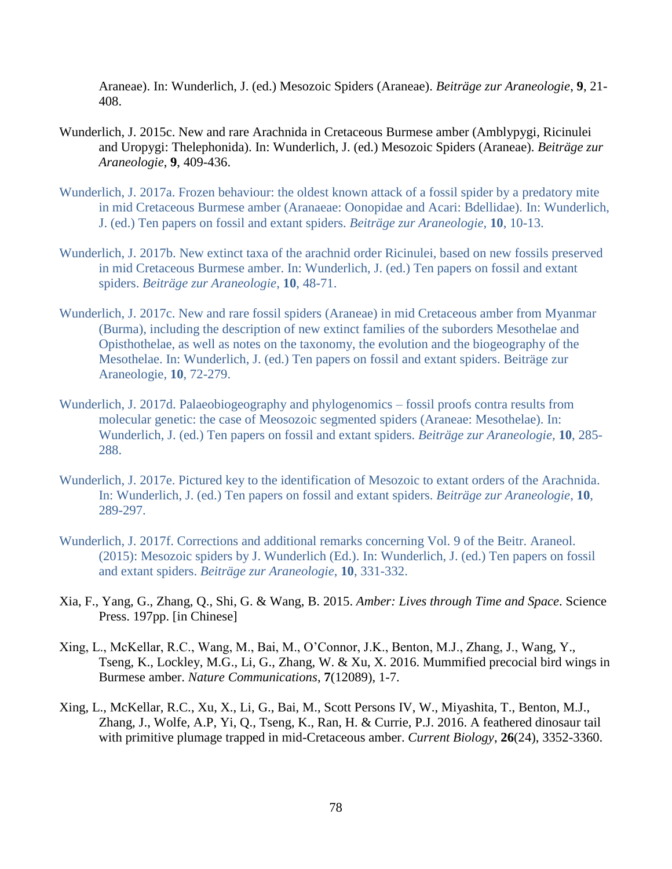Araneae). In: Wunderlich, J. (ed.) Mesozoic Spiders (Araneae). *Beiträge zur Araneologie*, **9**, 21- 408.

- Wunderlich, J. 2015c. New and rare Arachnida in Cretaceous Burmese amber (Amblypygi, Ricinulei and Uropygi: Thelephonida). In: Wunderlich, J. (ed.) Mesozoic Spiders (Araneae). *Beiträge zur Araneologie*, **9**, 409-436.
- Wunderlich, J. 2017a. Frozen behaviour: the oldest known attack of a fossil spider by a predatory mite in mid Cretaceous Burmese amber (Aranaeae: Oonopidae and Acari: Bdellidae). In: Wunderlich, J. (ed.) Ten papers on fossil and extant spiders. *Beiträge zur Araneologie*, **10**, 10-13.
- Wunderlich, J. 2017b. New extinct taxa of the arachnid order Ricinulei, based on new fossils preserved in mid Cretaceous Burmese amber. In: Wunderlich, J. (ed.) Ten papers on fossil and extant spiders. *Beiträge zur Araneologie*, **10**, 48-71.
- Wunderlich, J. 2017c. New and rare fossil spiders (Araneae) in mid Cretaceous amber from Myanmar (Burma), including the description of new extinct families of the suborders Mesothelae and Opisthothelae, as well as notes on the taxonomy, the evolution and the biogeography of the Mesothelae. In: Wunderlich, J. (ed.) Ten papers on fossil and extant spiders. Beiträge zur Araneologie, **10**, 72-279.
- Wunderlich, J. 2017d. Palaeobiogeography and phylogenomics fossil proofs contra results from molecular genetic: the case of Meosozoic segmented spiders (Araneae: Mesothelae). In: Wunderlich, J. (ed.) Ten papers on fossil and extant spiders. *Beiträge zur Araneologie*, **10**, 285- 288.
- Wunderlich, J. 2017e. Pictured key to the identification of Mesozoic to extant orders of the Arachnida. In: Wunderlich, J. (ed.) Ten papers on fossil and extant spiders. *Beiträge zur Araneologie*, **10**, 289-297.
- Wunderlich, J. 2017f. Corrections and additional remarks concerning Vol. 9 of the Beitr. Araneol. (2015): Mesozoic spiders by J. Wunderlich (Ed.). In: Wunderlich, J. (ed.) Ten papers on fossil and extant spiders. *Beiträge zur Araneologie*, **10**, 331-332.
- Xia, F., Yang, G., Zhang, Q., Shi, G. & Wang, B. 2015. *Amber: Lives through Time and Space*. Science Press. 197pp. [in Chinese]
- Xing, L., McKellar, R.C., Wang, M., Bai, M., O'Connor, J.K., Benton, M.J., Zhang, J., Wang, Y., Tseng, K., Lockley, M.G., Li, G., Zhang, W. & Xu, X. 2016. Mummified precocial bird wings in Burmese amber. *Nature Communications*, **7**(12089), 1-7.
- Xing, L., McKellar, R.C., Xu, X., Li, G., Bai, M., Scott Persons IV, W., Miyashita, T., Benton, M.J., Zhang, J., Wolfe, A.P, Yi, Q., Tseng, K., Ran, H. & Currie, P.J. 2016. A feathered dinosaur tail with primitive plumage trapped in mid-Cretaceous amber. *Current Biology*, **26**(24), 3352-3360.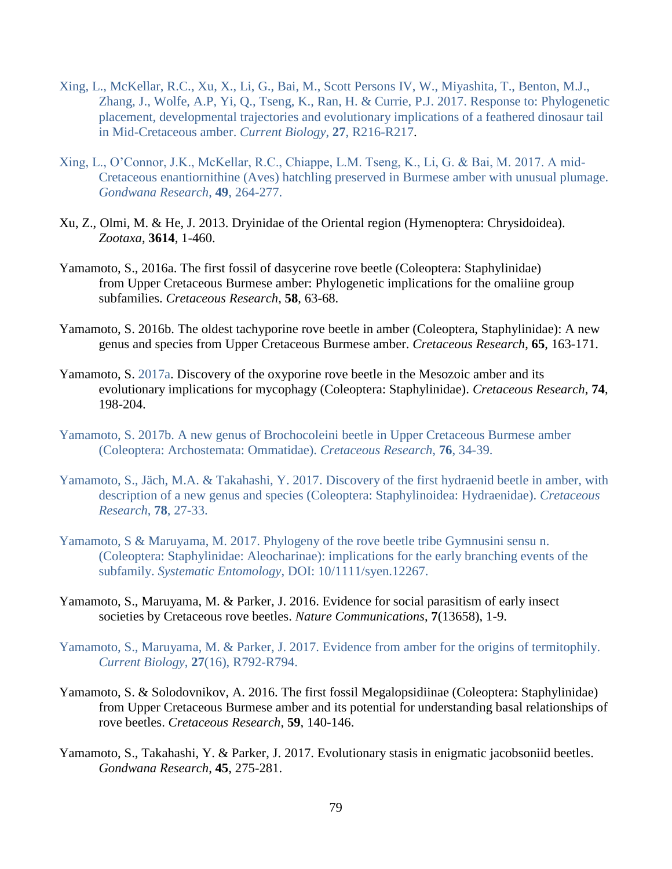- Xing, L., McKellar, R.C., Xu, X., Li, G., Bai, M., Scott Persons IV, W., Miyashita, T., Benton, M.J., Zhang, J., Wolfe, A.P, Yi, Q., Tseng, K., Ran, H. & Currie, P.J. 2017. Response to: Phylogenetic placement, developmental trajectories and evolutionary implications of a feathered dinosaur tail in Mid-Cretaceous amber. *Current Biology*, **27**, R216-R217.
- Xing, L., O'Connor, J.K., McKellar, R.C., Chiappe, L.M. Tseng, K., Li, G. & Bai, M. 2017. A mid-Cretaceous enantiornithine (Aves) hatchling preserved in Burmese amber with unusual plumage. *Gondwana Research*, **49**, 264-277.
- Xu, Z., Olmi, M. & He, J. 2013. Dryinidae of the Oriental region (Hymenoptera: Chrysidoidea). *Zootaxa*, **3614**, 1-460.
- Yamamoto, S., 2016a. The first fossil of dasycerine rove beetle (Coleoptera: Staphylinidae) from Upper Cretaceous Burmese amber: Phylogenetic implications for the omaliine group subfamilies. *Cretaceous Research*, **58**, 63-68.
- Yamamoto, S. 2016b. The oldest tachyporine rove beetle in amber (Coleoptera, Staphylinidae): A new genus and species from Upper Cretaceous Burmese amber. *Cretaceous Research*, **65**, 163-171.
- Yamamoto, S. 2017a. Discovery of the oxyporine rove beetle in the Mesozoic amber and its evolutionary implications for mycophagy (Coleoptera: Staphylinidae). *Cretaceous Research*, **74**, 198-204.
- Yamamoto, S. 2017b. A new genus of Brochocoleini beetle in Upper Cretaceous Burmese amber (Coleoptera: Archostemata: Ommatidae). *Cretaceous Research*, **76**, 34-39.
- Yamamoto, S., Jäch, M.A. & Takahashi, Y. 2017. Discovery of the first hydraenid beetle in amber, with description of a new genus and species (Coleoptera: Staphylinoidea: Hydraenidae). *Cretaceous Research*, **78**, 27-33.
- Yamamoto, S & Maruyama, M. 2017. Phylogeny of the rove beetle tribe Gymnusini sensu n. (Coleoptera: Staphylinidae: Aleocharinae): implications for the early branching events of the subfamily. *Systematic Entomology*, DOI: 10/1111/syen.12267.
- Yamamoto, S., Maruyama, M. & Parker, J. 2016. Evidence for social parasitism of early insect societies by Cretaceous rove beetles. *Nature Communications*, **7**(13658), 1-9.
- Yamamoto, S., Maruyama, M. & Parker, J. 2017. Evidence from amber for the origins of termitophily. *Current Biology*, **27**(16), R792-R794.
- Yamamoto, S. & Solodovnikov, A. 2016. The first fossil Megalopsidiinae (Coleoptera: Staphylinidae) from Upper Cretaceous Burmese amber and its potential for understanding basal relationships of rove beetles. *Cretaceous Research*, **59**, 140-146.
- Yamamoto, S., Takahashi, Y. & Parker, J. 2017. Evolutionary stasis in enigmatic jacobsoniid beetles. *Gondwana Research*, **45**, 275-281.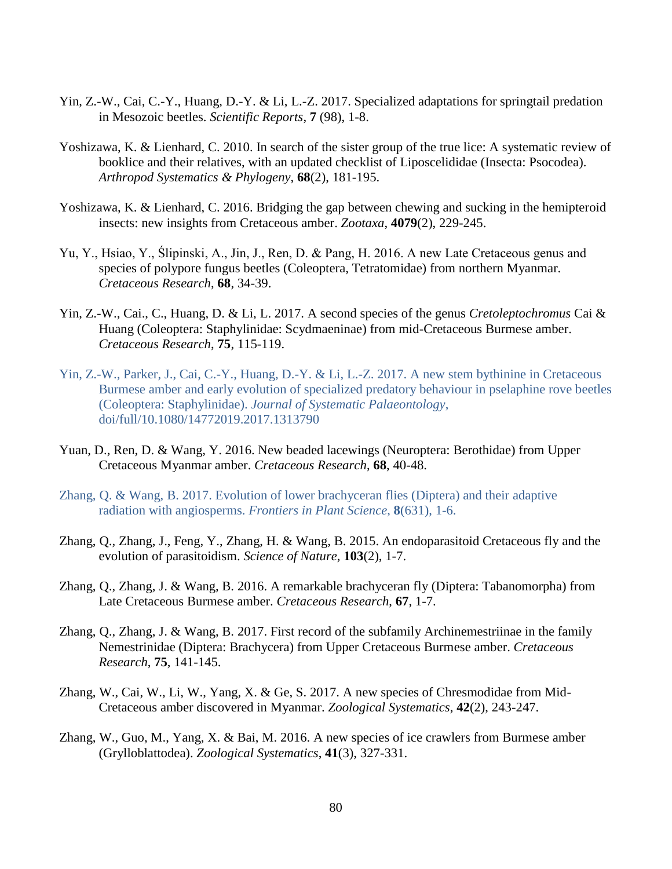- Yin, Z.-W., Cai, C.-Y., Huang, D.-Y. & Li, L.-Z. 2017. Specialized adaptations for springtail predation in Mesozoic beetles. *Scientific Reports*, **7** (98), 1-8.
- Yoshizawa, K. & Lienhard, C. 2010. In search of the sister group of the true lice: A systematic review of booklice and their relatives, with an updated checklist of Liposcelididae (Insecta: Psocodea). *Arthropod Systematics & Phylogeny*, **68**(2), 181-195.
- Yoshizawa, K. & Lienhard, C. 2016. Bridging the gap between chewing and sucking in the hemipteroid insects: new insights from Cretaceous amber. *Zootaxa*, **4079**(2), 229-245.
- Yu, Y., Hsiao, Y., Ślipinski, A., Jin, J., Ren, D. & Pang, H. 2016. A new Late Cretaceous genus and species of polypore fungus beetles (Coleoptera, Tetratomidae) from northern Myanmar. *Cretaceous Research*, **68**, 34-39.
- Yin, Z.-W., Cai., C., Huang, D. & Li, L. 2017. A second species of the genus *Cretoleptochromus* Cai & Huang (Coleoptera: Staphylinidae: Scydmaeninae) from mid-Cretaceous Burmese amber. *Cretaceous Research*, **75**, 115-119.
- Yin, Z.-W., Parker, J., Cai, C.-Y., Huang, D.-Y. & Li, L.-Z. 2017. A new stem bythinine in Cretaceous Burmese amber and early evolution of specialized predatory behaviour in pselaphine rove beetles (Coleoptera: Staphylinidae). *Journal of Systematic Palaeontology*, doi/full/10.1080/14772019.2017.1313790
- Yuan, D., Ren, D. & Wang, Y. 2016. New beaded lacewings (Neuroptera: Berothidae) from Upper Cretaceous Myanmar amber. *Cretaceous Research*, **68**, 40-48.
- Zhang, Q. & Wang, B. 2017. Evolution of lower brachyceran flies (Diptera) and their adaptive radiation with angiosperms. *Frontiers in Plant Science*, **8**(631), 1-6.
- Zhang, Q., Zhang, J., Feng, Y., Zhang, H. & Wang, B. 2015. An endoparasitoid Cretaceous fly and the evolution of parasitoidism. *Science of Nature*, **103**(2), 1-7.
- Zhang, Q., Zhang, J. & Wang, B. 2016. A remarkable brachyceran fly (Diptera: Tabanomorpha) from Late Cretaceous Burmese amber. *Cretaceous Research*, **67**, 1-7.
- Zhang, Q., Zhang, J. & Wang, B. 2017. First record of the subfamily Archinemestriinae in the family Nemestrinidae (Diptera: Brachycera) from Upper Cretaceous Burmese amber. *Cretaceous Research*, **75**, 141-145.
- Zhang, W., Cai, W., Li, W., Yang, X. & Ge, S. 2017. A new species of Chresmodidae from Mid-Cretaceous amber discovered in Myanmar. *Zoological Systematics*, **42**(2), 243-247.
- Zhang, W., Guo, M., Yang, X. & Bai, M. 2016. A new species of ice crawlers from Burmese amber (Grylloblattodea). *Zoological Systematics*, **41**(3), 327-331.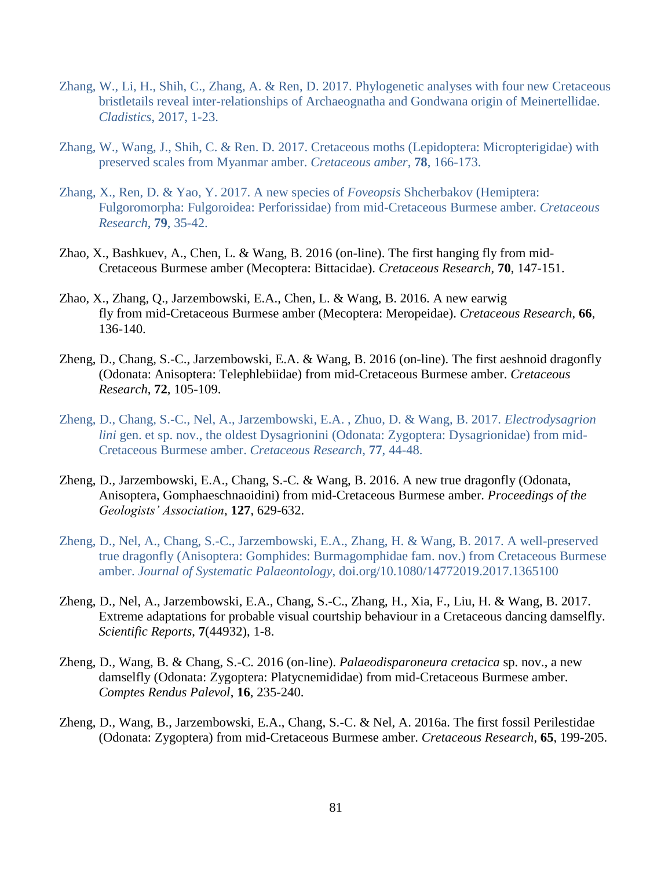- Zhang, W., Li, H., Shih, C., Zhang, A. & Ren, D. 2017. Phylogenetic analyses with four new Cretaceous bristletails reveal inter-relationships of Archaeognatha and Gondwana origin of Meinertellidae. *Cladistics*, 2017, 1-23.
- Zhang, W., Wang, J., Shih, C. & Ren. D. 2017. Cretaceous moths (Lepidoptera: Micropterigidae) with preserved scales from Myanmar amber. *Cretaceous amber*, **78**, 166-173.
- Zhang, X., Ren, D. & Yao, Y. 2017. A new species of *Foveopsis* Shcherbakov (Hemiptera: Fulgoromorpha: Fulgoroidea: Perforissidae) from mid-Cretaceous Burmese amber. *Cretaceous Research*, **79**, 35-42.
- Zhao, X., Bashkuev, A., Chen, L. & Wang, B. 2016 (on-line). The first hanging fly from mid-Cretaceous Burmese amber (Mecoptera: Bittacidae). *Cretaceous Research*, **70**, 147-151.
- Zhao, X., Zhang, Q., Jarzembowski, E.A., Chen, L. & Wang, B. 2016. A new earwig fly from mid-Cretaceous Burmese amber (Mecoptera: Meropeidae). *Cretaceous Research*, **66**, 136-140.
- Zheng, D., Chang, S.-C., Jarzembowski, E.A. & Wang, B. 2016 (on-line). The first aeshnoid dragonfly (Odonata: Anisoptera: Telephlebiidae) from mid-Cretaceous Burmese amber. *Cretaceous Research*, **72**, 105-109.
- Zheng, D., Chang, S.-C., Nel, A., Jarzembowski, E.A. , Zhuo, D. & Wang, B. 2017. *Electrodysagrion lini* gen. et sp. nov., the oldest Dysagrionini (Odonata: Zygoptera: Dysagrionidae) from mid-Cretaceous Burmese amber. *Cretaceous Research*, **77**, 44-48.
- Zheng, D., Jarzembowski, E.A., Chang, S.-C. & Wang, B. 2016. A new true dragonfly (Odonata, Anisoptera, Gomphaeschnaoidini) from mid-Cretaceous Burmese amber. *Proceedings of the Geologists' Association*, **127**, 629-632.
- Zheng, D., Nel, A., Chang, S.-C., Jarzembowski, E.A., Zhang, H. & Wang, B. 2017. A well-preserved true dragonfly (Anisoptera: Gomphides: Burmagomphidae fam. nov.) from Cretaceous Burmese amber. *Journal of Systematic Palaeontology*, doi.org/10.1080/14772019.2017.1365100
- Zheng, D., Nel, A., Jarzembowski, E.A., Chang, S.-C., Zhang, H., Xia, F., Liu, H. & Wang, B. 2017. Extreme adaptations for probable visual courtship behaviour in a Cretaceous dancing damselfly. *Scientific Reports*, **7**(44932), 1-8.
- Zheng, D., Wang, B. & Chang, S.-C. 2016 (on-line). *Palaeodisparoneura cretacica* sp. nov., a new damselfly (Odonata: Zygoptera: Platycnemididae) from mid-Cretaceous Burmese amber. *Comptes Rendus Palevol*, **16**, 235-240.
- Zheng, D., Wang, B., Jarzembowski, E.A., Chang, S.-C. & Nel, A. 2016a. The first fossil Perilestidae (Odonata: Zygoptera) from mid-Cretaceous Burmese amber. *Cretaceous Research*, **65**, 199-205.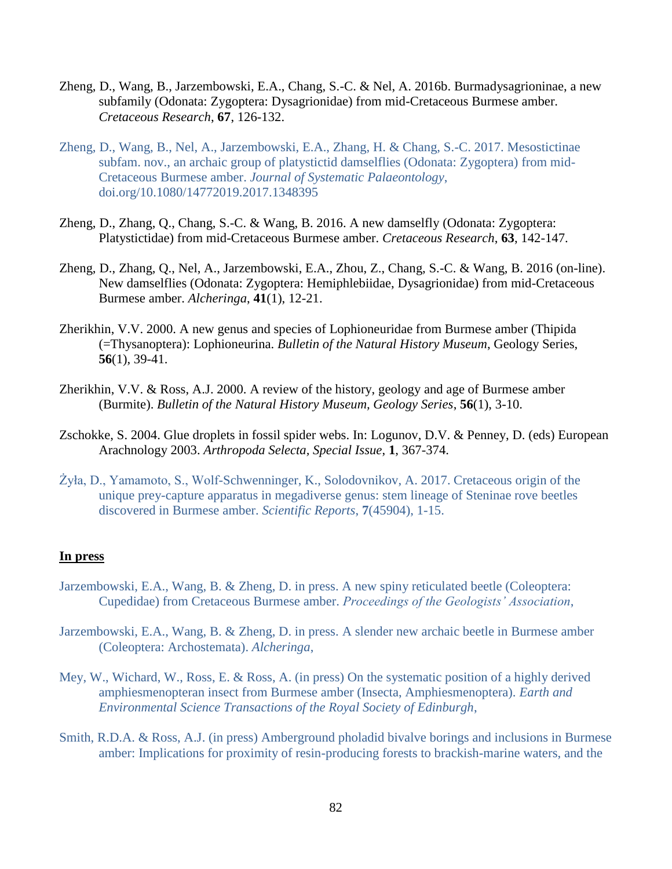- Zheng, D., Wang, B., Jarzembowski, E.A., Chang, S.-C. & Nel, A. 2016b. Burmadysagrioninae, a new subfamily (Odonata: Zygoptera: Dysagrionidae) from mid-Cretaceous Burmese amber. *Cretaceous Research*, **67**, 126-132.
- Zheng, D., Wang, B., Nel, A., Jarzembowski, E.A., Zhang, H. & Chang, S.-C. 2017. Mesostictinae subfam. nov., an archaic group of platystictid damselflies (Odonata: Zygoptera) from mid-Cretaceous Burmese amber. *Journal of Systematic Palaeontology*, doi.org/10.1080/14772019.2017.1348395
- Zheng, D., Zhang, Q., Chang, S.-C. & Wang, B. 2016. A new damselfly (Odonata: Zygoptera: Platystictidae) from mid-Cretaceous Burmese amber. *Cretaceous Research*, **63**, 142-147.
- Zheng, D., Zhang, Q., Nel, A., Jarzembowski, E.A., Zhou, Z., Chang, S.-C. & Wang, B. 2016 (on-line). New damselflies (Odonata: Zygoptera: Hemiphlebiidae, Dysagrionidae) from mid-Cretaceous Burmese amber. *Alcheringa*, **41**(1), 12-21.
- Zherikhin, V.V. 2000. A new genus and species of Lophioneuridae from Burmese amber (Thipida (=Thysanoptera): Lophioneurina. *Bulletin of the Natural History Museum*, Geology Series, **56**(1), 39-41.
- Zherikhin, V.V. & Ross, A.J. 2000. A review of the history, geology and age of Burmese amber (Burmite). *Bulletin of the Natural History Museum, Geology Series*, **56**(1), 3-10.
- Zschokke, S. 2004. Glue droplets in fossil spider webs. In: Logunov, D.V. & Penney, D. (eds) European Arachnology 2003. *Arthropoda Selecta, Special Issue*, **1**, 367-374.
- Żyła, D., Yamamoto, S., Wolf-Schwenninger, K., Solodovnikov, A. 2017. Cretaceous origin of the unique prey-capture apparatus in megadiverse genus: stem lineage of Steninae rove beetles discovered in Burmese amber. *Scientific Reports*, **7**(45904), 1-15.

## **In press**

- Jarzembowski, E.A., Wang, B. & Zheng, D. in press. A new spiny reticulated beetle (Coleoptera: Cupedidae) from Cretaceous Burmese amber. *Proceedings of the Geologists' Association*,
- Jarzembowski, E.A., Wang, B. & Zheng, D. in press. A slender new archaic beetle in Burmese amber (Coleoptera: Archostemata). *Alcheringa*,
- Mey, W., Wichard, W., Ross, E. & Ross, A. (in press) On the systematic position of a highly derived amphiesmenopteran insect from Burmese amber (Insecta, Amphiesmenoptera). *Earth and Environmental Science Transactions of the Royal Society of Edinburgh*,
- Smith, R.D.A. & Ross, A.J. (in press) Amberground pholadid bivalve borings and inclusions in Burmese amber: Implications for proximity of resin-producing forests to brackish-marine waters, and the